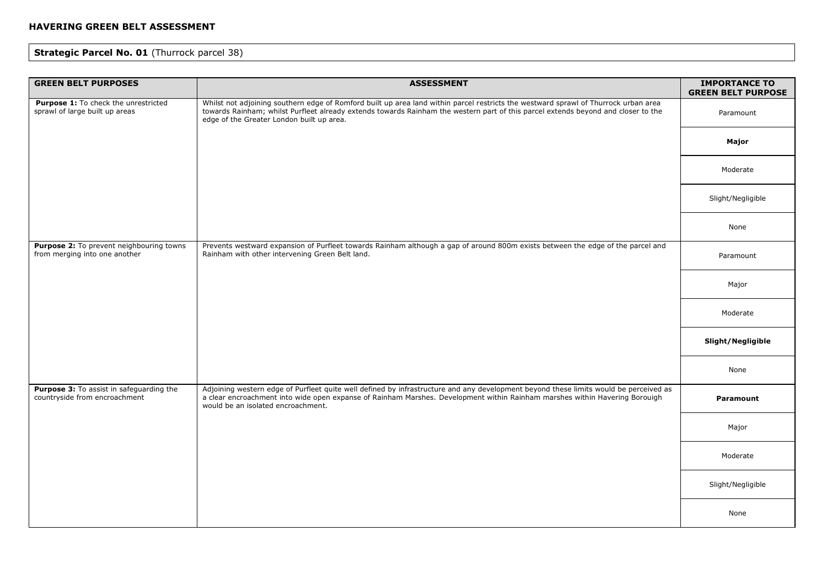# **Strategic Parcel No. 01 (Thurrock parcel 38)**

| <b>GREEN BELT PURPOSES</b>                                                | <b>ASSESSMENT</b>                                                                                                                                                                                                                                                                                                     | <b>IMPORTANCE TO</b><br><b>GREEN BELT PURPOSE</b> |
|---------------------------------------------------------------------------|-----------------------------------------------------------------------------------------------------------------------------------------------------------------------------------------------------------------------------------------------------------------------------------------------------------------------|---------------------------------------------------|
| Purpose 1: To check the unrestricted<br>sprawl of large built up areas    | Whilst not adjoining southern edge of Romford built up area land within parcel restricts the westward sprawl of Thurrock urban area<br>towards Rainham; whilst Purfleet already extends towards Rainham the western part of this parcel extends beyond and closer to the<br>edge of the Greater London built up area. | Paramount                                         |
|                                                                           |                                                                                                                                                                                                                                                                                                                       | Major                                             |
|                                                                           |                                                                                                                                                                                                                                                                                                                       | Moderate                                          |
|                                                                           |                                                                                                                                                                                                                                                                                                                       | Slight/Negligible                                 |
|                                                                           |                                                                                                                                                                                                                                                                                                                       | None                                              |
| Purpose 2: To prevent neighbouring towns<br>from merging into one another | Prevents westward expansion of Purfleet towards Rainham although a gap of around 800m exists between the edge of the parcel and<br>Rainham with other intervening Green Belt land.                                                                                                                                    | Paramount                                         |
|                                                                           |                                                                                                                                                                                                                                                                                                                       | Major                                             |
|                                                                           |                                                                                                                                                                                                                                                                                                                       | Moderate                                          |
|                                                                           |                                                                                                                                                                                                                                                                                                                       | Slight/Negligible                                 |
|                                                                           |                                                                                                                                                                                                                                                                                                                       | None                                              |
| Purpose 3: To assist in safeguarding the<br>countryside from encroachment | Adjoining western edge of Purfleet quite well defined by infrastructure and any development beyond these limits would be perceived as<br>a clear encroachment into wide open expanse of Rainham Marshes. Development within Rainham marshes within Havering Borouigh<br>would be an isolated encroachment.            | Paramount                                         |
|                                                                           |                                                                                                                                                                                                                                                                                                                       | Major                                             |
|                                                                           |                                                                                                                                                                                                                                                                                                                       | Moderate                                          |
|                                                                           |                                                                                                                                                                                                                                                                                                                       | Slight/Negligible                                 |
|                                                                           |                                                                                                                                                                                                                                                                                                                       | None                                              |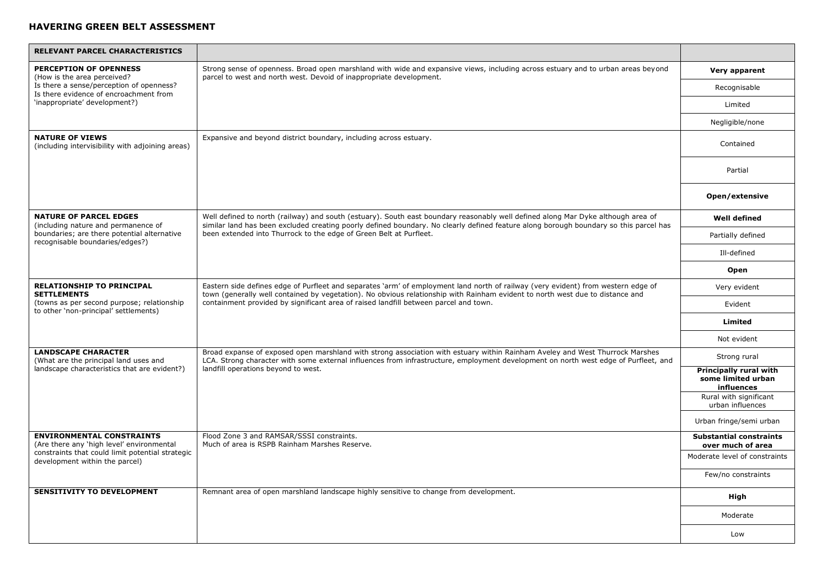| RELEVANT PARCEL CHARACTERISTICS                                                     |                                                                                                                                                                                                                                                                                                                                                            |                                                            |
|-------------------------------------------------------------------------------------|------------------------------------------------------------------------------------------------------------------------------------------------------------------------------------------------------------------------------------------------------------------------------------------------------------------------------------------------------------|------------------------------------------------------------|
| <b>PERCEPTION OF OPENNESS</b><br>(How is the area perceived?                        | Strong sense of openness. Broad open marshland with wide and expansive views, including across estuary and to urban areas beyond<br>parcel to west and north west. Devoid of inappropriate development.                                                                                                                                                    | Very apparent                                              |
| Is there a sense/perception of openness?<br>Is there evidence of encroachment from  |                                                                                                                                                                                                                                                                                                                                                            | Recognisable                                               |
| 'inappropriate' development?)                                                       |                                                                                                                                                                                                                                                                                                                                                            | Limited                                                    |
|                                                                                     |                                                                                                                                                                                                                                                                                                                                                            | Negligible/none                                            |
| <b>NATURE OF VIEWS</b><br>(including intervisibility with adjoining areas)          | Expansive and beyond district boundary, including across estuary.                                                                                                                                                                                                                                                                                          | Contained                                                  |
|                                                                                     |                                                                                                                                                                                                                                                                                                                                                            | Partial                                                    |
|                                                                                     |                                                                                                                                                                                                                                                                                                                                                            | Open/extensive                                             |
| <b>NATURE OF PARCEL EDGES</b><br>(including nature and permanence of                | Well defined to north (railway) and south (estuary). South east boundary reasonably well defined along Mar Dyke although area of<br>similar land has been excluded creating poorly defined boundary. No clearly defined feature along borough boundary so this parcel has                                                                                  | <b>Well defined</b>                                        |
| boundaries; are there potential alternative<br>recognisable boundaries/edges?)      | been extended into Thurrock to the edge of Green Belt at Purfleet.                                                                                                                                                                                                                                                                                         | Partially defined                                          |
|                                                                                     |                                                                                                                                                                                                                                                                                                                                                            | Ill-defined                                                |
|                                                                                     |                                                                                                                                                                                                                                                                                                                                                            | Open                                                       |
| <b>RELATIONSHIP TO PRINCIPAL</b><br><b>SETTLEMENTS</b>                              | Eastern side defines edge of Purfleet and separates 'arm' of employment land north of railway (very evident) from western edge of<br>town (generally well contained by vegetation). No obvious relationship with Rainham evident to north west due to distance and<br>containment provided by significant area of raised landfill between parcel and town. | Very evident                                               |
| (towns as per second purpose; relationship<br>to other 'non-principal' settlements) |                                                                                                                                                                                                                                                                                                                                                            | Evident                                                    |
|                                                                                     |                                                                                                                                                                                                                                                                                                                                                            | Limited                                                    |
|                                                                                     |                                                                                                                                                                                                                                                                                                                                                            | Not evident                                                |
| <b>LANDSCAPE CHARACTER</b><br>(What are the principal land uses and                 | Broad expanse of exposed open marshland with strong association with estuary within Rainham Aveley and West Thurrock Marshes<br>LCA. Strong character with some external influences from infrastructure, employment development on north west edge of Purfleet, and                                                                                        | Strong rural                                               |
| landscape characteristics that are evident?)                                        | landfill operations beyond to west.                                                                                                                                                                                                                                                                                                                        | Principally rural with<br>some limited urban<br>influences |
|                                                                                     |                                                                                                                                                                                                                                                                                                                                                            | Rural with significant<br>urban influences                 |
|                                                                                     |                                                                                                                                                                                                                                                                                                                                                            | Urban fringe/semi urban                                    |
| <b>ENVIRONMENTAL CONSTRAINTS</b><br>(Are there any 'high level' environmental       | Flood Zone 3 and RAMSAR/SSSI constraints.<br>Much of area is RSPB Rainham Marshes Reserve.                                                                                                                                                                                                                                                                 | <b>Substantial constraints</b><br>over much of area        |
| constraints that could limit potential strategic<br>development within the parcel)  |                                                                                                                                                                                                                                                                                                                                                            | Moderate level of constraints                              |
|                                                                                     |                                                                                                                                                                                                                                                                                                                                                            | Few/no constraints                                         |
| <b>SENSITIVITY TO DEVELOPMENT</b>                                                   | Remnant area of open marshland landscape highly sensitive to change from development.                                                                                                                                                                                                                                                                      | High                                                       |
|                                                                                     |                                                                                                                                                                                                                                                                                                                                                            | Moderate                                                   |
|                                                                                     |                                                                                                                                                                                                                                                                                                                                                            | Low                                                        |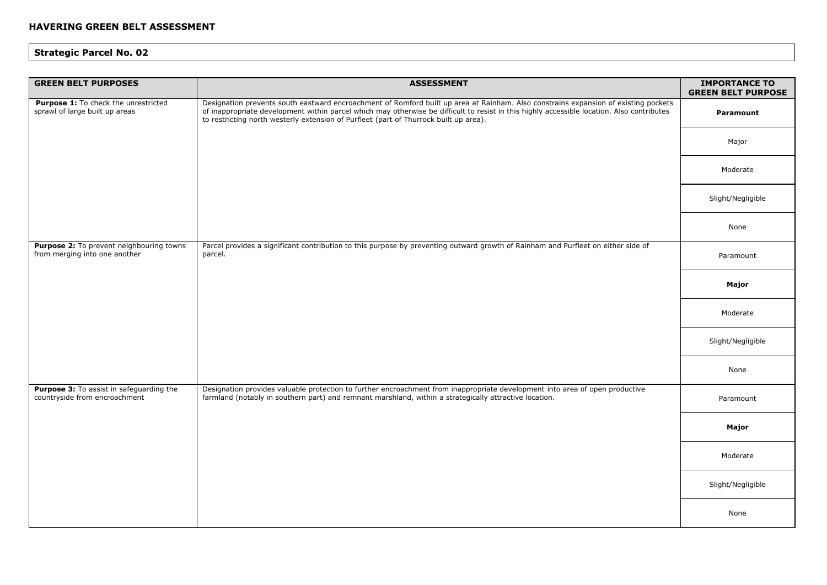| <b>GREEN BELT PURPOSES</b>                                                | <b>ASSESSMENT</b>                                                                                                                                                                                                                                                                                                                                                          | <b>IMPORTANCE TO</b><br><b>GREEN BELT PURPOSE</b> |
|---------------------------------------------------------------------------|----------------------------------------------------------------------------------------------------------------------------------------------------------------------------------------------------------------------------------------------------------------------------------------------------------------------------------------------------------------------------|---------------------------------------------------|
| Purpose 1: To check the unrestricted<br>sprawl of large built up areas    | Designation prevents south eastward encroachment of Romford built up area at Rainham. Also constrains expansion of existing pockets<br>of inappropriate development within parcel which may otherwise be difficult to resist in this highly accessible location. Also contributes<br>to restricting north westerly extension of Purfleet (part of Thurrock built up area). | <b>Paramount</b>                                  |
|                                                                           |                                                                                                                                                                                                                                                                                                                                                                            | Major                                             |
|                                                                           |                                                                                                                                                                                                                                                                                                                                                                            | Moderate                                          |
|                                                                           |                                                                                                                                                                                                                                                                                                                                                                            | Slight/Negligible                                 |
|                                                                           |                                                                                                                                                                                                                                                                                                                                                                            | None                                              |
| Purpose 2: To prevent neighbouring towns<br>from merging into one another | Parcel provides a significant contribution to this purpose by preventing outward growth of Rainham and Purfleet on either side of<br>parcel.                                                                                                                                                                                                                               | Paramount                                         |
|                                                                           |                                                                                                                                                                                                                                                                                                                                                                            | Major                                             |
|                                                                           |                                                                                                                                                                                                                                                                                                                                                                            | Moderate                                          |
|                                                                           |                                                                                                                                                                                                                                                                                                                                                                            | Slight/Negligible                                 |
|                                                                           |                                                                                                                                                                                                                                                                                                                                                                            | None                                              |
| Purpose 3: To assist in safeguarding the<br>countryside from encroachment | Designation provides valuable protection to further encroachment from inappropriate development into area of open productive<br>farmland (notably in southern part) and remnant marshland, within a strategically attractive location.                                                                                                                                     | Paramount                                         |
|                                                                           |                                                                                                                                                                                                                                                                                                                                                                            | Major                                             |
|                                                                           |                                                                                                                                                                                                                                                                                                                                                                            | Moderate                                          |
|                                                                           |                                                                                                                                                                                                                                                                                                                                                                            | Slight/Negligible                                 |
|                                                                           |                                                                                                                                                                                                                                                                                                                                                                            | None                                              |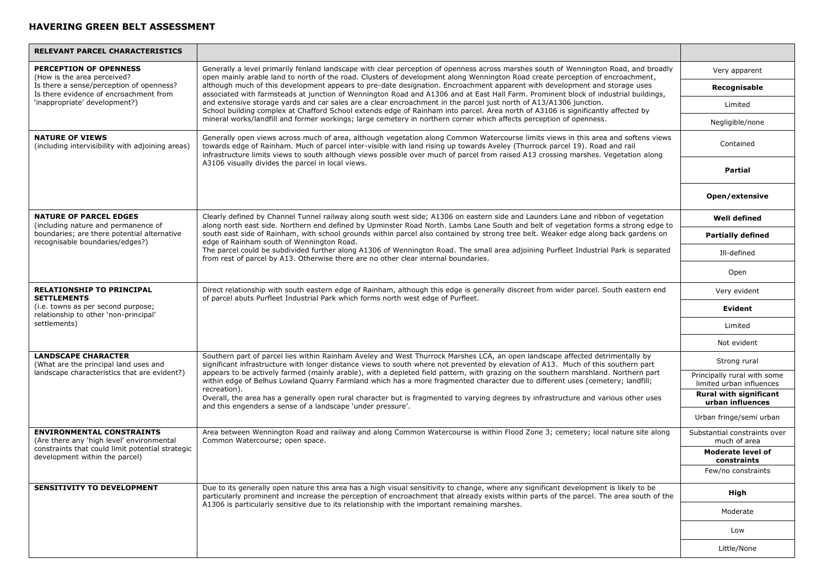| <b>RELEVANT PARCEL CHARACTERISTICS</b>                                                                                                      |                                                                                                                                                                                                                                                                                                                                                                                                                                                                                                                                                                                                                                                                                                                                                                     |                                                         |
|---------------------------------------------------------------------------------------------------------------------------------------------|---------------------------------------------------------------------------------------------------------------------------------------------------------------------------------------------------------------------------------------------------------------------------------------------------------------------------------------------------------------------------------------------------------------------------------------------------------------------------------------------------------------------------------------------------------------------------------------------------------------------------------------------------------------------------------------------------------------------------------------------------------------------|---------------------------------------------------------|
| PERCEPTION OF OPENNESS<br>(How is the area perceived?<br>Is there a sense/perception of openness?<br>Is there evidence of encroachment from | Generally a level primarily fenland landscape with clear perception of openness across marshes south of Wennington Road, and broadly<br>open mainly arable land to north of the road. Clusters of development along Wennington Road create perception of encroachment,<br>although much of this development appears to pre-date designation. Encroachment apparent with development and storage uses<br>associated with farmsteads at junction of Wennington Road and A1306 and at East Hall Farm. Prominent block of industrial buildings,                                                                                                                                                                                                                         | Very apparent                                           |
|                                                                                                                                             |                                                                                                                                                                                                                                                                                                                                                                                                                                                                                                                                                                                                                                                                                                                                                                     | Recognisable                                            |
| 'inappropriate' development?)                                                                                                               | and extensive storage yards and car sales are a clear encroachment in the parcel just north of A13/A1306 junction.<br>School building complex at Chafford School extends edge of Rainham into parcel. Area north of A3106 is significantly affected by                                                                                                                                                                                                                                                                                                                                                                                                                                                                                                              | Limited                                                 |
|                                                                                                                                             | mineral works/landfill and former workings; large cemetery in northern corner which affects perception of openness.                                                                                                                                                                                                                                                                                                                                                                                                                                                                                                                                                                                                                                                 | Negligible/none                                         |
| <b>NATURE OF VIEWS</b><br>(including intervisibility with adjoining areas)                                                                  | Generally open views across much of area, although vegetation along Common Watercourse limits views in this area and softens views<br>towards edge of Rainham. Much of parcel inter-visible with land rising up towards Aveley (Thurrock parcel 19). Road and rail<br>infrastructure limits views to south although views possible over much of parcel from raised A13 crossing marshes. Vegetation along                                                                                                                                                                                                                                                                                                                                                           | Contained                                               |
|                                                                                                                                             | A3106 visually divides the parcel in local views.                                                                                                                                                                                                                                                                                                                                                                                                                                                                                                                                                                                                                                                                                                                   | <b>Partial</b>                                          |
|                                                                                                                                             |                                                                                                                                                                                                                                                                                                                                                                                                                                                                                                                                                                                                                                                                                                                                                                     | Open/extensive                                          |
| <b>NATURE OF PARCEL EDGES</b><br>(including nature and permanence of                                                                        | Clearly defined by Channel Tunnel railway along south west side; A1306 on eastern side and Launders Lane and ribbon of vegetation<br>along north east side. Northern end defined by Upminster Road North. Lambs Lane South and belt of vegetation forms a strong edge to                                                                                                                                                                                                                                                                                                                                                                                                                                                                                            | <b>Well defined</b>                                     |
| boundaries; are there potential alternative<br>recognisable boundaries/edges?)                                                              | south east side of Rainham, with school grounds within parcel also contained by strong tree belt. Weaker edge along back gardens on<br>edge of Rainham south of Wennington Road.                                                                                                                                                                                                                                                                                                                                                                                                                                                                                                                                                                                    | <b>Partially defined</b>                                |
|                                                                                                                                             | The parcel could be subdivided further along A1306 of Wennington Road. The small area adjoining Purfleet Industrial Park is separated<br>from rest of parcel by A13. Otherwise there are no other clear internal boundaries.                                                                                                                                                                                                                                                                                                                                                                                                                                                                                                                                        | Ill-defined                                             |
|                                                                                                                                             |                                                                                                                                                                                                                                                                                                                                                                                                                                                                                                                                                                                                                                                                                                                                                                     | Open                                                    |
| <b>RELATIONSHIP TO PRINCIPAL</b><br><b>SETTLEMENTS</b>                                                                                      | Direct relationship with south eastern edge of Rainham, although this edge is generally discreet from wider parcel. South eastern end<br>of parcel abuts Purfleet Industrial Park which forms north west edge of Purfleet.                                                                                                                                                                                                                                                                                                                                                                                                                                                                                                                                          | Very evident                                            |
| (i.e. towns as per second purpose;<br>relationship to other 'non-principal'                                                                 |                                                                                                                                                                                                                                                                                                                                                                                                                                                                                                                                                                                                                                                                                                                                                                     | Evident                                                 |
| settlements)                                                                                                                                |                                                                                                                                                                                                                                                                                                                                                                                                                                                                                                                                                                                                                                                                                                                                                                     | Limited                                                 |
|                                                                                                                                             |                                                                                                                                                                                                                                                                                                                                                                                                                                                                                                                                                                                                                                                                                                                                                                     | Not evident                                             |
| <b>LANDSCAPE CHARACTER</b><br>(What are the principal land uses and                                                                         | Southern part of parcel lies within Rainham Aveley and West Thurrock Marshes LCA, an open landscape affected detrimentally by<br>significant infrastructure with longer distance views to south where not prevented by elevation of A13. Much of this southern part<br>appears to be actively farmed (mainly arable), with a depleted field pattern, with grazing on the southern marshland. Northern part<br>within edge of Belhus Lowland Quarry Farmland which has a more fragmented character due to different uses (cemetery; landfill;<br>recreation).<br>Overall, the area has a generally open rural character but is fragmented to varying degrees by infrastructure and various other uses<br>and this engenders a sense of a landscape 'under pressure'. | Strong rural                                            |
| landscape characteristics that are evident?)                                                                                                |                                                                                                                                                                                                                                                                                                                                                                                                                                                                                                                                                                                                                                                                                                                                                                     | Principally rural with some<br>limited urban influences |
|                                                                                                                                             |                                                                                                                                                                                                                                                                                                                                                                                                                                                                                                                                                                                                                                                                                                                                                                     | <b>Rural with significant</b><br>urban influences       |
|                                                                                                                                             |                                                                                                                                                                                                                                                                                                                                                                                                                                                                                                                                                                                                                                                                                                                                                                     | Urban fringe/semi urban                                 |
| <b>ENVIRONMENTAL CONSTRAINTS</b><br>(Are there any 'high level' environmental                                                               | Area between Wennington Road and railway and along Common Watercourse is within Flood Zone 3; cemetery; local nature site along<br>Common Watercourse; open space.                                                                                                                                                                                                                                                                                                                                                                                                                                                                                                                                                                                                  | Substantial constraints over<br>much of area            |
| constraints that could limit potential strategic<br>development within the parcel)                                                          |                                                                                                                                                                                                                                                                                                                                                                                                                                                                                                                                                                                                                                                                                                                                                                     | <b>Moderate level of</b><br>constraints                 |
|                                                                                                                                             |                                                                                                                                                                                                                                                                                                                                                                                                                                                                                                                                                                                                                                                                                                                                                                     | Few/no constraints                                      |
| <b>SENSITIVITY TO DEVELOPMENT</b>                                                                                                           | Due to its generally open nature this area has a high visual sensitivity to change, where any significant development is likely to be<br>particularly prominent and increase the perception of encroachment that already exists within parts of the parcel. The area south of the<br>A1306 is particularly sensitive due to its relationship with the important remaining marshes.                                                                                                                                                                                                                                                                                                                                                                                  | High                                                    |
|                                                                                                                                             |                                                                                                                                                                                                                                                                                                                                                                                                                                                                                                                                                                                                                                                                                                                                                                     | Moderate                                                |
|                                                                                                                                             |                                                                                                                                                                                                                                                                                                                                                                                                                                                                                                                                                                                                                                                                                                                                                                     | Low                                                     |
|                                                                                                                                             |                                                                                                                                                                                                                                                                                                                                                                                                                                                                                                                                                                                                                                                                                                                                                                     | Little/None                                             |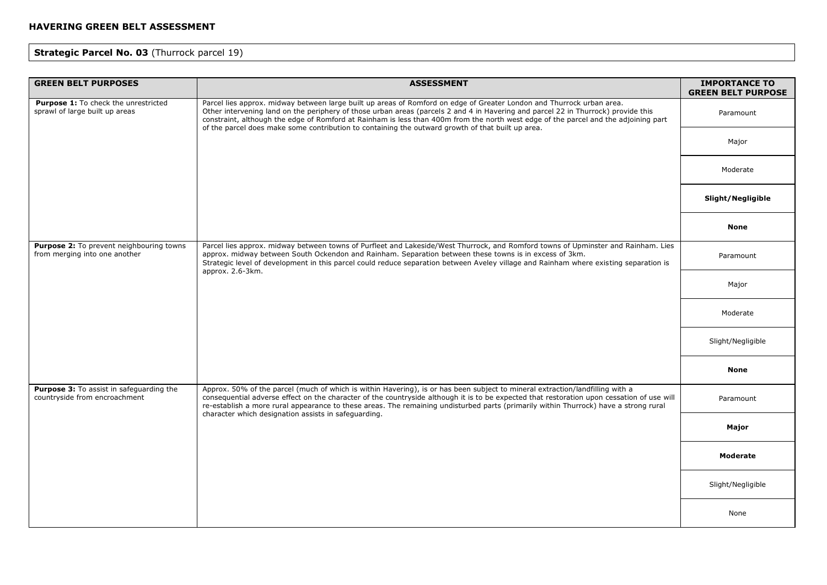# **Strategic Parcel No. 03** (Thurrock parcel 19)

| <b>GREEN BELT PURPOSES</b>                                                | <b>ASSESSMENT</b>                                                                                                                                                                                                                                                                                                                                                                                                                                                           | <b>IMPORTANCE TO</b><br><b>GREEN BELT PURPOSE</b> |
|---------------------------------------------------------------------------|-----------------------------------------------------------------------------------------------------------------------------------------------------------------------------------------------------------------------------------------------------------------------------------------------------------------------------------------------------------------------------------------------------------------------------------------------------------------------------|---------------------------------------------------|
| Purpose 1: To check the unrestricted<br>sprawl of large built up areas    | Parcel lies approx. midway between large built up areas of Romford on edge of Greater London and Thurrock urban area.<br>Other intervening land on the periphery of those urban areas (parcels 2 and 4 in Havering and parcel 22 in Thurrock) provide this<br>constraint, although the edge of Romford at Rainham is less than 400m from the north west edge of the parcel and the adjoining part                                                                           | Paramount                                         |
|                                                                           | of the parcel does make some contribution to containing the outward growth of that built up area.                                                                                                                                                                                                                                                                                                                                                                           | Major                                             |
|                                                                           |                                                                                                                                                                                                                                                                                                                                                                                                                                                                             | Moderate                                          |
|                                                                           |                                                                                                                                                                                                                                                                                                                                                                                                                                                                             | Slight/Negligible                                 |
|                                                                           |                                                                                                                                                                                                                                                                                                                                                                                                                                                                             | <b>None</b>                                       |
| Purpose 2: To prevent neighbouring towns<br>from merging into one another | Parcel lies approx. midway between towns of Purfleet and Lakeside/West Thurrock, and Romford towns of Upminster and Rainham. Lies<br>approx. midway between South Ockendon and Rainham. Separation between these towns is in excess of 3km.<br>Strategic level of development in this parcel could reduce separation between Aveley village and Rainham where existing separation is<br>approx. 2.6-3km.                                                                    | Paramount                                         |
|                                                                           |                                                                                                                                                                                                                                                                                                                                                                                                                                                                             | Major                                             |
|                                                                           |                                                                                                                                                                                                                                                                                                                                                                                                                                                                             | Moderate                                          |
|                                                                           |                                                                                                                                                                                                                                                                                                                                                                                                                                                                             | Slight/Negligible                                 |
|                                                                           |                                                                                                                                                                                                                                                                                                                                                                                                                                                                             | <b>None</b>                                       |
| Purpose 3: To assist in safeguarding the<br>countryside from encroachment | Approx. 50% of the parcel (much of which is within Havering), is or has been subject to mineral extraction/landfilling with a<br>consequential adverse effect on the character of the countryside although it is to be expected that restoration upon cessation of use will<br>re-establish a more rural appearance to these areas. The remaining undisturbed parts (primarily within Thurrock) have a strong rural<br>character which designation assists in safeguarding. | Paramount                                         |
|                                                                           |                                                                                                                                                                                                                                                                                                                                                                                                                                                                             | Major                                             |
|                                                                           |                                                                                                                                                                                                                                                                                                                                                                                                                                                                             | <b>Moderate</b>                                   |
|                                                                           |                                                                                                                                                                                                                                                                                                                                                                                                                                                                             | Slight/Negligible                                 |
|                                                                           |                                                                                                                                                                                                                                                                                                                                                                                                                                                                             | None                                              |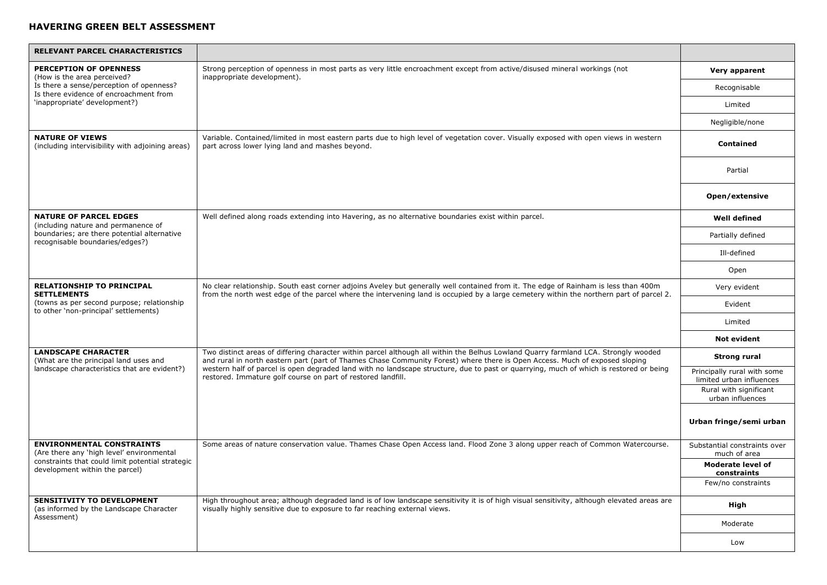| RELEVANT PARCEL CHARACTERISTICS                                                             |                                                                                                                                                                                                                                                                                                                                                                                                                                                                              |                                                         |
|---------------------------------------------------------------------------------------------|------------------------------------------------------------------------------------------------------------------------------------------------------------------------------------------------------------------------------------------------------------------------------------------------------------------------------------------------------------------------------------------------------------------------------------------------------------------------------|---------------------------------------------------------|
| <b>PERCEPTION OF OPENNESS</b><br>(How is the area perceived?                                | Strong perception of openness in most parts as very little encroachment except from active/disused mineral workings (not<br>inappropriate development).                                                                                                                                                                                                                                                                                                                      | Very apparent                                           |
| Is there a sense/perception of openness?<br>Is there evidence of encroachment from          |                                                                                                                                                                                                                                                                                                                                                                                                                                                                              | Recognisable                                            |
| 'inappropriate' development?)                                                               |                                                                                                                                                                                                                                                                                                                                                                                                                                                                              | Limited                                                 |
|                                                                                             |                                                                                                                                                                                                                                                                                                                                                                                                                                                                              | Negligible/none                                         |
| <b>NATURE OF VIEWS</b><br>(including intervisibility with adjoining areas)                  | Variable. Contained/limited in most eastern parts due to high level of vegetation cover. Visually exposed with open views in western<br>part across lower lying land and mashes beyond.                                                                                                                                                                                                                                                                                      | <b>Contained</b>                                        |
|                                                                                             |                                                                                                                                                                                                                                                                                                                                                                                                                                                                              | Partial                                                 |
|                                                                                             |                                                                                                                                                                                                                                                                                                                                                                                                                                                                              | Open/extensive                                          |
| <b>NATURE OF PARCEL EDGES</b><br>(including nature and permanence of                        | Well defined along roads extending into Havering, as no alternative boundaries exist within parcel.                                                                                                                                                                                                                                                                                                                                                                          | <b>Well defined</b>                                     |
| boundaries; are there potential alternative<br>recognisable boundaries/edges?)              |                                                                                                                                                                                                                                                                                                                                                                                                                                                                              | Partially defined                                       |
|                                                                                             |                                                                                                                                                                                                                                                                                                                                                                                                                                                                              | Ill-defined                                             |
|                                                                                             |                                                                                                                                                                                                                                                                                                                                                                                                                                                                              | Open                                                    |
| <b>RELATIONSHIP TO PRINCIPAL</b><br><b>SETTLEMENTS</b>                                      | No clear relationship. South east corner adjoins Aveley but generally well contained from it. The edge of Rainham is less than 400m<br>from the north west edge of the parcel where the intervening land is occupied by a large cemetery within the northern part of parcel 2.                                                                                                                                                                                               | Very evident                                            |
| (towns as per second purpose; relationship<br>to other 'non-principal' settlements)         |                                                                                                                                                                                                                                                                                                                                                                                                                                                                              | Evident                                                 |
|                                                                                             |                                                                                                                                                                                                                                                                                                                                                                                                                                                                              | Limited                                                 |
|                                                                                             |                                                                                                                                                                                                                                                                                                                                                                                                                                                                              | <b>Not evident</b>                                      |
| <b>LANDSCAPE CHARACTER</b><br>(What are the principal land uses and                         | Two distinct areas of differing character within parcel although all within the Belhus Lowland Quarry farmland LCA. Strongly wooded<br>and rural in north eastern part (part of Thames Chase Community Forest) where there is Open Access. Much of exposed sloping<br>western half of parcel is open degraded land with no landscape structure, due to past or quarrying, much of which is restored or being<br>restored. Immature golf course on part of restored landfill. | Strong rural                                            |
| landscape characteristics that are evident?)                                                |                                                                                                                                                                                                                                                                                                                                                                                                                                                                              | Principally rural with some<br>limited urban influences |
|                                                                                             |                                                                                                                                                                                                                                                                                                                                                                                                                                                                              | Rural with significant<br>urban influences              |
|                                                                                             |                                                                                                                                                                                                                                                                                                                                                                                                                                                                              | Urban fringe/semi urban                                 |
| <b>ENVIRONMENTAL CONSTRAINTS</b><br>(Are there any 'high level' environmental               | Some areas of nature conservation value. Thames Chase Open Access land. Flood Zone 3 along upper reach of Common Watercourse.                                                                                                                                                                                                                                                                                                                                                | Substantial constraints over<br>much of area            |
| constraints that could limit potential strategic<br>development within the parcel)          |                                                                                                                                                                                                                                                                                                                                                                                                                                                                              | <b>Moderate level of</b><br>constraints                 |
|                                                                                             |                                                                                                                                                                                                                                                                                                                                                                                                                                                                              | Few/no constraints                                      |
| <b>SENSITIVITY TO DEVELOPMENT</b><br>(as informed by the Landscape Character<br>Assessment) | High throughout area; although degraded land is of low landscape sensitivity it is of high visual sensitivity, although elevated areas are<br>visually highly sensitive due to exposure to far reaching external views.                                                                                                                                                                                                                                                      | High                                                    |
|                                                                                             |                                                                                                                                                                                                                                                                                                                                                                                                                                                                              | Moderate                                                |
|                                                                                             |                                                                                                                                                                                                                                                                                                                                                                                                                                                                              | Low                                                     |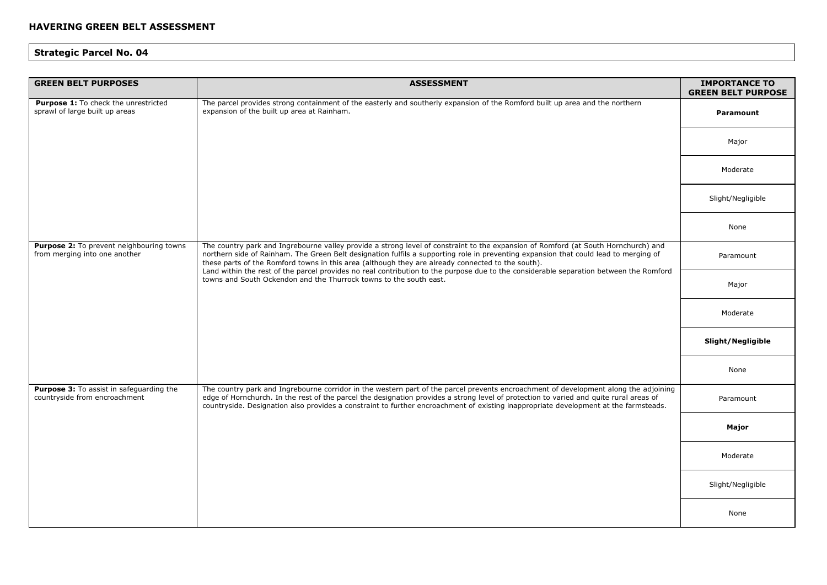| <b>GREEN BELT PURPOSES</b>                                                | <b>ASSESSMENT</b>                                                                                                                                                                                                                                                                                                                                                                                                                                                                                                                                                                               | <b>IMPORTANCE TO</b><br><b>GREEN BELT PURPOSE</b> |
|---------------------------------------------------------------------------|-------------------------------------------------------------------------------------------------------------------------------------------------------------------------------------------------------------------------------------------------------------------------------------------------------------------------------------------------------------------------------------------------------------------------------------------------------------------------------------------------------------------------------------------------------------------------------------------------|---------------------------------------------------|
| Purpose 1: To check the unrestricted<br>sprawl of large built up areas    | The parcel provides strong containment of the easterly and southerly expansion of the Romford built up area and the northern<br>expansion of the built up area at Rainham.                                                                                                                                                                                                                                                                                                                                                                                                                      | Paramount                                         |
|                                                                           |                                                                                                                                                                                                                                                                                                                                                                                                                                                                                                                                                                                                 | Major                                             |
|                                                                           |                                                                                                                                                                                                                                                                                                                                                                                                                                                                                                                                                                                                 | Moderate                                          |
|                                                                           |                                                                                                                                                                                                                                                                                                                                                                                                                                                                                                                                                                                                 | Slight/Negligible                                 |
|                                                                           |                                                                                                                                                                                                                                                                                                                                                                                                                                                                                                                                                                                                 | None                                              |
| Purpose 2: To prevent neighbouring towns<br>from merging into one another | The country park and Ingrebourne valley provide a strong level of constraint to the expansion of Romford (at South Hornchurch) and<br>northern side of Rainham. The Green Belt designation fulfils a supporting role in preventing expansion that could lead to merging of<br>these parts of the Romford towns in this area (although they are already connected to the south).<br>Land within the rest of the parcel provides no real contribution to the purpose due to the considerable separation between the Romford<br>towns and South Ockendon and the Thurrock towns to the south east. | Paramount                                         |
|                                                                           |                                                                                                                                                                                                                                                                                                                                                                                                                                                                                                                                                                                                 | Major                                             |
|                                                                           |                                                                                                                                                                                                                                                                                                                                                                                                                                                                                                                                                                                                 | Moderate                                          |
|                                                                           |                                                                                                                                                                                                                                                                                                                                                                                                                                                                                                                                                                                                 | Slight/Negligible                                 |
|                                                                           |                                                                                                                                                                                                                                                                                                                                                                                                                                                                                                                                                                                                 | None                                              |
| Purpose 3: To assist in safeguarding the<br>countryside from encroachment | The country park and Ingrebourne corridor in the western part of the parcel prevents encroachment of development along the adjoining<br>edge of Hornchurch. In the rest of the parcel the designation provides a strong level of protection to varied and quite rural areas of<br>countryside. Designation also provides a constraint to further encroachment of existing inappropriate development at the farmsteads.                                                                                                                                                                          | Paramount                                         |
|                                                                           |                                                                                                                                                                                                                                                                                                                                                                                                                                                                                                                                                                                                 | Major                                             |
|                                                                           |                                                                                                                                                                                                                                                                                                                                                                                                                                                                                                                                                                                                 | Moderate                                          |
|                                                                           |                                                                                                                                                                                                                                                                                                                                                                                                                                                                                                                                                                                                 | Slight/Negligible                                 |
|                                                                           |                                                                                                                                                                                                                                                                                                                                                                                                                                                                                                                                                                                                 | None                                              |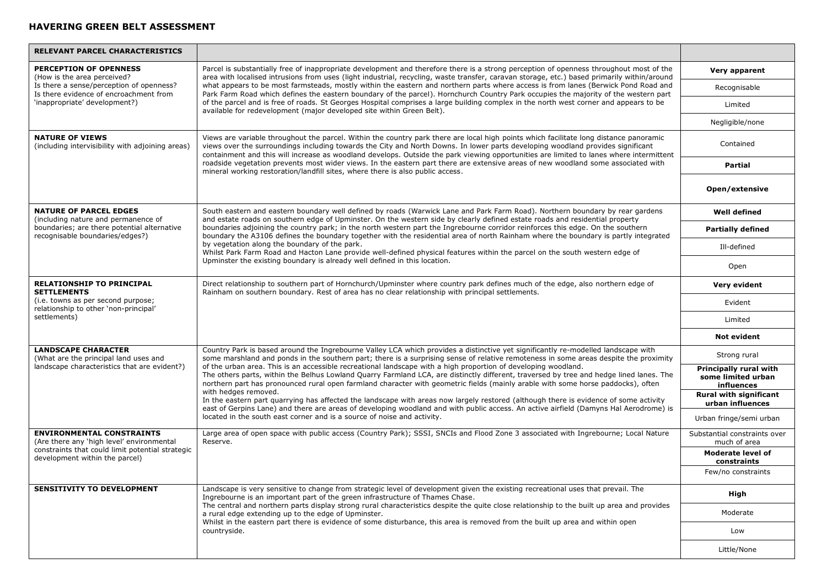| RELEVANT PARCEL CHARACTERISTICS                                                                                     |                                                                                                                                                                                                                                                                                                                                                                                                                                                                                                                                                                                                                                                                                                                                                                                                                                                                                                                                                                                                                                                                  |                                                            |
|---------------------------------------------------------------------------------------------------------------------|------------------------------------------------------------------------------------------------------------------------------------------------------------------------------------------------------------------------------------------------------------------------------------------------------------------------------------------------------------------------------------------------------------------------------------------------------------------------------------------------------------------------------------------------------------------------------------------------------------------------------------------------------------------------------------------------------------------------------------------------------------------------------------------------------------------------------------------------------------------------------------------------------------------------------------------------------------------------------------------------------------------------------------------------------------------|------------------------------------------------------------|
| PERCEPTION OF OPENNESS<br>(How is the area perceived?                                                               | Parcel is substantially free of inappropriate development and therefore there is a strong perception of openness throughout most of the<br>area with localised intrusions from uses (light industrial, recycling, waste transfer, caravan storage, etc.) based primarily within/around<br>what appears to be most farmsteads, mostly within the eastern and northern parts where access is from lanes (Berwick Pond Road and<br>Park Farm Road which defines the eastern boundary of the parcel). Hornchurch Country Park occupies the majority of the western part                                                                                                                                                                                                                                                                                                                                                                                                                                                                                              | Very apparent                                              |
| Is there a sense/perception of openness?<br>Is there evidence of encroachment from                                  |                                                                                                                                                                                                                                                                                                                                                                                                                                                                                                                                                                                                                                                                                                                                                                                                                                                                                                                                                                                                                                                                  | Recognisable                                               |
| 'inappropriate' development?)                                                                                       | of the parcel and is free of roads. St Georges Hospital comprises a large building complex in the north west corner and appears to be<br>available for redevelopment (major developed site within Green Belt).                                                                                                                                                                                                                                                                                                                                                                                                                                                                                                                                                                                                                                                                                                                                                                                                                                                   | Limited                                                    |
|                                                                                                                     |                                                                                                                                                                                                                                                                                                                                                                                                                                                                                                                                                                                                                                                                                                                                                                                                                                                                                                                                                                                                                                                                  | Negligible/none                                            |
| <b>NATURE OF VIEWS</b><br>(including intervisibility with adjoining areas)                                          | Views are variable throughout the parcel. Within the country park there are local high points which facilitate long distance panoramic<br>views over the surroundings including towards the City and North Downs. In lower parts developing woodland provides significant<br>containment and this will increase as woodland develops. Outside the park viewing opportunities are limited to lanes where intermittent                                                                                                                                                                                                                                                                                                                                                                                                                                                                                                                                                                                                                                             | Contained                                                  |
|                                                                                                                     | roadside vegetation prevents most wider views. In the eastern part there are extensive areas of new woodland some associated with<br>mineral working restoration/landfill sites, where there is also public access.                                                                                                                                                                                                                                                                                                                                                                                                                                                                                                                                                                                                                                                                                                                                                                                                                                              | <b>Partial</b>                                             |
|                                                                                                                     |                                                                                                                                                                                                                                                                                                                                                                                                                                                                                                                                                                                                                                                                                                                                                                                                                                                                                                                                                                                                                                                                  | Open/extensive                                             |
| <b>NATURE OF PARCEL EDGES</b><br>(including nature and permanence of                                                | South eastern and eastern boundary well defined by roads (Warwick Lane and Park Farm Road). Northern boundary by rear gardens<br>and estate roads on southern edge of Upminster. On the western side by clearly defined estate roads and residential property                                                                                                                                                                                                                                                                                                                                                                                                                                                                                                                                                                                                                                                                                                                                                                                                    | <b>Well defined</b>                                        |
| boundaries; are there potential alternative<br>recognisable boundaries/edges?)                                      | boundaries adjoining the country park; in the north western part the Ingrebourne corridor reinforces this edge. On the southern<br>boundary the A3106 defines the boundary together with the residential area of north Rainham where the boundary is partly integrated                                                                                                                                                                                                                                                                                                                                                                                                                                                                                                                                                                                                                                                                                                                                                                                           | <b>Partially defined</b>                                   |
|                                                                                                                     | by vegetation along the boundary of the park.<br>Whilst Park Farm Road and Hacton Lane provide well-defined physical features within the parcel on the south western edge of                                                                                                                                                                                                                                                                                                                                                                                                                                                                                                                                                                                                                                                                                                                                                                                                                                                                                     | Ill-defined                                                |
|                                                                                                                     | Upminster the existing boundary is already well defined in this location.                                                                                                                                                                                                                                                                                                                                                                                                                                                                                                                                                                                                                                                                                                                                                                                                                                                                                                                                                                                        | Open                                                       |
| <b>RELATIONSHIP TO PRINCIPAL</b><br><b>SETTLEMENTS</b>                                                              | Direct relationship to southern part of Hornchurch/Upminster where country park defines much of the edge, also northern edge of<br>Rainham on southern boundary. Rest of area has no clear relationship with principal settlements.                                                                                                                                                                                                                                                                                                                                                                                                                                                                                                                                                                                                                                                                                                                                                                                                                              | Very evident                                               |
| (i.e. towns as per second purpose;<br>relationship to other 'non-principal'                                         |                                                                                                                                                                                                                                                                                                                                                                                                                                                                                                                                                                                                                                                                                                                                                                                                                                                                                                                                                                                                                                                                  | Evident                                                    |
| settlements)                                                                                                        |                                                                                                                                                                                                                                                                                                                                                                                                                                                                                                                                                                                                                                                                                                                                                                                                                                                                                                                                                                                                                                                                  | Limited                                                    |
|                                                                                                                     |                                                                                                                                                                                                                                                                                                                                                                                                                                                                                                                                                                                                                                                                                                                                                                                                                                                                                                                                                                                                                                                                  | <b>Not evident</b>                                         |
| <b>LANDSCAPE CHARACTER</b><br>(What are the principal land uses and<br>landscape characteristics that are evident?) | Country Park is based around the Ingrebourne Valley LCA which provides a distinctive yet significantly re-modelled landscape with<br>some marshland and ponds in the southern part; there is a surprising sense of relative remoteness in some areas despite the proximity<br>of the urban area. This is an accessible recreational landscape with a high proportion of developing woodland.<br>The others parts, within the Belhus Lowland Quarry Farmland LCA, are distinctly different, traversed by tree and hedge lined lanes. The<br>northern part has pronounced rural open farmland character with geometric fields (mainly arable with some horse paddocks), often<br>with hedges removed.<br>In the eastern part quarrying has affected the landscape with areas now largely restored (although there is evidence of some activity<br>east of Gerpins Lane) and there are areas of developing woodland and with public access. An active airfield (Damyns Hal Aerodrome) is<br>located in the south east corner and is a source of noise and activity. | Strong rural                                               |
|                                                                                                                     |                                                                                                                                                                                                                                                                                                                                                                                                                                                                                                                                                                                                                                                                                                                                                                                                                                                                                                                                                                                                                                                                  | Principally rural with<br>some limited urban<br>influences |
|                                                                                                                     |                                                                                                                                                                                                                                                                                                                                                                                                                                                                                                                                                                                                                                                                                                                                                                                                                                                                                                                                                                                                                                                                  | <b>Rural with significant</b><br>urban influences          |
|                                                                                                                     |                                                                                                                                                                                                                                                                                                                                                                                                                                                                                                                                                                                                                                                                                                                                                                                                                                                                                                                                                                                                                                                                  | Urban fringe/semi urban                                    |
| <b>ENVIRONMENTAL CONSTRAINTS</b><br>(Are there any 'high level' environmental                                       | Large area of open space with public access (Country Park); SSSI, SNCIs and Flood Zone 3 associated with Ingrebourne; Local Nature<br>Reserve.                                                                                                                                                                                                                                                                                                                                                                                                                                                                                                                                                                                                                                                                                                                                                                                                                                                                                                                   | Substantial constraints over<br>much of area               |
| constraints that could limit potential strategic<br>development within the parcel)                                  |                                                                                                                                                                                                                                                                                                                                                                                                                                                                                                                                                                                                                                                                                                                                                                                                                                                                                                                                                                                                                                                                  | <b>Moderate level of</b><br>constraints                    |
|                                                                                                                     |                                                                                                                                                                                                                                                                                                                                                                                                                                                                                                                                                                                                                                                                                                                                                                                                                                                                                                                                                                                                                                                                  | Few/no constraints                                         |
| <b>SENSITIVITY TO DEVELOPMENT</b>                                                                                   | Landscape is very sensitive to change from strategic level of development given the existing recreational uses that prevail. The<br>Ingrebourne is an important part of the green infrastructure of Thames Chase.<br>The central and northern parts display strong rural characteristics despite the quite close relationship to the built up area and provides<br>a rural edge extending up to the edge of Upminster.<br>Whilst in the eastern part there is evidence of some disturbance, this area is removed from the built up area and within open<br>countryside.                                                                                                                                                                                                                                                                                                                                                                                                                                                                                          | High                                                       |
|                                                                                                                     |                                                                                                                                                                                                                                                                                                                                                                                                                                                                                                                                                                                                                                                                                                                                                                                                                                                                                                                                                                                                                                                                  | Moderate                                                   |
|                                                                                                                     |                                                                                                                                                                                                                                                                                                                                                                                                                                                                                                                                                                                                                                                                                                                                                                                                                                                                                                                                                                                                                                                                  | Low                                                        |
|                                                                                                                     |                                                                                                                                                                                                                                                                                                                                                                                                                                                                                                                                                                                                                                                                                                                                                                                                                                                                                                                                                                                                                                                                  | Little/None                                                |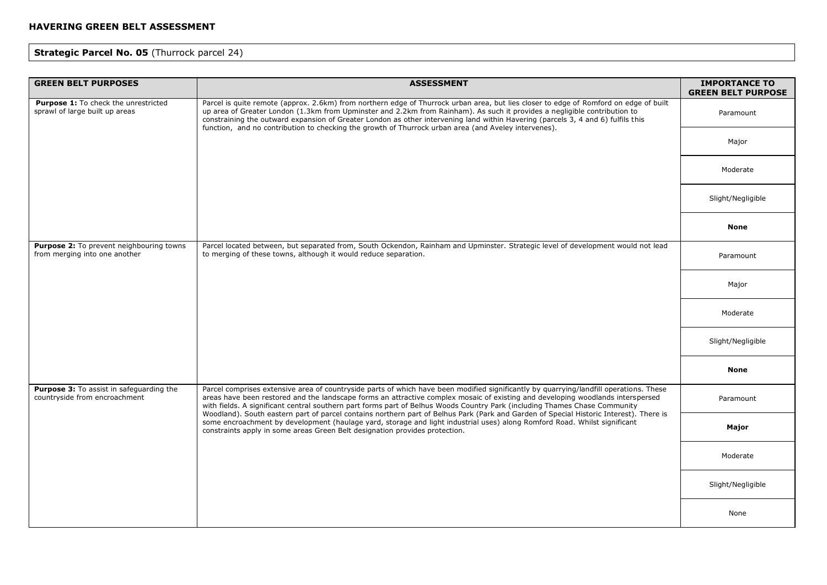# **Strategic Parcel No. 05** (Thurrock parcel 24)

| <b>GREEN BELT PURPOSES</b>                                                       | <b>ASSESSMENT</b>                                                                                                                                                                                                                                                                                                                                                                                                                                                                                                                                                                                                                                                                                                                                             | <b>IMPORTANCE TO</b><br><b>GREEN BELT PURPOSE</b> |
|----------------------------------------------------------------------------------|---------------------------------------------------------------------------------------------------------------------------------------------------------------------------------------------------------------------------------------------------------------------------------------------------------------------------------------------------------------------------------------------------------------------------------------------------------------------------------------------------------------------------------------------------------------------------------------------------------------------------------------------------------------------------------------------------------------------------------------------------------------|---------------------------------------------------|
| Purpose 1: To check the unrestricted<br>sprawl of large built up areas           | Parcel is quite remote (approx. 2.6km) from northern edge of Thurrock urban area, but lies closer to edge of Romford on edge of built<br>up area of Greater London (1.3km from Upminster and 2.2km from Rainham). As such it provides a negligible contribution to<br>constraining the outward expansion of Greater London as other intervening land within Havering (parcels 3, 4 and 6) fulfils this<br>function, and no contribution to checking the growth of Thurrock urban area (and Aveley intervenes).                                                                                                                                                                                                                                                | Paramount                                         |
|                                                                                  |                                                                                                                                                                                                                                                                                                                                                                                                                                                                                                                                                                                                                                                                                                                                                               | Major                                             |
|                                                                                  |                                                                                                                                                                                                                                                                                                                                                                                                                                                                                                                                                                                                                                                                                                                                                               | Moderate                                          |
|                                                                                  |                                                                                                                                                                                                                                                                                                                                                                                                                                                                                                                                                                                                                                                                                                                                                               | Slight/Negligible                                 |
|                                                                                  |                                                                                                                                                                                                                                                                                                                                                                                                                                                                                                                                                                                                                                                                                                                                                               | <b>None</b>                                       |
| Purpose 2: To prevent neighbouring towns<br>from merging into one another        | Parcel located between, but separated from, South Ockendon, Rainham and Upminster. Strategic level of development would not lead<br>to merging of these towns, although it would reduce separation.                                                                                                                                                                                                                                                                                                                                                                                                                                                                                                                                                           | Paramount                                         |
|                                                                                  |                                                                                                                                                                                                                                                                                                                                                                                                                                                                                                                                                                                                                                                                                                                                                               | Major                                             |
|                                                                                  |                                                                                                                                                                                                                                                                                                                                                                                                                                                                                                                                                                                                                                                                                                                                                               | Moderate                                          |
|                                                                                  |                                                                                                                                                                                                                                                                                                                                                                                                                                                                                                                                                                                                                                                                                                                                                               | Slight/Negligible                                 |
|                                                                                  |                                                                                                                                                                                                                                                                                                                                                                                                                                                                                                                                                                                                                                                                                                                                                               | None                                              |
| <b>Purpose 3:</b> To assist in safeguarding the<br>countryside from encroachment | Parcel comprises extensive area of countryside parts of which have been modified significantly by quarrying/landfill operations. These<br>areas have been restored and the landscape forms an attractive complex mosaic of existing and developing woodlands interspersed<br>with fields. A significant central southern part forms part of Belhus Woods Country Park (including Thames Chase Community<br>Woodland). South eastern part of parcel contains northern part of Belhus Park (Park and Garden of Special Historic Interest). There is<br>some encroachment by development (haulage yard, storage and light industrial uses) along Romford Road. Whilst significant<br>constraints apply in some areas Green Belt designation provides protection. | Paramount                                         |
|                                                                                  |                                                                                                                                                                                                                                                                                                                                                                                                                                                                                                                                                                                                                                                                                                                                                               | Major                                             |
|                                                                                  |                                                                                                                                                                                                                                                                                                                                                                                                                                                                                                                                                                                                                                                                                                                                                               | Moderate                                          |
|                                                                                  |                                                                                                                                                                                                                                                                                                                                                                                                                                                                                                                                                                                                                                                                                                                                                               | Slight/Negligible                                 |
|                                                                                  |                                                                                                                                                                                                                                                                                                                                                                                                                                                                                                                                                                                                                                                                                                                                                               | None                                              |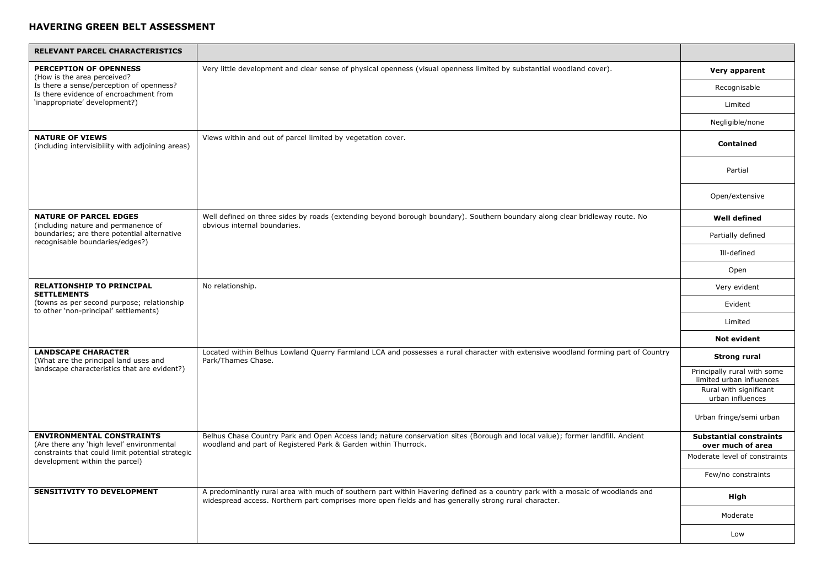| <b>RELEVANT PARCEL CHARACTERISTICS</b>                                              |                                                                                                                                                                                                                                         |                                                         |
|-------------------------------------------------------------------------------------|-----------------------------------------------------------------------------------------------------------------------------------------------------------------------------------------------------------------------------------------|---------------------------------------------------------|
| <b>PERCEPTION OF OPENNESS</b><br>(How is the area perceived?                        | Very little development and clear sense of physical openness (visual openness limited by substantial woodland cover).                                                                                                                   | Very apparent                                           |
| Is there a sense/perception of openness?<br>Is there evidence of encroachment from  |                                                                                                                                                                                                                                         | Recognisable                                            |
| 'inappropriate' development?)                                                       |                                                                                                                                                                                                                                         | Limited                                                 |
|                                                                                     |                                                                                                                                                                                                                                         | Negligible/none                                         |
| <b>NATURE OF VIEWS</b><br>(including intervisibility with adjoining areas)          | Views within and out of parcel limited by vegetation cover.                                                                                                                                                                             | Contained                                               |
|                                                                                     |                                                                                                                                                                                                                                         | Partial                                                 |
|                                                                                     |                                                                                                                                                                                                                                         | Open/extensive                                          |
| <b>NATURE OF PARCEL EDGES</b><br>(including nature and permanence of                | Well defined on three sides by roads (extending beyond borough boundary). Southern boundary along clear bridleway route. No<br>obvious internal boundaries.                                                                             | <b>Well defined</b>                                     |
| boundaries; are there potential alternative<br>recognisable boundaries/edges?)      |                                                                                                                                                                                                                                         | Partially defined                                       |
|                                                                                     |                                                                                                                                                                                                                                         | Ill-defined                                             |
|                                                                                     |                                                                                                                                                                                                                                         | Open                                                    |
| <b>RELATIONSHIP TO PRINCIPAL</b><br><b>SETTLEMENTS</b>                              | No relationship.                                                                                                                                                                                                                        | Very evident                                            |
| (towns as per second purpose; relationship<br>to other 'non-principal' settlements) |                                                                                                                                                                                                                                         | Evident                                                 |
|                                                                                     |                                                                                                                                                                                                                                         | Limited                                                 |
|                                                                                     |                                                                                                                                                                                                                                         | <b>Not evident</b>                                      |
| <b>LANDSCAPE CHARACTER</b><br>(What are the principal land uses and                 | Located within Belhus Lowland Quarry Farmland LCA and possesses a rural character with extensive woodland forming part of Country<br>Park/Thames Chase.                                                                                 | <b>Strong rural</b>                                     |
| landscape characteristics that are evident?)                                        |                                                                                                                                                                                                                                         | Principally rural with some<br>limited urban influences |
|                                                                                     |                                                                                                                                                                                                                                         | Rural with significant<br>urban influences              |
|                                                                                     |                                                                                                                                                                                                                                         | Urban fringe/semi urban                                 |
| <b>ENVIRONMENTAL CONSTRAINTS</b><br>(Are there any 'high level' environmental       | Belhus Chase Country Park and Open Access land; nature conservation sites (Borough and local value); former landfill. Ancient<br>woodland and part of Registered Park & Garden within Thurrock.                                         | <b>Substantial constraints</b><br>over much of area     |
| constraints that could limit potential strategic<br>development within the parcel)  |                                                                                                                                                                                                                                         | Moderate level of constraints                           |
|                                                                                     |                                                                                                                                                                                                                                         | Few/no constraints                                      |
| <b>SENSITIVITY TO DEVELOPMENT</b>                                                   | A predominantly rural area with much of southern part within Havering defined as a country park with a mosaic of woodlands and<br>widespread access. Northern part comprises more open fields and has generally strong rural character. | High                                                    |
|                                                                                     |                                                                                                                                                                                                                                         | Moderate                                                |
|                                                                                     |                                                                                                                                                                                                                                         | Low                                                     |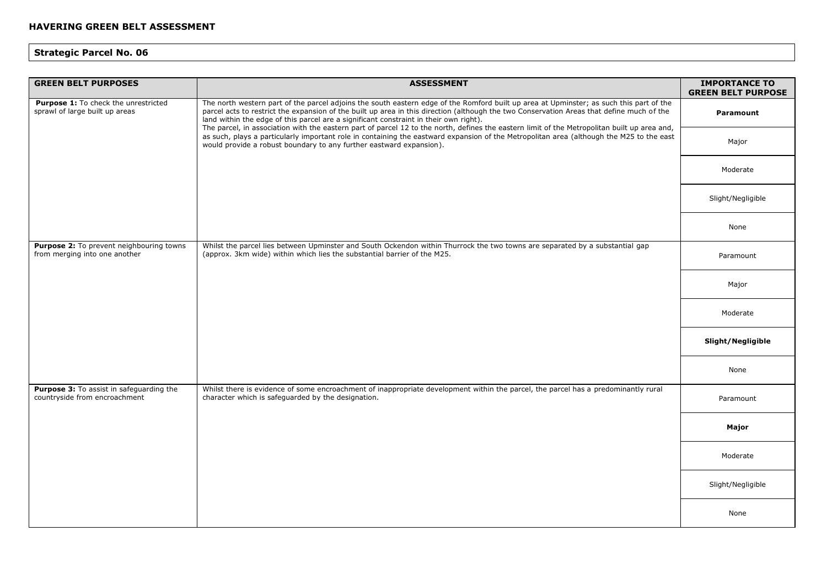| <b>GREEN BELT PURPOSES</b>                                                | <b>ASSESSMENT</b>                                                                                                                                                                                                                                                                                                                                                                                                                                                                                                                                                                                                                                                                                                                                | <b>IMPORTANCE TO</b><br><b>GREEN BELT PURPOSE</b> |
|---------------------------------------------------------------------------|--------------------------------------------------------------------------------------------------------------------------------------------------------------------------------------------------------------------------------------------------------------------------------------------------------------------------------------------------------------------------------------------------------------------------------------------------------------------------------------------------------------------------------------------------------------------------------------------------------------------------------------------------------------------------------------------------------------------------------------------------|---------------------------------------------------|
| Purpose 1: To check the unrestricted<br>sprawl of large built up areas    | The north western part of the parcel adjoins the south eastern edge of the Romford built up area at Upminster; as such this part of the<br>parcel acts to restrict the expansion of the built up area in this direction (although the two Conservation Areas that define much of the<br>land within the edge of this parcel are a significant constraint in their own right).<br>The parcel, in association with the eastern part of parcel 12 to the north, defines the eastern limit of the Metropolitan built up area and,<br>as such, plays a particularly important role in containing the eastward expansion of the Metropolitan area (although the M25 to the east<br>would provide a robust boundary to any further eastward expansion). | Paramount                                         |
|                                                                           |                                                                                                                                                                                                                                                                                                                                                                                                                                                                                                                                                                                                                                                                                                                                                  | Major                                             |
|                                                                           |                                                                                                                                                                                                                                                                                                                                                                                                                                                                                                                                                                                                                                                                                                                                                  | Moderate                                          |
|                                                                           |                                                                                                                                                                                                                                                                                                                                                                                                                                                                                                                                                                                                                                                                                                                                                  | Slight/Negligible                                 |
|                                                                           |                                                                                                                                                                                                                                                                                                                                                                                                                                                                                                                                                                                                                                                                                                                                                  | None                                              |
| Purpose 2: To prevent neighbouring towns<br>from merging into one another | Whilst the parcel lies between Upminster and South Ockendon within Thurrock the two towns are separated by a substantial gap<br>(approx. 3km wide) within which lies the substantial barrier of the M25.                                                                                                                                                                                                                                                                                                                                                                                                                                                                                                                                         | Paramount                                         |
|                                                                           |                                                                                                                                                                                                                                                                                                                                                                                                                                                                                                                                                                                                                                                                                                                                                  | Major                                             |
|                                                                           |                                                                                                                                                                                                                                                                                                                                                                                                                                                                                                                                                                                                                                                                                                                                                  | Moderate                                          |
|                                                                           |                                                                                                                                                                                                                                                                                                                                                                                                                                                                                                                                                                                                                                                                                                                                                  | Slight/Negligible                                 |
|                                                                           |                                                                                                                                                                                                                                                                                                                                                                                                                                                                                                                                                                                                                                                                                                                                                  | None                                              |
| Purpose 3: To assist in safeguarding the<br>countryside from encroachment | Whilst there is evidence of some encroachment of inappropriate development within the parcel, the parcel has a predominantly rural<br>character which is safeguarded by the designation.                                                                                                                                                                                                                                                                                                                                                                                                                                                                                                                                                         | Paramount                                         |
|                                                                           |                                                                                                                                                                                                                                                                                                                                                                                                                                                                                                                                                                                                                                                                                                                                                  | Major                                             |
|                                                                           |                                                                                                                                                                                                                                                                                                                                                                                                                                                                                                                                                                                                                                                                                                                                                  | Moderate                                          |
|                                                                           |                                                                                                                                                                                                                                                                                                                                                                                                                                                                                                                                                                                                                                                                                                                                                  | Slight/Negligible                                 |
|                                                                           |                                                                                                                                                                                                                                                                                                                                                                                                                                                                                                                                                                                                                                                                                                                                                  | None                                              |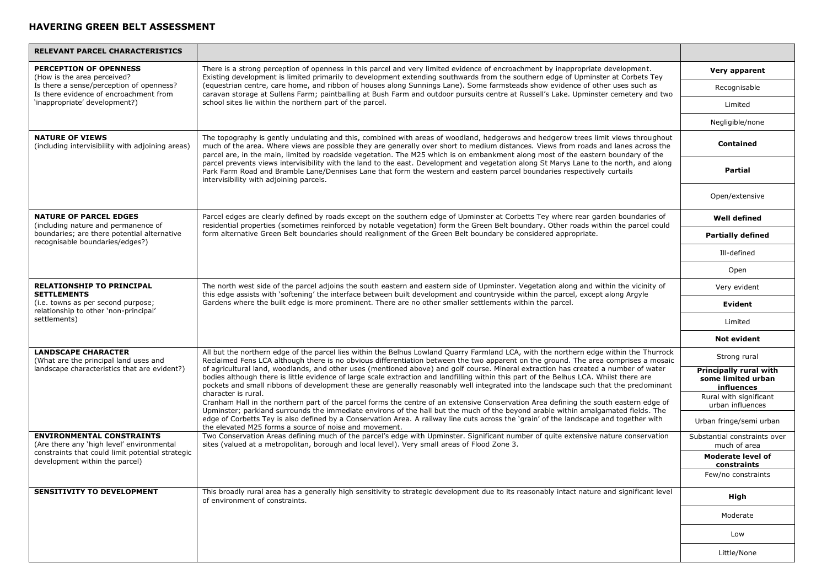| <b>RELEVANT PARCEL CHARACTERISTICS</b>                                             |                                                                                                                                                                                                                                                                                                                                                                                                                                                                                                                                                                                                                                                                                                                                                                                                                                                                         |                                                            |
|------------------------------------------------------------------------------------|-------------------------------------------------------------------------------------------------------------------------------------------------------------------------------------------------------------------------------------------------------------------------------------------------------------------------------------------------------------------------------------------------------------------------------------------------------------------------------------------------------------------------------------------------------------------------------------------------------------------------------------------------------------------------------------------------------------------------------------------------------------------------------------------------------------------------------------------------------------------------|------------------------------------------------------------|
| PERCEPTION OF OPENNESS<br>(How is the area perceived?                              | There is a strong perception of openness in this parcel and very limited evidence of encroachment by inappropriate development.<br>Existing development is limited primarily to development extending southwards from the southern edge of Upminster at Corbets Tey                                                                                                                                                                                                                                                                                                                                                                                                                                                                                                                                                                                                     | Very apparent                                              |
| Is there a sense/perception of openness?<br>Is there evidence of encroachment from | (equestrian centre, care home, and ribbon of houses along Sunnings Lane). Some farmsteads show evidence of other uses such as<br>caravan storage at Sullens Farm; paintballing at Bush Farm and outdoor pursuits centre at Russell's Lake. Upminster cemetery and two                                                                                                                                                                                                                                                                                                                                                                                                                                                                                                                                                                                                   | Recognisable                                               |
| 'inappropriate' development?)                                                      | school sites lie within the northern part of the parcel.                                                                                                                                                                                                                                                                                                                                                                                                                                                                                                                                                                                                                                                                                                                                                                                                                | Limited                                                    |
|                                                                                    |                                                                                                                                                                                                                                                                                                                                                                                                                                                                                                                                                                                                                                                                                                                                                                                                                                                                         | Negligible/none                                            |
| <b>NATURE OF VIEWS</b><br>(including intervisibility with adjoining areas)         | The topography is gently undulating and this, combined with areas of woodland, hedgerows and hedgerow trees limit views throughout<br>much of the area. Where views are possible they are generally over short to medium distances. Views from roads and lanes across the<br>parcel are, in the main, limited by roadside vegetation. The M25 which is on embankment along most of the eastern boundary of the                                                                                                                                                                                                                                                                                                                                                                                                                                                          | <b>Contained</b>                                           |
|                                                                                    | parcel prevents views intervisibility with the land to the east. Development and vegetation along St Marys Lane to the north, and along<br>Park Farm Road and Bramble Lane/Dennises Lane that form the western and eastern parcel boundaries respectively curtails<br>intervisibility with adjoining parcels.                                                                                                                                                                                                                                                                                                                                                                                                                                                                                                                                                           | <b>Partial</b>                                             |
|                                                                                    |                                                                                                                                                                                                                                                                                                                                                                                                                                                                                                                                                                                                                                                                                                                                                                                                                                                                         | Open/extensive                                             |
| <b>NATURE OF PARCEL EDGES</b><br>(including nature and permanence of               | Parcel edges are clearly defined by roads except on the southern edge of Upminster at Corbetts Tey where rear garden boundaries of<br>residential properties (sometimes reinforced by notable vegetation) form the Green Belt boundary. Other roads within the parcel could                                                                                                                                                                                                                                                                                                                                                                                                                                                                                                                                                                                             | <b>Well defined</b>                                        |
| boundaries; are there potential alternative<br>recognisable boundaries/edges?)     | form alternative Green Belt boundaries should realignment of the Green Belt boundary be considered appropriate.                                                                                                                                                                                                                                                                                                                                                                                                                                                                                                                                                                                                                                                                                                                                                         | <b>Partially defined</b>                                   |
|                                                                                    |                                                                                                                                                                                                                                                                                                                                                                                                                                                                                                                                                                                                                                                                                                                                                                                                                                                                         | Ill-defined                                                |
|                                                                                    |                                                                                                                                                                                                                                                                                                                                                                                                                                                                                                                                                                                                                                                                                                                                                                                                                                                                         | Open                                                       |
| <b>RELATIONSHIP TO PRINCIPAL</b><br><b>SETTLEMENTS</b>                             | The north west side of the parcel adjoins the south eastern and eastern side of Upminster. Vegetation along and within the vicinity of<br>this edge assists with 'softening' the interface between built development and countryside within the parcel, except along Argyle<br>Gardens where the built edge is more prominent. There are no other smaller settlements within the parcel.                                                                                                                                                                                                                                                                                                                                                                                                                                                                                | Very evident                                               |
| (i.e. towns as per second purpose;<br>relationship to other 'non-principal'        |                                                                                                                                                                                                                                                                                                                                                                                                                                                                                                                                                                                                                                                                                                                                                                                                                                                                         | Evident                                                    |
| settlements)                                                                       |                                                                                                                                                                                                                                                                                                                                                                                                                                                                                                                                                                                                                                                                                                                                                                                                                                                                         | Limited                                                    |
|                                                                                    |                                                                                                                                                                                                                                                                                                                                                                                                                                                                                                                                                                                                                                                                                                                                                                                                                                                                         | <b>Not evident</b>                                         |
| <b>LANDSCAPE CHARACTER</b><br>(What are the principal land uses and                | All but the northern edge of the parcel lies within the Belhus Lowland Quarry Farmland LCA, with the northern edge within the Thurrock<br>Reclaimed Fens LCA although there is no obvious differentiation between the two apparent on the ground. The area comprises a mosaic<br>of agricultural land, woodlands, and other uses (mentioned above) and golf course. Mineral extraction has created a number of water<br>bodies although there is little evidence of large scale extraction and landfilling within this part of the Belhus LCA. Whilst there are<br>pockets and small ribbons of development these are generally reasonably well integrated into the landscape such that the predominant<br>character is rural.<br>Cranham Hall in the northern part of the parcel forms the centre of an extensive Conservation Area defining the south eastern edge of | Strong rural                                               |
| landscape characteristics that are evident?)                                       |                                                                                                                                                                                                                                                                                                                                                                                                                                                                                                                                                                                                                                                                                                                                                                                                                                                                         | Principally rural with<br>some limited urban<br>influences |
|                                                                                    |                                                                                                                                                                                                                                                                                                                                                                                                                                                                                                                                                                                                                                                                                                                                                                                                                                                                         | Rural with significant<br>urban influences                 |
|                                                                                    | Upminster; parkland surrounds the immediate environs of the hall but the much of the beyond arable within amalgamated fields. The<br>edge of Corbetts Tey is also defined by a Conservation Area. A railway line cuts across the 'grain' of the landscape and together with<br>the elevated M25 forms a source of noise and movement.                                                                                                                                                                                                                                                                                                                                                                                                                                                                                                                                   | Urban fringe/semi urban                                    |
| <b>ENVIRONMENTAL CONSTRAINTS</b><br>(Are there any 'high level' environmental      | Two Conservation Areas defining much of the parcel's edge with Upminster. Significant number of quite extensive nature conservation<br>sites (valued at a metropolitan, borough and local level). Very small areas of Flood Zone 3.                                                                                                                                                                                                                                                                                                                                                                                                                                                                                                                                                                                                                                     | Substantial constraints over<br>much of area               |
| constraints that could limit potential strategic<br>development within the parcel) |                                                                                                                                                                                                                                                                                                                                                                                                                                                                                                                                                                                                                                                                                                                                                                                                                                                                         | <b>Moderate level of</b><br>constraints                    |
|                                                                                    |                                                                                                                                                                                                                                                                                                                                                                                                                                                                                                                                                                                                                                                                                                                                                                                                                                                                         | Few/no constraints                                         |
| <b>SENSITIVITY TO DEVELOPMENT</b>                                                  | This broadly rural area has a generally high sensitivity to strategic development due to its reasonably intact nature and significant level<br>of environment of constraints.                                                                                                                                                                                                                                                                                                                                                                                                                                                                                                                                                                                                                                                                                           | High                                                       |
|                                                                                    |                                                                                                                                                                                                                                                                                                                                                                                                                                                                                                                                                                                                                                                                                                                                                                                                                                                                         | Moderate                                                   |
|                                                                                    |                                                                                                                                                                                                                                                                                                                                                                                                                                                                                                                                                                                                                                                                                                                                                                                                                                                                         | Low                                                        |
|                                                                                    |                                                                                                                                                                                                                                                                                                                                                                                                                                                                                                                                                                                                                                                                                                                                                                                                                                                                         | Little/None                                                |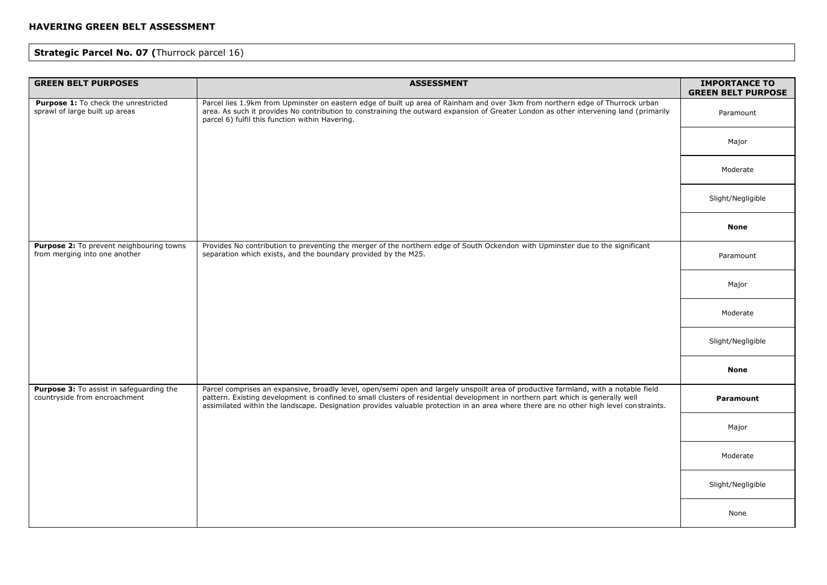# **Strategic Parcel No. 07 (**Thurrock parcel 16)

| <b>GREEN BELT PURPOSES</b>                                                | <b>ASSESSMENT</b>                                                                                                                                                                                                                                                                                                                                                                                                | <b>IMPORTANCE TO</b><br><b>GREEN BELT PURPOSE</b> |
|---------------------------------------------------------------------------|------------------------------------------------------------------------------------------------------------------------------------------------------------------------------------------------------------------------------------------------------------------------------------------------------------------------------------------------------------------------------------------------------------------|---------------------------------------------------|
| Purpose 1: To check the unrestricted<br>sprawl of large built up areas    | Parcel lies 1.9km from Upminster on eastern edge of built up area of Rainham and over 3km from northern edge of Thurrock urban<br>area. As such it provides No contribution to constraining the outward expansion of Greater London as other intervening land (primarily<br>parcel 6) fulfil this function within Havering.                                                                                      | Paramount                                         |
|                                                                           |                                                                                                                                                                                                                                                                                                                                                                                                                  | Major                                             |
|                                                                           |                                                                                                                                                                                                                                                                                                                                                                                                                  | Moderate                                          |
|                                                                           |                                                                                                                                                                                                                                                                                                                                                                                                                  | Slight/Negligible                                 |
|                                                                           |                                                                                                                                                                                                                                                                                                                                                                                                                  | <b>None</b>                                       |
| Purpose 2: To prevent neighbouring towns<br>from merging into one another | Provides No contribution to preventing the merger of the northern edge of South Ockendon with Upminster due to the significant<br>separation which exists, and the boundary provided by the M25.                                                                                                                                                                                                                 | Paramount                                         |
|                                                                           |                                                                                                                                                                                                                                                                                                                                                                                                                  | Major                                             |
|                                                                           |                                                                                                                                                                                                                                                                                                                                                                                                                  | Moderate                                          |
|                                                                           |                                                                                                                                                                                                                                                                                                                                                                                                                  | Slight/Negligible                                 |
|                                                                           |                                                                                                                                                                                                                                                                                                                                                                                                                  | <b>None</b>                                       |
| Purpose 3: To assist in safeguarding the<br>countryside from encroachment | Parcel comprises an expansive, broadly level, open/semi open and largely unspoilt area of productive farmland, with a notable field<br>pattern. Existing development is confined to small clusters of residential development in northern part which is generally well<br>assimilated within the landscape. Designation provides valuable protection in an area where there are no other high level constraints. | Paramount                                         |
|                                                                           |                                                                                                                                                                                                                                                                                                                                                                                                                  | Major                                             |
|                                                                           |                                                                                                                                                                                                                                                                                                                                                                                                                  | Moderate                                          |
|                                                                           |                                                                                                                                                                                                                                                                                                                                                                                                                  | Slight/Negligible                                 |
|                                                                           |                                                                                                                                                                                                                                                                                                                                                                                                                  | None                                              |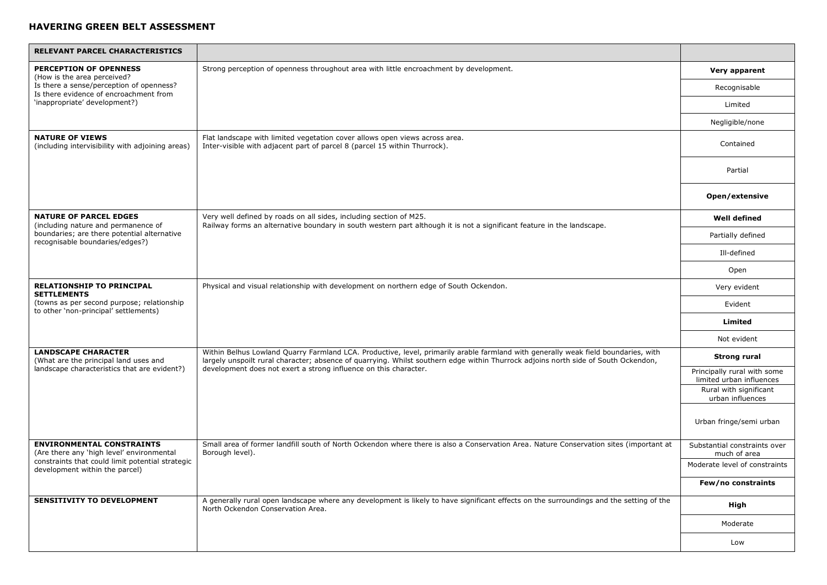| RELEVANT PARCEL CHARACTERISTICS                                                     |                                                                                                                                                                                                                                                                                                                                              |                                                         |
|-------------------------------------------------------------------------------------|----------------------------------------------------------------------------------------------------------------------------------------------------------------------------------------------------------------------------------------------------------------------------------------------------------------------------------------------|---------------------------------------------------------|
| <b>PERCEPTION OF OPENNESS</b><br>(How is the area perceived?                        | Strong perception of openness throughout area with little encroachment by development.                                                                                                                                                                                                                                                       | Very apparent                                           |
| Is there a sense/perception of openness?<br>Is there evidence of encroachment from  |                                                                                                                                                                                                                                                                                                                                              | Recognisable                                            |
| 'inappropriate' development?)                                                       |                                                                                                                                                                                                                                                                                                                                              | Limited                                                 |
|                                                                                     |                                                                                                                                                                                                                                                                                                                                              | Negligible/none                                         |
| <b>NATURE OF VIEWS</b><br>(including intervisibility with adjoining areas)          | Flat landscape with limited vegetation cover allows open views across area.<br>Inter-visible with adjacent part of parcel 8 (parcel 15 within Thurrock).                                                                                                                                                                                     | Contained                                               |
|                                                                                     |                                                                                                                                                                                                                                                                                                                                              | Partial                                                 |
|                                                                                     |                                                                                                                                                                                                                                                                                                                                              | Open/extensive                                          |
| <b>NATURE OF PARCEL EDGES</b><br>(including nature and permanence of                | Very well defined by roads on all sides, including section of M25.<br>Railway forms an alternative boundary in south western part although it is not a significant feature in the landscape.                                                                                                                                                 | <b>Well defined</b>                                     |
| boundaries; are there potential alternative<br>recognisable boundaries/edges?)      |                                                                                                                                                                                                                                                                                                                                              | Partially defined                                       |
|                                                                                     |                                                                                                                                                                                                                                                                                                                                              | Ill-defined                                             |
|                                                                                     |                                                                                                                                                                                                                                                                                                                                              | Open                                                    |
| <b>RELATIONSHIP TO PRINCIPAL</b><br><b>SETTLEMENTS</b>                              | Physical and visual relationship with development on northern edge of South Ockendon.                                                                                                                                                                                                                                                        | Very evident                                            |
| (towns as per second purpose; relationship<br>to other 'non-principal' settlements) |                                                                                                                                                                                                                                                                                                                                              | Evident                                                 |
|                                                                                     |                                                                                                                                                                                                                                                                                                                                              | Limited                                                 |
|                                                                                     |                                                                                                                                                                                                                                                                                                                                              | Not evident                                             |
| <b>LANDSCAPE CHARACTER</b><br>(What are the principal land uses and                 | Within Belhus Lowland Quarry Farmland LCA. Productive, level, primarily arable farmland with generally weak field boundaries, with<br>largely unspoilt rural character; absence of quarrying. Whilst southern edge within Thurrock adjoins north side of South Ockendon,<br>development does not exert a strong influence on this character. | Strong rural                                            |
| landscape characteristics that are evident?)                                        |                                                                                                                                                                                                                                                                                                                                              | Principally rural with some<br>limited urban influences |
|                                                                                     |                                                                                                                                                                                                                                                                                                                                              | Rural with significant<br>urban influences              |
|                                                                                     |                                                                                                                                                                                                                                                                                                                                              | Urban fringe/semi urban                                 |
| <b>ENVIRONMENTAL CONSTRAINTS</b><br>(Are there any 'high level' environmental       | Small area of former landfill south of North Ockendon where there is also a Conservation Area. Nature Conservation sites (important at<br>Borough level).                                                                                                                                                                                    | Substantial constraints over<br>much of area            |
| constraints that could limit potential strategic<br>development within the parcel)  |                                                                                                                                                                                                                                                                                                                                              | Moderate level of constraints                           |
|                                                                                     |                                                                                                                                                                                                                                                                                                                                              | Few/no constraints                                      |
| <b>SENSITIVITY TO DEVELOPMENT</b>                                                   | A generally rural open landscape where any development is likely to have significant effects on the surroundings and the setting of the<br>North Ockendon Conservation Area.                                                                                                                                                                 | High                                                    |
|                                                                                     |                                                                                                                                                                                                                                                                                                                                              | Moderate                                                |
|                                                                                     |                                                                                                                                                                                                                                                                                                                                              | Low                                                     |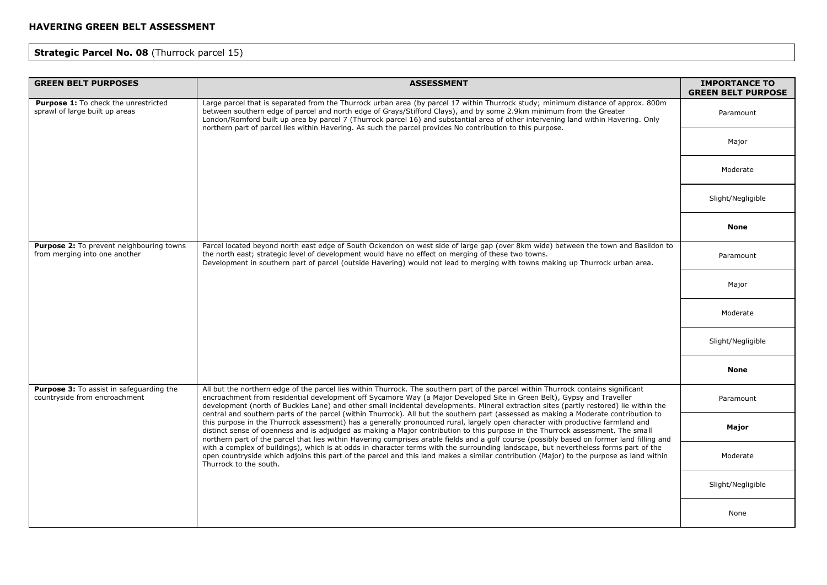# **Strategic Parcel No. 08** (Thurrock parcel 15)

| <b>GREEN BELT PURPOSES</b>                                                       | <b>ASSESSMENT</b>                                                                                                                                                                                                                                                                                                                                                                                                                                                                                                                                                                                                                                                                                                                                                                                                                                                                                                                                                                                                                                                                                                                                                                                                                                                              | <b>IMPORTANCE TO</b><br><b>GREEN BELT PURPOSE</b> |
|----------------------------------------------------------------------------------|--------------------------------------------------------------------------------------------------------------------------------------------------------------------------------------------------------------------------------------------------------------------------------------------------------------------------------------------------------------------------------------------------------------------------------------------------------------------------------------------------------------------------------------------------------------------------------------------------------------------------------------------------------------------------------------------------------------------------------------------------------------------------------------------------------------------------------------------------------------------------------------------------------------------------------------------------------------------------------------------------------------------------------------------------------------------------------------------------------------------------------------------------------------------------------------------------------------------------------------------------------------------------------|---------------------------------------------------|
| Purpose 1: To check the unrestricted<br>sprawl of large built up areas           | Large parcel that is separated from the Thurrock urban area (by parcel 17 within Thurrock study; minimum distance of approx. 800m<br>between southern edge of parcel and north edge of Grays/Stifford Clays), and by some 2.9km minimum from the Greater<br>London/Romford built up area by parcel 7 (Thurrock parcel 16) and substantial area of other intervening land within Havering. Only<br>northern part of parcel lies within Havering. As such the parcel provides No contribution to this purpose.                                                                                                                                                                                                                                                                                                                                                                                                                                                                                                                                                                                                                                                                                                                                                                   | Paramount                                         |
|                                                                                  |                                                                                                                                                                                                                                                                                                                                                                                                                                                                                                                                                                                                                                                                                                                                                                                                                                                                                                                                                                                                                                                                                                                                                                                                                                                                                | Major                                             |
|                                                                                  |                                                                                                                                                                                                                                                                                                                                                                                                                                                                                                                                                                                                                                                                                                                                                                                                                                                                                                                                                                                                                                                                                                                                                                                                                                                                                | Moderate                                          |
|                                                                                  |                                                                                                                                                                                                                                                                                                                                                                                                                                                                                                                                                                                                                                                                                                                                                                                                                                                                                                                                                                                                                                                                                                                                                                                                                                                                                | Slight/Negligible                                 |
|                                                                                  |                                                                                                                                                                                                                                                                                                                                                                                                                                                                                                                                                                                                                                                                                                                                                                                                                                                                                                                                                                                                                                                                                                                                                                                                                                                                                | <b>None</b>                                       |
| Purpose 2: To prevent neighbouring towns<br>from merging into one another        | Parcel located beyond north east edge of South Ockendon on west side of large gap (over 8km wide) between the town and Basildon to<br>the north east; strategic level of development would have no effect on merging of these two towns.<br>Development in southern part of parcel (outside Havering) would not lead to merging with towns making up Thurrock urban area.                                                                                                                                                                                                                                                                                                                                                                                                                                                                                                                                                                                                                                                                                                                                                                                                                                                                                                      | Paramount                                         |
|                                                                                  |                                                                                                                                                                                                                                                                                                                                                                                                                                                                                                                                                                                                                                                                                                                                                                                                                                                                                                                                                                                                                                                                                                                                                                                                                                                                                | Major                                             |
|                                                                                  |                                                                                                                                                                                                                                                                                                                                                                                                                                                                                                                                                                                                                                                                                                                                                                                                                                                                                                                                                                                                                                                                                                                                                                                                                                                                                | Moderate                                          |
|                                                                                  |                                                                                                                                                                                                                                                                                                                                                                                                                                                                                                                                                                                                                                                                                                                                                                                                                                                                                                                                                                                                                                                                                                                                                                                                                                                                                | Slight/Negligible                                 |
|                                                                                  |                                                                                                                                                                                                                                                                                                                                                                                                                                                                                                                                                                                                                                                                                                                                                                                                                                                                                                                                                                                                                                                                                                                                                                                                                                                                                | <b>None</b>                                       |
| <b>Purpose 3:</b> To assist in safeguarding the<br>countryside from encroachment | All but the northern edge of the parcel lies within Thurrock. The southern part of the parcel within Thurrock contains significant<br>encroachment from residential development off Sycamore Way (a Major Developed Site in Green Belt), Gypsy and Traveller<br>development (north of Buckles Lane) and other small incidental developments. Mineral extraction sites (partly restored) lie within the<br>central and southern parts of the parcel (within Thurrock). All but the southern part (assessed as making a Moderate contribution to<br>this purpose in the Thurrock assessment) has a generally pronounced rural, largely open character with productive farmland and<br>distinct sense of openness and is adjudged as making a Major contribution to this purpose in the Thurrock assessment. The small<br>northern part of the parcel that lies within Havering comprises arable fields and a golf course (possibly based on former land filling and<br>with a complex of buildings), which is at odds in character terms with the surrounding landscape, but nevertheless forms part of the<br>open countryside which adjoins this part of the parcel and this land makes a similar contribution (Major) to the purpose as land within<br>Thurrock to the south. | Paramount                                         |
|                                                                                  |                                                                                                                                                                                                                                                                                                                                                                                                                                                                                                                                                                                                                                                                                                                                                                                                                                                                                                                                                                                                                                                                                                                                                                                                                                                                                | Major                                             |
|                                                                                  |                                                                                                                                                                                                                                                                                                                                                                                                                                                                                                                                                                                                                                                                                                                                                                                                                                                                                                                                                                                                                                                                                                                                                                                                                                                                                | Moderate                                          |
|                                                                                  |                                                                                                                                                                                                                                                                                                                                                                                                                                                                                                                                                                                                                                                                                                                                                                                                                                                                                                                                                                                                                                                                                                                                                                                                                                                                                | Slight/Negligible                                 |
|                                                                                  |                                                                                                                                                                                                                                                                                                                                                                                                                                                                                                                                                                                                                                                                                                                                                                                                                                                                                                                                                                                                                                                                                                                                                                                                                                                                                | None                                              |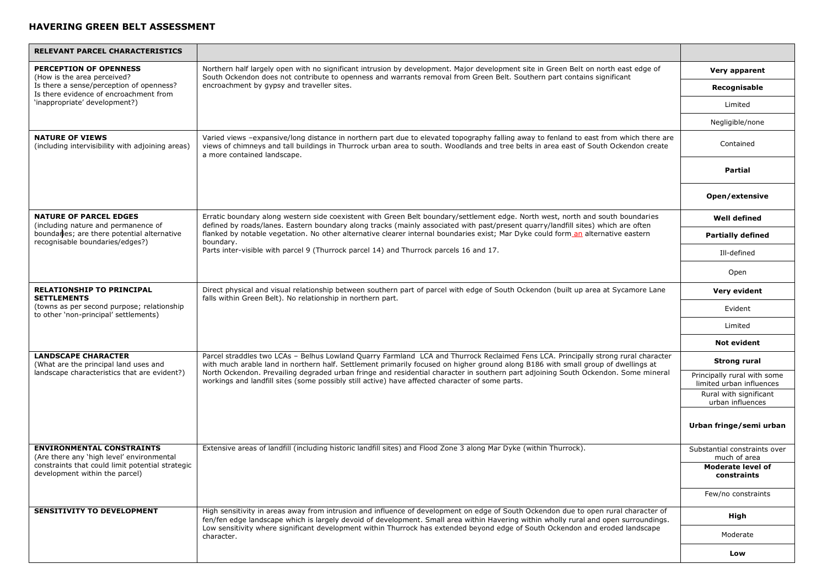| RELEVANT PARCEL CHARACTERISTICS                                                      |                                                                                                                                                                                                                                                                                                                                                                                                                                                                                                                  |                                                         |
|--------------------------------------------------------------------------------------|------------------------------------------------------------------------------------------------------------------------------------------------------------------------------------------------------------------------------------------------------------------------------------------------------------------------------------------------------------------------------------------------------------------------------------------------------------------------------------------------------------------|---------------------------------------------------------|
| <b>PERCEPTION OF OPENNESS</b><br>(How is the area perceived?                         | Northern half largely open with no significant intrusion by development. Major development site in Green Belt on north east edge of<br>South Ockendon does not contribute to openness and warrants removal from Green Belt. Southern part contains significant                                                                                                                                                                                                                                                   | Very apparent                                           |
| Is there a sense/perception of openness?<br>Is there evidence of encroachment from   | encroachment by gypsy and traveller sites.                                                                                                                                                                                                                                                                                                                                                                                                                                                                       | Recognisable                                            |
| 'inappropriate' development?)                                                        |                                                                                                                                                                                                                                                                                                                                                                                                                                                                                                                  | Limited                                                 |
|                                                                                      |                                                                                                                                                                                                                                                                                                                                                                                                                                                                                                                  | Negligible/none                                         |
| <b>NATURE OF VIEWS</b><br>(including intervisibility with adjoining areas)           | Varied views -expansive/long distance in northern part due to elevated topography falling away to fenland to east from which there are<br>views of chimneys and tall buildings in Thurrock urban area to south. Woodlands and tree belts in area east of South Ockendon create<br>a more contained landscape.                                                                                                                                                                                                    | Contained                                               |
|                                                                                      |                                                                                                                                                                                                                                                                                                                                                                                                                                                                                                                  | <b>Partial</b>                                          |
|                                                                                      |                                                                                                                                                                                                                                                                                                                                                                                                                                                                                                                  | Open/extensive                                          |
| <b>NATURE OF PARCEL EDGES</b><br>(including nature and permanence of                 | Erratic boundary along western side coexistent with Green Belt boundary/settlement edge. North west, north and south boundaries<br>defined by roads/lanes. Eastern boundary along tracks (mainly associated with past/present quarry/landfill sites) which are often                                                                                                                                                                                                                                             | <b>Well defined</b>                                     |
| boundaries; are there potential alternative<br>recognisable boundaries/edges?)       | flanked by notable vegetation. No other alternative clearer internal boundaries exist; Mar Dyke could form an alternative eastern<br>boundary.                                                                                                                                                                                                                                                                                                                                                                   | <b>Partially defined</b>                                |
|                                                                                      | Parts inter-visible with parcel 9 (Thurrock parcel 14) and Thurrock parcels 16 and 17.                                                                                                                                                                                                                                                                                                                                                                                                                           | Ill-defined                                             |
|                                                                                      |                                                                                                                                                                                                                                                                                                                                                                                                                                                                                                                  | Open                                                    |
| <b>RELATIONSHIP TO PRINCIPAL</b><br><b>SETTLEMENTS</b>                               | Direct physical and visual relationship between southern part of parcel with edge of South Ockendon (built up area at Sycamore Lane<br>falls within Green Belt). No relationship in northern part.                                                                                                                                                                                                                                                                                                               | Very evident                                            |
| (towns as per second purpose; relationship)<br>to other 'non-principal' settlements) |                                                                                                                                                                                                                                                                                                                                                                                                                                                                                                                  | Evident                                                 |
|                                                                                      |                                                                                                                                                                                                                                                                                                                                                                                                                                                                                                                  | Limited                                                 |
|                                                                                      |                                                                                                                                                                                                                                                                                                                                                                                                                                                                                                                  | <b>Not evident</b>                                      |
| <b>LANDSCAPE CHARACTER</b><br>(What are the principal land uses and                  | Parcel straddles two LCAs - Belhus Lowland Quarry Farmland LCA and Thurrock Reclaimed Fens LCA. Principally strong rural character<br>with much arable land in northern half. Settlement primarily focused on higher ground along B186 with small group of dwellings at<br>North Ockendon. Prevailing degraded urban fringe and residential character in southern part adjoining South Ockendon. Some mineral<br>workings and landfill sites (some possibly still active) have affected character of some parts. | Strong rural                                            |
| landscape characteristics that are evident?)                                         |                                                                                                                                                                                                                                                                                                                                                                                                                                                                                                                  | Principally rural with some<br>limited urban influences |
|                                                                                      |                                                                                                                                                                                                                                                                                                                                                                                                                                                                                                                  | Rural with significant<br>urban influences              |
|                                                                                      |                                                                                                                                                                                                                                                                                                                                                                                                                                                                                                                  | Urban fringe/semi urban                                 |
| <b>ENVIRONMENTAL CONSTRAINTS</b><br>(Are there any 'high level' environmental        | Extensive areas of landfill (including historic landfill sites) and Flood Zone 3 along Mar Dyke (within Thurrock).                                                                                                                                                                                                                                                                                                                                                                                               | Substantial constraints over<br>much of area            |
| constraints that could limit potential strategic<br>development within the parcel)   |                                                                                                                                                                                                                                                                                                                                                                                                                                                                                                                  | Moderate level of<br>constraints                        |
|                                                                                      |                                                                                                                                                                                                                                                                                                                                                                                                                                                                                                                  | Few/no constraints                                      |
| <b>SENSITIVITY TO DEVELOPMENT</b>                                                    | High sensitivity in areas away from intrusion and influence of development on edge of South Ockendon due to open rural character of<br>fen/fen edge landscape which is largely devoid of development. Small area within Havering within wholly rural and open surroundings.<br>Low sensitivity where significant development within Thurrock has extended beyond edge of South Ockendon and eroded landscape<br>character.                                                                                       | High                                                    |
|                                                                                      |                                                                                                                                                                                                                                                                                                                                                                                                                                                                                                                  | Moderate                                                |
|                                                                                      |                                                                                                                                                                                                                                                                                                                                                                                                                                                                                                                  | Low                                                     |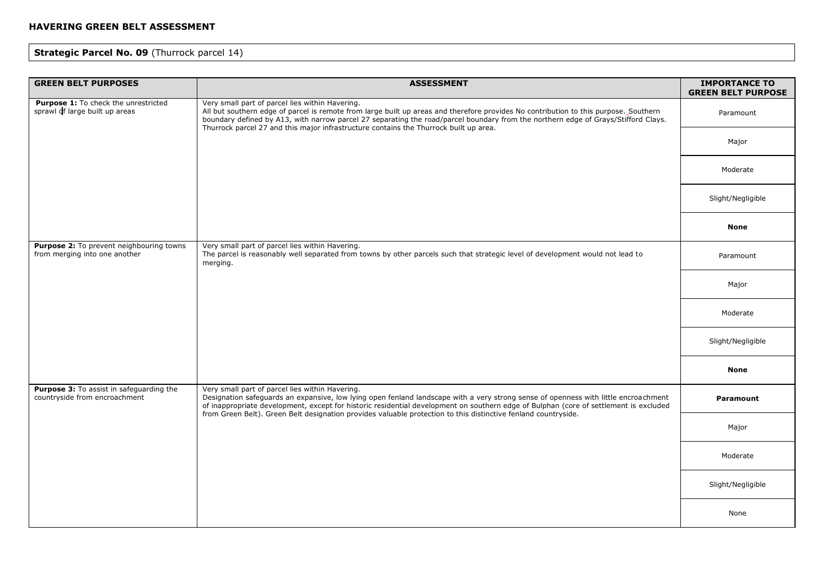# **Strategic Parcel No. 09 (Thurrock parcel 14)**

| <b>GREEN BELT PURPOSES</b>                                                | <b>ASSESSMENT</b>                                                                                                                                                                                                                                                                                                                                                                                                                                 | <b>IMPORTANCE TO</b><br><b>GREEN BELT PURPOSE</b> |
|---------------------------------------------------------------------------|---------------------------------------------------------------------------------------------------------------------------------------------------------------------------------------------------------------------------------------------------------------------------------------------------------------------------------------------------------------------------------------------------------------------------------------------------|---------------------------------------------------|
| Purpose 1: To check the unrestricted<br>sprawl of large built up areas    | Very small part of parcel lies within Havering.<br>All but southern edge of parcel is remote from large built up areas and therefore provides No contribution to this purpose. Southern<br>boundary defined by A13, with narrow parcel 27 separating the road/parcel boundary from the northern edge of Grays/Stifford Clays.<br>Thurrock parcel 27 and this major infrastructure contains the Thurrock built up area.                            | Paramount                                         |
|                                                                           |                                                                                                                                                                                                                                                                                                                                                                                                                                                   | Major                                             |
|                                                                           |                                                                                                                                                                                                                                                                                                                                                                                                                                                   | Moderate                                          |
|                                                                           |                                                                                                                                                                                                                                                                                                                                                                                                                                                   | Slight/Negligible                                 |
|                                                                           |                                                                                                                                                                                                                                                                                                                                                                                                                                                   | <b>None</b>                                       |
| Purpose 2: To prevent neighbouring towns<br>from merging into one another | Very small part of parcel lies within Havering.<br>The parcel is reasonably well separated from towns by other parcels such that strategic level of development would not lead to<br>merging.                                                                                                                                                                                                                                                     | Paramount                                         |
|                                                                           |                                                                                                                                                                                                                                                                                                                                                                                                                                                   | Major                                             |
|                                                                           |                                                                                                                                                                                                                                                                                                                                                                                                                                                   | Moderate                                          |
|                                                                           |                                                                                                                                                                                                                                                                                                                                                                                                                                                   | Slight/Negligible                                 |
|                                                                           |                                                                                                                                                                                                                                                                                                                                                                                                                                                   | <b>None</b>                                       |
| Purpose 3: To assist in safeguarding the<br>countryside from encroachment | Very small part of parcel lies within Havering.<br>Designation safeguards an expansive, low lying open fenland landscape with a very strong sense of openness with little encroachment<br>of inappropriate development, except for historic residential development on southern edge of Bulphan (core of settlement is excluded<br>from Green Belt). Green Belt designation provides valuable protection to this distinctive fenland countryside. | Paramount                                         |
|                                                                           |                                                                                                                                                                                                                                                                                                                                                                                                                                                   | Major                                             |
|                                                                           |                                                                                                                                                                                                                                                                                                                                                                                                                                                   | Moderate                                          |
|                                                                           |                                                                                                                                                                                                                                                                                                                                                                                                                                                   | Slight/Negligible                                 |
|                                                                           |                                                                                                                                                                                                                                                                                                                                                                                                                                                   | None                                              |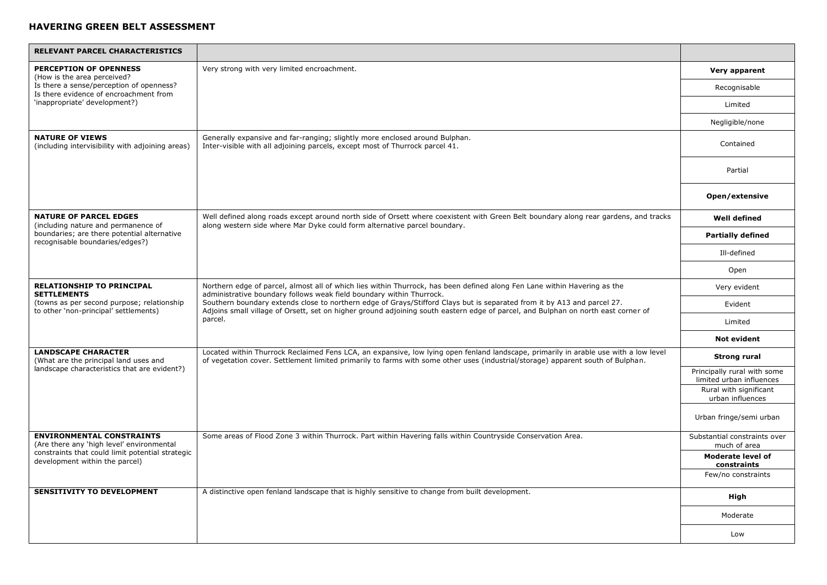| <b>RELEVANT PARCEL CHARACTERISTICS</b>                                              |                                                                                                                                                                                                                                                                                                                                                                                                                                                                              |                                                         |
|-------------------------------------------------------------------------------------|------------------------------------------------------------------------------------------------------------------------------------------------------------------------------------------------------------------------------------------------------------------------------------------------------------------------------------------------------------------------------------------------------------------------------------------------------------------------------|---------------------------------------------------------|
| <b>PERCEPTION OF OPENNESS</b><br>(How is the area perceived?                        | Very strong with very limited encroachment.                                                                                                                                                                                                                                                                                                                                                                                                                                  | Very apparent                                           |
| Is there a sense/perception of openness?<br>Is there evidence of encroachment from  |                                                                                                                                                                                                                                                                                                                                                                                                                                                                              | Recognisable                                            |
| 'inappropriate' development?)                                                       |                                                                                                                                                                                                                                                                                                                                                                                                                                                                              | Limited                                                 |
|                                                                                     |                                                                                                                                                                                                                                                                                                                                                                                                                                                                              | Negligible/none                                         |
| <b>NATURE OF VIEWS</b><br>(including intervisibility with adjoining areas)          | Generally expansive and far-ranging; slightly more enclosed around Bulphan.<br>Inter-visible with all adjoining parcels, except most of Thurrock parcel 41.                                                                                                                                                                                                                                                                                                                  | Contained                                               |
|                                                                                     |                                                                                                                                                                                                                                                                                                                                                                                                                                                                              | Partial                                                 |
|                                                                                     |                                                                                                                                                                                                                                                                                                                                                                                                                                                                              | Open/extensive                                          |
| <b>NATURE OF PARCEL EDGES</b><br>(including nature and permanence of                | Well defined along roads except around north side of Orsett where coexistent with Green Belt boundary along rear gardens, and tracks<br>along western side where Mar Dyke could form alternative parcel boundary.                                                                                                                                                                                                                                                            | <b>Well defined</b>                                     |
| boundaries; are there potential alternative<br>recognisable boundaries/edges?)      |                                                                                                                                                                                                                                                                                                                                                                                                                                                                              | <b>Partially defined</b>                                |
|                                                                                     |                                                                                                                                                                                                                                                                                                                                                                                                                                                                              | Ill-defined                                             |
|                                                                                     |                                                                                                                                                                                                                                                                                                                                                                                                                                                                              | Open                                                    |
| <b>RELATIONSHIP TO PRINCIPAL</b><br><b>SETTLEMENTS</b>                              | Northern edge of parcel, almost all of which lies within Thurrock, has been defined along Fen Lane within Havering as the<br>administrative boundary follows weak field boundary within Thurrock.<br>Southern boundary extends close to northern edge of Grays/Stifford Clays but is separated from it by A13 and parcel 27.<br>Adjoins small village of Orsett, set on higher ground adjoining south eastern edge of parcel, and Bulphan on north east corner of<br>parcel. | Very evident                                            |
| (towns as per second purpose; relationship<br>to other 'non-principal' settlements) |                                                                                                                                                                                                                                                                                                                                                                                                                                                                              | Evident                                                 |
|                                                                                     |                                                                                                                                                                                                                                                                                                                                                                                                                                                                              | Limited                                                 |
|                                                                                     |                                                                                                                                                                                                                                                                                                                                                                                                                                                                              | <b>Not evident</b>                                      |
| <b>LANDSCAPE CHARACTER</b><br>(What are the principal land uses and                 | Located within Thurrock Reclaimed Fens LCA, an expansive, low lying open fenland landscape, primarily in arable use with a low level<br>of vegetation cover. Settlement limited primarily to farms with some other uses (industrial/storage) apparent south of Bulphan.                                                                                                                                                                                                      | <b>Strong rural</b>                                     |
| landscape characteristics that are evident?)                                        |                                                                                                                                                                                                                                                                                                                                                                                                                                                                              | Principally rural with some<br>limited urban influences |
|                                                                                     |                                                                                                                                                                                                                                                                                                                                                                                                                                                                              | Rural with significant<br>urban influences              |
|                                                                                     |                                                                                                                                                                                                                                                                                                                                                                                                                                                                              | Urban fringe/semi urban                                 |
| <b>ENVIRONMENTAL CONSTRAINTS</b><br>(Are there any 'high level' environmental       | Some areas of Flood Zone 3 within Thurrock. Part within Havering falls within Countryside Conservation Area.                                                                                                                                                                                                                                                                                                                                                                 | Substantial constraints over<br>much of area            |
| constraints that could limit potential strategic<br>development within the parcel)  |                                                                                                                                                                                                                                                                                                                                                                                                                                                                              | <b>Moderate level of</b><br>constraints                 |
|                                                                                     |                                                                                                                                                                                                                                                                                                                                                                                                                                                                              | Few/no constraints                                      |
| <b>SENSITIVITY TO DEVELOPMENT</b>                                                   | A distinctive open fenland landscape that is highly sensitive to change from built development.                                                                                                                                                                                                                                                                                                                                                                              | High                                                    |
|                                                                                     |                                                                                                                                                                                                                                                                                                                                                                                                                                                                              | Moderate                                                |
|                                                                                     |                                                                                                                                                                                                                                                                                                                                                                                                                                                                              | Low                                                     |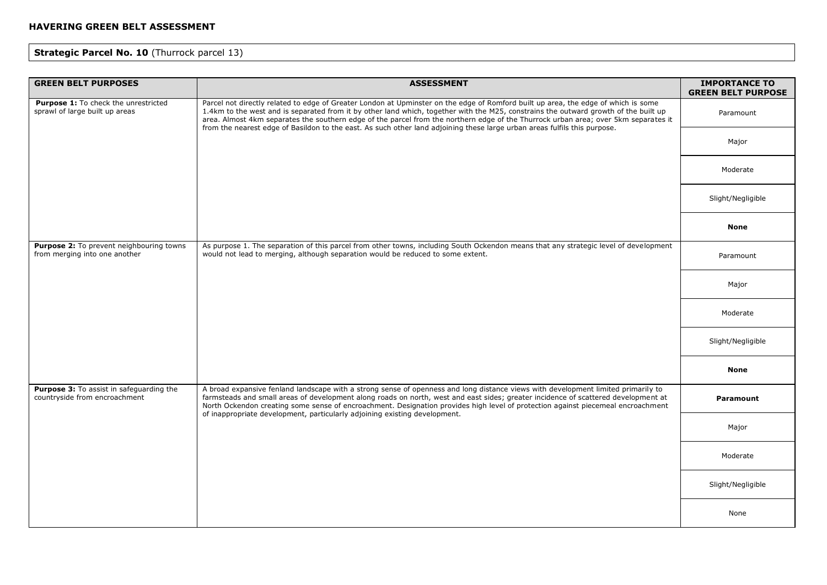# **Strategic Parcel No. 10 (Thurrock parcel 13)**

| <b>GREEN BELT PURPOSES</b>                                                | <b>ASSESSMENT</b>                                                                                                                                                                                                                                                                                                                                                                                                                                                                                                                              | <b>IMPORTANCE TO</b><br><b>GREEN BELT PURPOSE</b> |
|---------------------------------------------------------------------------|------------------------------------------------------------------------------------------------------------------------------------------------------------------------------------------------------------------------------------------------------------------------------------------------------------------------------------------------------------------------------------------------------------------------------------------------------------------------------------------------------------------------------------------------|---------------------------------------------------|
| Purpose 1: To check the unrestricted<br>sprawl of large built up areas    | Parcel not directly related to edge of Greater London at Upminster on the edge of Romford built up area, the edge of which is some<br>1.4km to the west and is separated from it by other land which, together with the M25, constrains the outward growth of the built up<br>area. Almost 4km separates the southern edge of the parcel from the northern edge of the Thurrock urban area; over 5km separates it<br>from the nearest edge of Basildon to the east. As such other land adjoining these large urban areas fulfils this purpose. | Paramount                                         |
|                                                                           |                                                                                                                                                                                                                                                                                                                                                                                                                                                                                                                                                | Major                                             |
|                                                                           |                                                                                                                                                                                                                                                                                                                                                                                                                                                                                                                                                | Moderate                                          |
|                                                                           |                                                                                                                                                                                                                                                                                                                                                                                                                                                                                                                                                | Slight/Negligible                                 |
|                                                                           |                                                                                                                                                                                                                                                                                                                                                                                                                                                                                                                                                | None                                              |
| Purpose 2: To prevent neighbouring towns<br>from merging into one another | As purpose 1. The separation of this parcel from other towns, including South Ockendon means that any strategic level of development<br>would not lead to merging, although separation would be reduced to some extent.                                                                                                                                                                                                                                                                                                                        | Paramount                                         |
|                                                                           |                                                                                                                                                                                                                                                                                                                                                                                                                                                                                                                                                | Major                                             |
|                                                                           |                                                                                                                                                                                                                                                                                                                                                                                                                                                                                                                                                | Moderate                                          |
|                                                                           |                                                                                                                                                                                                                                                                                                                                                                                                                                                                                                                                                | Slight/Negligible                                 |
|                                                                           |                                                                                                                                                                                                                                                                                                                                                                                                                                                                                                                                                | <b>None</b>                                       |
| Purpose 3: To assist in safeguarding the<br>countryside from encroachment | A broad expansive fenland landscape with a strong sense of openness and long distance views with development limited primarily to<br>farmsteads and small areas of development along roads on north, west and east sides; greater incidence of scattered development at<br>North Ockendon creating some sense of encroachment. Designation provides high level of protection against piecemeal encroachment<br>of inappropriate development, particularly adjoining existing development.                                                      | Paramount                                         |
|                                                                           |                                                                                                                                                                                                                                                                                                                                                                                                                                                                                                                                                | Major                                             |
|                                                                           |                                                                                                                                                                                                                                                                                                                                                                                                                                                                                                                                                | Moderate                                          |
|                                                                           |                                                                                                                                                                                                                                                                                                                                                                                                                                                                                                                                                | Slight/Negligible                                 |
|                                                                           |                                                                                                                                                                                                                                                                                                                                                                                                                                                                                                                                                | None                                              |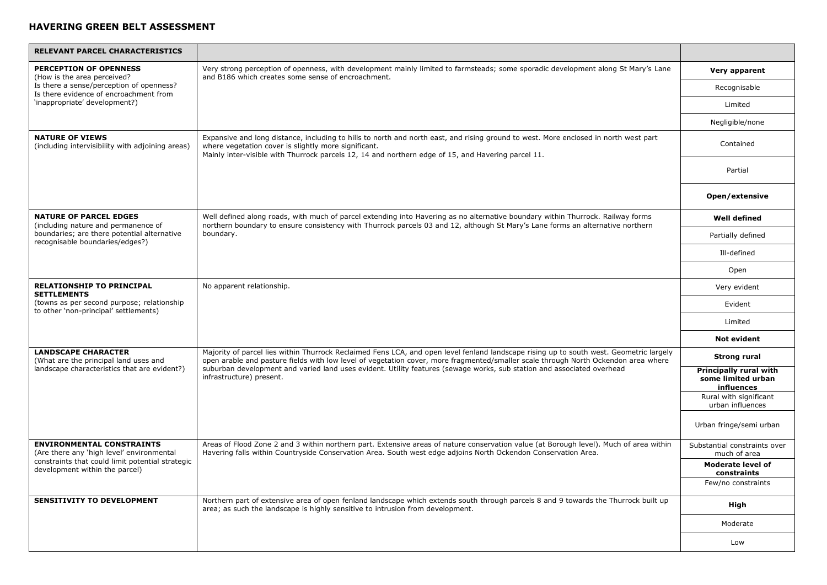| RELEVANT PARCEL CHARACTERISTICS                                                                                     |                                                                                                                                                                                                                                                                                                                                                                                                                                     |                                                            |
|---------------------------------------------------------------------------------------------------------------------|-------------------------------------------------------------------------------------------------------------------------------------------------------------------------------------------------------------------------------------------------------------------------------------------------------------------------------------------------------------------------------------------------------------------------------------|------------------------------------------------------------|
| <b>PERCEPTION OF OPENNESS</b><br>(How is the area perceived?                                                        | Very strong perception of openness, with development mainly limited to farmsteads; some sporadic development along St Mary's Lane<br>and B186 which creates some sense of encroachment.                                                                                                                                                                                                                                             | Very apparent                                              |
| Is there a sense/perception of openness?<br>Is there evidence of encroachment from                                  |                                                                                                                                                                                                                                                                                                                                                                                                                                     | Recognisable                                               |
| 'inappropriate' development?)                                                                                       |                                                                                                                                                                                                                                                                                                                                                                                                                                     | Limited                                                    |
|                                                                                                                     |                                                                                                                                                                                                                                                                                                                                                                                                                                     | Negligible/none                                            |
| <b>NATURE OF VIEWS</b><br>(including intervisibility with adjoining areas)                                          | Expansive and long distance, including to hills to north and north east, and rising ground to west. More enclosed in north west part<br>where vegetation cover is slightly more significant.<br>Mainly inter-visible with Thurrock parcels 12, 14 and northern edge of 15, and Havering parcel 11.                                                                                                                                  | Contained                                                  |
|                                                                                                                     |                                                                                                                                                                                                                                                                                                                                                                                                                                     | Partial                                                    |
|                                                                                                                     |                                                                                                                                                                                                                                                                                                                                                                                                                                     | Open/extensive                                             |
| <b>NATURE OF PARCEL EDGES</b><br>(including nature and permanence of                                                | Well defined along roads, with much of parcel extending into Havering as no alternative boundary within Thurrock. Railway forms<br>northern boundary to ensure consistency with Thurrock parcels 03 and 12, although St Mary's Lane forms an alternative northern                                                                                                                                                                   | <b>Well defined</b>                                        |
| boundaries; are there potential alternative<br>recognisable boundaries/edges?)                                      | boundary.                                                                                                                                                                                                                                                                                                                                                                                                                           | Partially defined                                          |
|                                                                                                                     |                                                                                                                                                                                                                                                                                                                                                                                                                                     | Ill-defined                                                |
|                                                                                                                     |                                                                                                                                                                                                                                                                                                                                                                                                                                     | Open                                                       |
| <b>RELATIONSHIP TO PRINCIPAL</b><br><b>SETTLEMENTS</b>                                                              | No apparent relationship.                                                                                                                                                                                                                                                                                                                                                                                                           | Very evident                                               |
| (towns as per second purpose; relationship<br>to other 'non-principal' settlements)                                 |                                                                                                                                                                                                                                                                                                                                                                                                                                     | Evident                                                    |
|                                                                                                                     |                                                                                                                                                                                                                                                                                                                                                                                                                                     | Limited                                                    |
|                                                                                                                     |                                                                                                                                                                                                                                                                                                                                                                                                                                     | <b>Not evident</b>                                         |
| <b>LANDSCAPE CHARACTER</b><br>(What are the principal land uses and<br>landscape characteristics that are evident?) | Majority of parcel lies within Thurrock Reclaimed Fens LCA, and open level fenland landscape rising up to south west. Geometric largely<br>open arable and pasture fields with low level of vegetation cover, more fragmented/smaller scale through North Ockendon area where<br>suburban development and varied land uses evident. Utility features (sewage works, sub station and associated overhead<br>infrastructure) present. | <b>Strong rural</b>                                        |
|                                                                                                                     |                                                                                                                                                                                                                                                                                                                                                                                                                                     | Principally rural with<br>some limited urban<br>influences |
|                                                                                                                     |                                                                                                                                                                                                                                                                                                                                                                                                                                     | Rural with significant<br>urban influences                 |
|                                                                                                                     |                                                                                                                                                                                                                                                                                                                                                                                                                                     | Urban fringe/semi urban                                    |
| <b>ENVIRONMENTAL CONSTRAINTS</b><br>(Are there any 'high level' environmental                                       | Areas of Flood Zone 2 and 3 within northern part. Extensive areas of nature conservation value (at Borough level). Much of area within<br>Havering falls within Countryside Conservation Area. South west edge adjoins North Ockendon Conservation Area.                                                                                                                                                                            | Substantial constraints over<br>much of area               |
| constraints that could limit potential strategic<br>development within the parcel)                                  |                                                                                                                                                                                                                                                                                                                                                                                                                                     | <b>Moderate level of</b><br>constraints                    |
|                                                                                                                     |                                                                                                                                                                                                                                                                                                                                                                                                                                     | Few/no constraints                                         |
| <b>SENSITIVITY TO DEVELOPMENT</b>                                                                                   | Northern part of extensive area of open fenland landscape which extends south through parcels 8 and 9 towards the Thurrock built up<br>area; as such the landscape is highly sensitive to intrusion from development.                                                                                                                                                                                                               | High                                                       |
|                                                                                                                     |                                                                                                                                                                                                                                                                                                                                                                                                                                     | Moderate                                                   |
|                                                                                                                     |                                                                                                                                                                                                                                                                                                                                                                                                                                     | Low                                                        |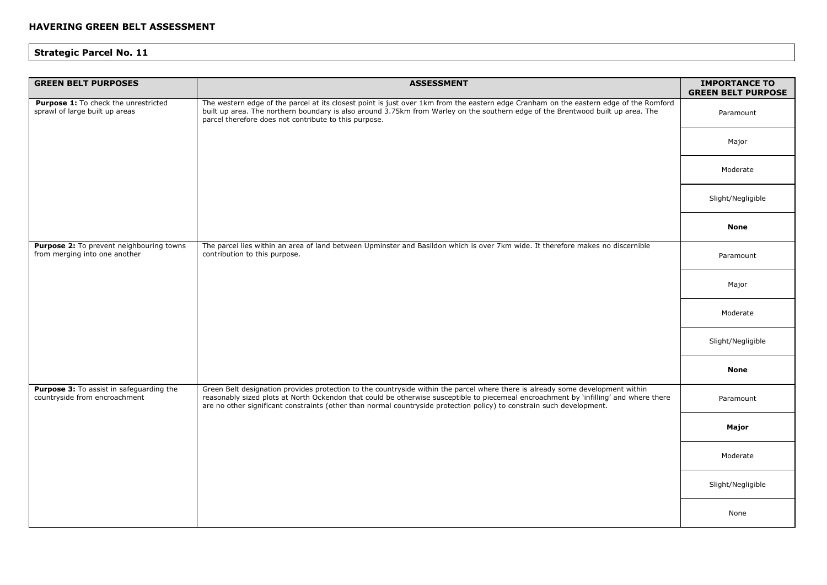| <b>GREEN BELT PURPOSES</b>                                                | <b>ASSESSMENT</b>                                                                                                                                                                                                                                                                                                                                                                                | <b>IMPORTANCE TO</b><br><b>GREEN BELT PURPOSE</b> |
|---------------------------------------------------------------------------|--------------------------------------------------------------------------------------------------------------------------------------------------------------------------------------------------------------------------------------------------------------------------------------------------------------------------------------------------------------------------------------------------|---------------------------------------------------|
| Purpose 1: To check the unrestricted<br>sprawl of large built up areas    | The western edge of the parcel at its closest point is just over 1km from the eastern edge Cranham on the eastern edge of the Romford<br>built up area. The northern boundary is also around 3.75km from Warley on the southern edge of the Brentwood built up area. The<br>parcel therefore does not contribute to this purpose.                                                                | Paramount                                         |
|                                                                           |                                                                                                                                                                                                                                                                                                                                                                                                  | Major                                             |
|                                                                           |                                                                                                                                                                                                                                                                                                                                                                                                  | Moderate                                          |
|                                                                           |                                                                                                                                                                                                                                                                                                                                                                                                  | Slight/Negligible                                 |
|                                                                           |                                                                                                                                                                                                                                                                                                                                                                                                  | <b>None</b>                                       |
| Purpose 2: To prevent neighbouring towns<br>from merging into one another | The parcel lies within an area of land between Upminster and Basildon which is over 7km wide. It therefore makes no discernible<br>contribution to this purpose.                                                                                                                                                                                                                                 | Paramount                                         |
|                                                                           |                                                                                                                                                                                                                                                                                                                                                                                                  | Major                                             |
|                                                                           |                                                                                                                                                                                                                                                                                                                                                                                                  | Moderate                                          |
|                                                                           |                                                                                                                                                                                                                                                                                                                                                                                                  | Slight/Negligible                                 |
|                                                                           |                                                                                                                                                                                                                                                                                                                                                                                                  | <b>None</b>                                       |
| Purpose 3: To assist in safeguarding the<br>countryside from encroachment | Green Belt designation provides protection to the countryside within the parcel where there is already some development within<br>reasonably sized plots at North Ockendon that could be otherwise susceptible to piecemeal encroachment by 'infilling' and where there<br>are no other significant constraints (other than normal countryside protection policy) to constrain such development. | Paramount                                         |
|                                                                           |                                                                                                                                                                                                                                                                                                                                                                                                  | Major                                             |
|                                                                           |                                                                                                                                                                                                                                                                                                                                                                                                  | Moderate                                          |
|                                                                           |                                                                                                                                                                                                                                                                                                                                                                                                  | Slight/Negligible                                 |
|                                                                           |                                                                                                                                                                                                                                                                                                                                                                                                  | None                                              |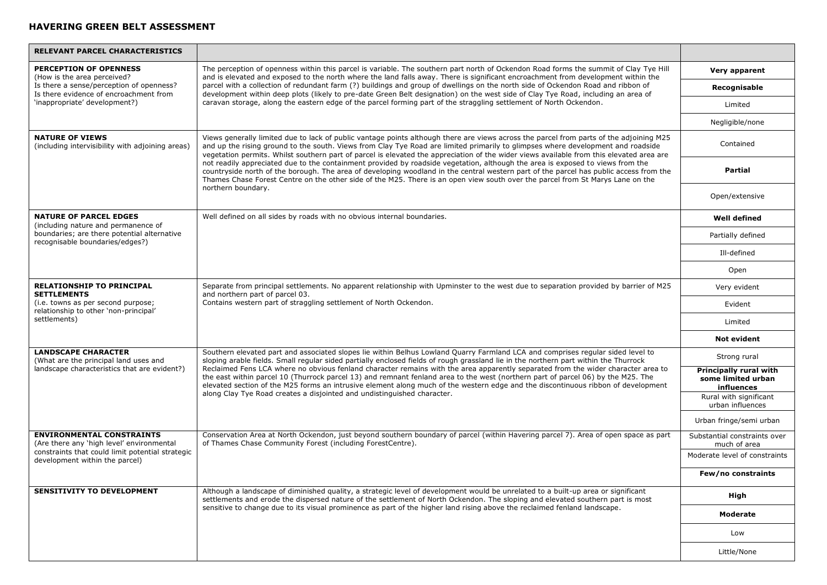| <b>RELEVANT PARCEL CHARACTERISTICS</b>                                                                                                             |                                                                                                                                                                                                                                                                                                                                                                                                                                                                                                                                                                                                                                                                                                                                                                                                                                       |                                                            |
|----------------------------------------------------------------------------------------------------------------------------------------------------|---------------------------------------------------------------------------------------------------------------------------------------------------------------------------------------------------------------------------------------------------------------------------------------------------------------------------------------------------------------------------------------------------------------------------------------------------------------------------------------------------------------------------------------------------------------------------------------------------------------------------------------------------------------------------------------------------------------------------------------------------------------------------------------------------------------------------------------|------------------------------------------------------------|
| <b>PERCEPTION OF OPENNESS</b><br>(How is the area perceived?<br>Is there a sense/perception of openness?<br>Is there evidence of encroachment from | The perception of openness within this parcel is variable. The southern part north of Ockendon Road forms the summit of Clay Tye Hill<br>and is elevated and exposed to the north where the land falls away. There is significant encroachment from development within the<br>parcel with a collection of redundant farm (?) buildings and group of dwellings on the north side of Ockendon Road and ribbon of<br>development within deep plots (likely to pre-date Green Belt designation) on the west side of Clay Tye Road, including an area of                                                                                                                                                                                                                                                                                   | Very apparent                                              |
|                                                                                                                                                    |                                                                                                                                                                                                                                                                                                                                                                                                                                                                                                                                                                                                                                                                                                                                                                                                                                       | Recognisable                                               |
| 'inappropriate' development?)                                                                                                                      | caravan storage, along the eastern edge of the parcel forming part of the straggling settlement of North Ockendon.                                                                                                                                                                                                                                                                                                                                                                                                                                                                                                                                                                                                                                                                                                                    | Limited                                                    |
|                                                                                                                                                    |                                                                                                                                                                                                                                                                                                                                                                                                                                                                                                                                                                                                                                                                                                                                                                                                                                       | Negligible/none                                            |
| <b>NATURE OF VIEWS</b><br>(including intervisibility with adjoining areas)                                                                         | Views generally limited due to lack of public vantage points although there are views across the parcel from parts of the adjoining M25<br>and up the rising ground to the south. Views from Clay Tye Road are limited primarily to glimpses where development and roadside<br>vegetation permits. Whilst southern part of parcel is elevated the appreciation of the wider views available from this elevated area are<br>not readily appreciated due to the containment provided by roadside vegetation, although the area is exposed to views from the<br>countryside north of the borough. The area of developing woodland in the central western part of the parcel has public access from the<br>Thames Chase Forest Centre on the other side of the M25. There is an open view south over the parcel from St Marys Lane on the | Contained                                                  |
|                                                                                                                                                    |                                                                                                                                                                                                                                                                                                                                                                                                                                                                                                                                                                                                                                                                                                                                                                                                                                       | Partial                                                    |
|                                                                                                                                                    | northern boundary.                                                                                                                                                                                                                                                                                                                                                                                                                                                                                                                                                                                                                                                                                                                                                                                                                    | Open/extensive                                             |
| <b>NATURE OF PARCEL EDGES</b><br>(including nature and permanence of                                                                               | Well defined on all sides by roads with no obvious internal boundaries.                                                                                                                                                                                                                                                                                                                                                                                                                                                                                                                                                                                                                                                                                                                                                               | <b>Well defined</b>                                        |
| boundaries; are there potential alternative<br>recognisable boundaries/edges?)                                                                     |                                                                                                                                                                                                                                                                                                                                                                                                                                                                                                                                                                                                                                                                                                                                                                                                                                       | Partially defined                                          |
|                                                                                                                                                    |                                                                                                                                                                                                                                                                                                                                                                                                                                                                                                                                                                                                                                                                                                                                                                                                                                       | Ill-defined                                                |
|                                                                                                                                                    |                                                                                                                                                                                                                                                                                                                                                                                                                                                                                                                                                                                                                                                                                                                                                                                                                                       | Open                                                       |
| <b>RELATIONSHIP TO PRINCIPAL</b><br><b>SETTLEMENTS</b>                                                                                             | Separate from principal settlements. No apparent relationship with Upminster to the west due to separation provided by barrier of M25<br>and northern part of parcel 03.<br>Contains western part of straggling settlement of North Ockendon.                                                                                                                                                                                                                                                                                                                                                                                                                                                                                                                                                                                         | Very evident                                               |
| (i.e. towns as per second purpose;<br>relationship to other 'non-principal'                                                                        |                                                                                                                                                                                                                                                                                                                                                                                                                                                                                                                                                                                                                                                                                                                                                                                                                                       | Evident                                                    |
| settlements)                                                                                                                                       |                                                                                                                                                                                                                                                                                                                                                                                                                                                                                                                                                                                                                                                                                                                                                                                                                                       | Limited                                                    |
|                                                                                                                                                    |                                                                                                                                                                                                                                                                                                                                                                                                                                                                                                                                                                                                                                                                                                                                                                                                                                       | <b>Not evident</b>                                         |
| <b>LANDSCAPE CHARACTER</b><br>(What are the principal land uses and                                                                                | Southern elevated part and associated slopes lie within Belhus Lowland Quarry Farmland LCA and comprises regular sided level to<br>sloping arable fields. Small regular sided partially enclosed fields of rough grassland lie in the northern part within the Thurrock<br>Reclaimed Fens LCA where no obvious fenland character remains with the area apparently separated from the wider character area to<br>the east within parcel 10 (Thurrock parcel 13) and remnant fenland area to the west (northern part of parcel 06) by the M25. The<br>elevated section of the M25 forms an intrusive element along much of the western edge and the discontinuous ribbon of development<br>along Clay Tye Road creates a disjointed and undistinguished character.                                                                      | Strong rural                                               |
| landscape characteristics that are evident?)                                                                                                       |                                                                                                                                                                                                                                                                                                                                                                                                                                                                                                                                                                                                                                                                                                                                                                                                                                       | Principally rural with<br>some limited urban<br>influences |
|                                                                                                                                                    |                                                                                                                                                                                                                                                                                                                                                                                                                                                                                                                                                                                                                                                                                                                                                                                                                                       | Rural with significant<br>urban influences                 |
|                                                                                                                                                    |                                                                                                                                                                                                                                                                                                                                                                                                                                                                                                                                                                                                                                                                                                                                                                                                                                       | Urban fringe/semi urban                                    |
| <b>ENVIRONMENTAL CONSTRAINTS</b><br>(Are there any 'high level' environmental                                                                      | Conservation Area at North Ockendon, just beyond southern boundary of parcel (within Havering parcel 7). Area of open space as part<br>of Thames Chase Community Forest (including ForestCentre).                                                                                                                                                                                                                                                                                                                                                                                                                                                                                                                                                                                                                                     | Substantial constraints over<br>much of area               |
| constraints that could limit potential strategic<br>development within the parcel)                                                                 |                                                                                                                                                                                                                                                                                                                                                                                                                                                                                                                                                                                                                                                                                                                                                                                                                                       | Moderate level of constraints                              |
|                                                                                                                                                    |                                                                                                                                                                                                                                                                                                                                                                                                                                                                                                                                                                                                                                                                                                                                                                                                                                       | Few/no constraints                                         |
| <b>SENSITIVITY TO DEVELOPMENT</b>                                                                                                                  | Although a landscape of diminished quality, a strategic level of development would be unrelated to a built-up area or significant<br>settlements and erode the dispersed nature of the settlement of North Ockendon. The sloping and elevated southern part is most<br>sensitive to change due to its visual prominence as part of the higher land rising above the reclaimed fenland landscape.                                                                                                                                                                                                                                                                                                                                                                                                                                      | High                                                       |
|                                                                                                                                                    |                                                                                                                                                                                                                                                                                                                                                                                                                                                                                                                                                                                                                                                                                                                                                                                                                                       | Moderate                                                   |
|                                                                                                                                                    |                                                                                                                                                                                                                                                                                                                                                                                                                                                                                                                                                                                                                                                                                                                                                                                                                                       | Low                                                        |
|                                                                                                                                                    |                                                                                                                                                                                                                                                                                                                                                                                                                                                                                                                                                                                                                                                                                                                                                                                                                                       | Little/None                                                |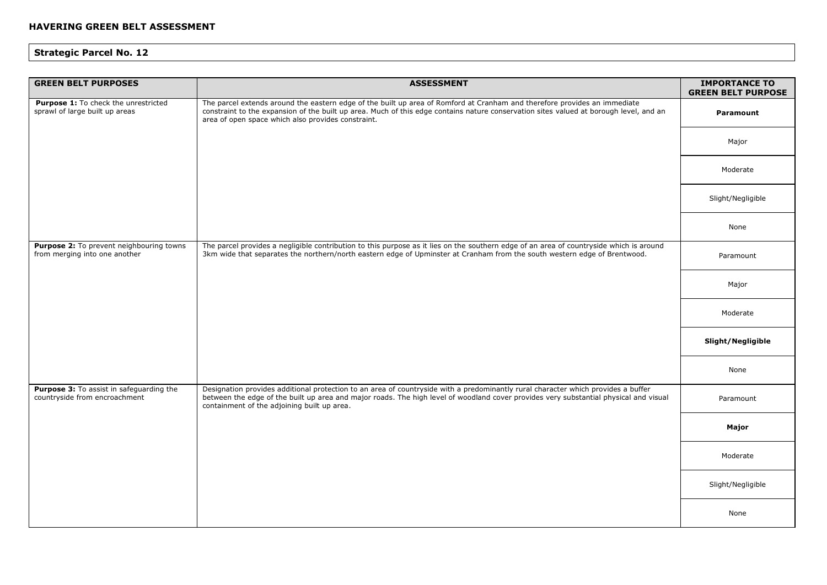| <b>GREEN BELT PURPOSES</b>                                                | <b>ASSESSMENT</b>                                                                                                                                                                                                                                                                                                         | <b>IMPORTANCE TO</b><br><b>GREEN BELT PURPOSE</b> |
|---------------------------------------------------------------------------|---------------------------------------------------------------------------------------------------------------------------------------------------------------------------------------------------------------------------------------------------------------------------------------------------------------------------|---------------------------------------------------|
| Purpose 1: To check the unrestricted<br>sprawl of large built up areas    | The parcel extends around the eastern edge of the built up area of Romford at Cranham and therefore provides an immediate<br>constraint to the expansion of the built up area. Much of this edge contains nature conservation sites valued at borough level, and an<br>area of open space which also provides constraint. | Paramount                                         |
|                                                                           |                                                                                                                                                                                                                                                                                                                           | Major                                             |
|                                                                           |                                                                                                                                                                                                                                                                                                                           | Moderate                                          |
|                                                                           |                                                                                                                                                                                                                                                                                                                           | Slight/Negligible                                 |
|                                                                           |                                                                                                                                                                                                                                                                                                                           | None                                              |
| Purpose 2: To prevent neighbouring towns<br>from merging into one another | The parcel provides a negligible contribution to this purpose as it lies on the southern edge of an area of countryside which is around<br>3km wide that separates the northern/north eastern edge of Upminster at Cranham from the south western edge of Brentwood.                                                      | Paramount                                         |
|                                                                           |                                                                                                                                                                                                                                                                                                                           | Major                                             |
|                                                                           |                                                                                                                                                                                                                                                                                                                           | Moderate                                          |
|                                                                           |                                                                                                                                                                                                                                                                                                                           | Slight/Negligible                                 |
|                                                                           |                                                                                                                                                                                                                                                                                                                           | None                                              |
| Purpose 3: To assist in safeguarding the<br>countryside from encroachment | Designation provides additional protection to an area of countryside with a predominantly rural character which provides a buffer<br>between the edge of the built up area and major roads. The high level of woodland cover provides very substantial physical and visual<br>containment of the adjoining built up area. | Paramount                                         |
|                                                                           |                                                                                                                                                                                                                                                                                                                           | Major                                             |
|                                                                           |                                                                                                                                                                                                                                                                                                                           | Moderate                                          |
|                                                                           |                                                                                                                                                                                                                                                                                                                           | Slight/Negligible                                 |
|                                                                           |                                                                                                                                                                                                                                                                                                                           | None                                              |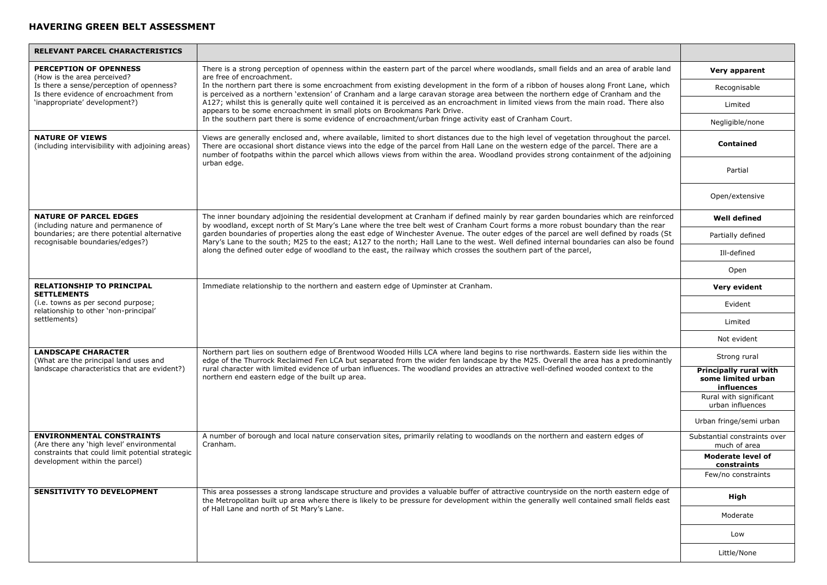| <b>RELEVANT PARCEL CHARACTERISTICS</b>                                                      |                                                                                                                                                                                                                                                                                                                                                                                                                                                                    |                                                            |
|---------------------------------------------------------------------------------------------|--------------------------------------------------------------------------------------------------------------------------------------------------------------------------------------------------------------------------------------------------------------------------------------------------------------------------------------------------------------------------------------------------------------------------------------------------------------------|------------------------------------------------------------|
| <b>PERCEPTION OF OPENNESS</b><br>(How is the area perceived?                                | There is a strong perception of openness within the eastern part of the parcel where woodlands, small fields and an area of arable land<br>are free of encroachment.                                                                                                                                                                                                                                                                                               | Very apparent                                              |
| Is there a sense/perception of openness?<br>Is there evidence of encroachment from          | In the northern part there is some encroachment from existing development in the form of a ribbon of houses along Front Lane, which<br>is perceived as a northern 'extension' of Cranham and a large caravan storage area between the northern edge of Cranham and the                                                                                                                                                                                             | Recognisable                                               |
| 'inappropriate' development?)                                                               | A127; whilst this is generally quite well contained it is perceived as an encroachment in limited views from the main road. There also<br>appears to be some encroachment in small plots on Brookmans Park Drive.                                                                                                                                                                                                                                                  | Limited                                                    |
|                                                                                             | In the southern part there is some evidence of encroachment/urban fringe activity east of Cranham Court.                                                                                                                                                                                                                                                                                                                                                           | Negligible/none                                            |
| <b>NATURE OF VIEWS</b><br>(including intervisibility with adjoining areas)                  | Views are generally enclosed and, where available, limited to short distances due to the high level of vegetation throughout the parcel.<br>There are occasional short distance views into the edge of the parcel from Hall Lane on the western edge of the parcel. There are a<br>number of footpaths within the parcel which allows views from within the area. Woodland provides strong containment of the adjoining                                            | Contained                                                  |
|                                                                                             | urban edge.                                                                                                                                                                                                                                                                                                                                                                                                                                                        | Partial                                                    |
|                                                                                             |                                                                                                                                                                                                                                                                                                                                                                                                                                                                    | Open/extensive                                             |
| <b>NATURE OF PARCEL EDGES</b><br>(including nature and permanence of                        | The inner boundary adjoining the residential development at Cranham if defined mainly by rear garden boundaries which are reinforced<br>by woodland, except north of St Mary's Lane where the tree belt west of Cranham Court forms a more robust boundary than the rear                                                                                                                                                                                           | <b>Well defined</b>                                        |
| boundaries; are there potential alternative<br>recognisable boundaries/edges?)              | garden boundaries of properties along the east edge of Winchester Avenue. The outer edges of the parcel are well defined by roads (St<br>Mary's Lane to the south; M25 to the east; A127 to the north; Hall Lane to the west. Well defined internal boundaries can also be found                                                                                                                                                                                   | Partially defined                                          |
|                                                                                             | along the defined outer edge of woodland to the east, the railway which crosses the southern part of the parcel,                                                                                                                                                                                                                                                                                                                                                   | Ill-defined                                                |
|                                                                                             |                                                                                                                                                                                                                                                                                                                                                                                                                                                                    | Open                                                       |
| <b>RELATIONSHIP TO PRINCIPAL</b><br><b>SETTLEMENTS</b>                                      | Immediate relationship to the northern and eastern edge of Upminster at Cranham.                                                                                                                                                                                                                                                                                                                                                                                   | Very evident                                               |
| (i.e. towns as per second purpose;<br>relationship to other 'non-principal'<br>settlements) |                                                                                                                                                                                                                                                                                                                                                                                                                                                                    | Evident                                                    |
|                                                                                             |                                                                                                                                                                                                                                                                                                                                                                                                                                                                    | Limited                                                    |
|                                                                                             |                                                                                                                                                                                                                                                                                                                                                                                                                                                                    | Not evident                                                |
| <b>LANDSCAPE CHARACTER</b><br>(What are the principal land uses and                         | Northern part lies on southern edge of Brentwood Wooded Hills LCA where land begins to rise northwards. Eastern side lies within the<br>edge of the Thurrock Reclaimed Fen LCA but separated from the wider fen landscape by the M25. Overall the area has a predominantly<br>rural character with limited evidence of urban influences. The woodland provides an attractive well-defined wooded context to the<br>northern end eastern edge of the built up area. | Strong rural                                               |
| landscape characteristics that are evident?)                                                |                                                                                                                                                                                                                                                                                                                                                                                                                                                                    | Principally rural with<br>some limited urban<br>influences |
|                                                                                             |                                                                                                                                                                                                                                                                                                                                                                                                                                                                    | Rural with significant<br>urban influences                 |
|                                                                                             |                                                                                                                                                                                                                                                                                                                                                                                                                                                                    | Urban fringe/semi urban                                    |
| <b>ENVIRONMENTAL CONSTRAINTS</b><br>(Are there any 'high level' environmental               | A number of borough and local nature conservation sites, primarily relating to woodlands on the northern and eastern edges of<br>Cranham.                                                                                                                                                                                                                                                                                                                          | Substantial constraints over<br>much of area               |
| constraints that could limit potential strategic<br>development within the parcel)          |                                                                                                                                                                                                                                                                                                                                                                                                                                                                    | <b>Moderate level of</b><br>constraints                    |
|                                                                                             |                                                                                                                                                                                                                                                                                                                                                                                                                                                                    | Few/no constraints                                         |
| <b>SENSITIVITY TO DEVELOPMENT</b>                                                           | This area possesses a strong landscape structure and provides a valuable buffer of attractive countryside on the north eastern edge of<br>the Metropolitan built up area where there is likely to be pressure for development within the generally well contained small fields east<br>of Hall Lane and north of St Mary's Lane.                                                                                                                                   | High                                                       |
|                                                                                             |                                                                                                                                                                                                                                                                                                                                                                                                                                                                    | Moderate                                                   |
|                                                                                             |                                                                                                                                                                                                                                                                                                                                                                                                                                                                    | Low                                                        |
|                                                                                             |                                                                                                                                                                                                                                                                                                                                                                                                                                                                    | Little/None                                                |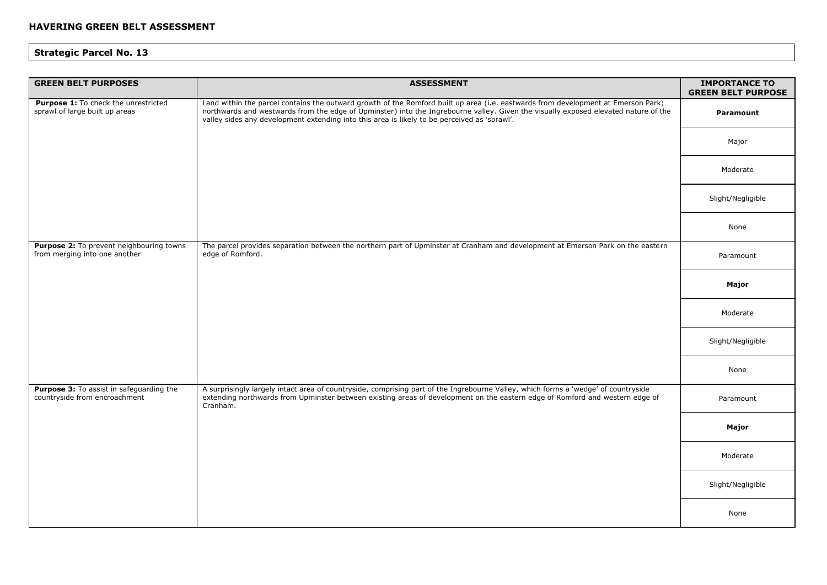| <b>GREEN BELT PURPOSES</b>                                                | <b>ASSESSMENT</b>                                                                                                                                                                                                                                                                                                                                                        | <b>IMPORTANCE TO</b><br><b>GREEN BELT PURPOSE</b> |
|---------------------------------------------------------------------------|--------------------------------------------------------------------------------------------------------------------------------------------------------------------------------------------------------------------------------------------------------------------------------------------------------------------------------------------------------------------------|---------------------------------------------------|
| Purpose 1: To check the unrestricted<br>sprawl of large built up areas    | Land within the parcel contains the outward growth of the Romford built up area (i.e. eastwards from development at Emerson Park;<br>northwards and westwards from the edge of Upminster) into the Ingrebourne valley. Given the visually exposed elevated nature of the<br>valley sides any development extending into this area is likely to be perceived as 'sprawl'. | Paramount                                         |
|                                                                           |                                                                                                                                                                                                                                                                                                                                                                          | Major                                             |
|                                                                           |                                                                                                                                                                                                                                                                                                                                                                          | Moderate                                          |
|                                                                           |                                                                                                                                                                                                                                                                                                                                                                          | Slight/Negligible                                 |
|                                                                           |                                                                                                                                                                                                                                                                                                                                                                          | None                                              |
| Purpose 2: To prevent neighbouring towns<br>from merging into one another | The parcel provides separation between the northern part of Upminster at Cranham and development at Emerson Park on the eastern<br>edge of Romford.                                                                                                                                                                                                                      | Paramount                                         |
|                                                                           |                                                                                                                                                                                                                                                                                                                                                                          | Major                                             |
|                                                                           |                                                                                                                                                                                                                                                                                                                                                                          | Moderate                                          |
|                                                                           |                                                                                                                                                                                                                                                                                                                                                                          | Slight/Negligible                                 |
|                                                                           |                                                                                                                                                                                                                                                                                                                                                                          | None                                              |
| Purpose 3: To assist in safeguarding the<br>countryside from encroachment | A surprisingly largely intact area of countryside, comprising part of the Ingrebourne Valley, which forms a 'wedge' of countryside<br>extending northwards from Upminster between existing areas of development on the eastern edge of Romford and western edge of<br>Cranham.                                                                                           | Paramount                                         |
|                                                                           |                                                                                                                                                                                                                                                                                                                                                                          | Major                                             |
|                                                                           |                                                                                                                                                                                                                                                                                                                                                                          | Moderate                                          |
|                                                                           |                                                                                                                                                                                                                                                                                                                                                                          | Slight/Negligible                                 |
|                                                                           |                                                                                                                                                                                                                                                                                                                                                                          | None                                              |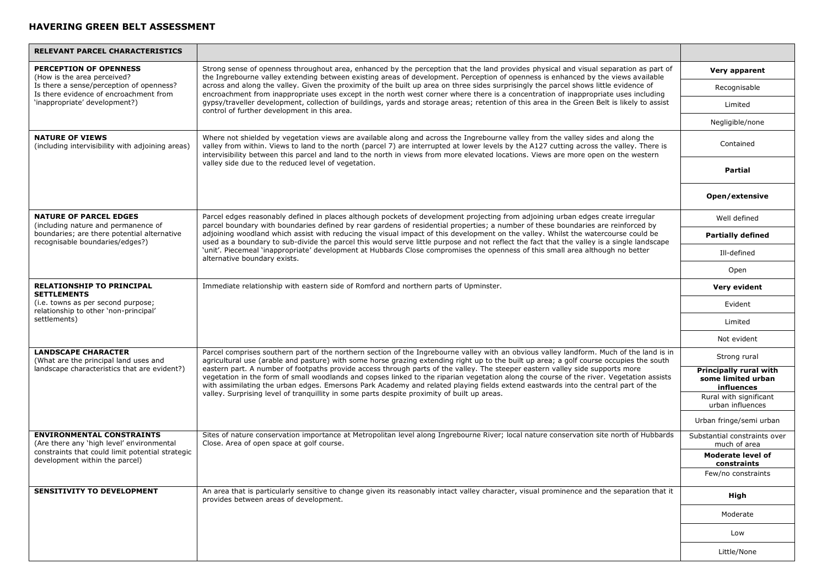| RELEVANT PARCEL CHARACTERISTICS                                                                                                                    |                                                                                                                                                                                                                                                                                                                                                                                                                                                                                                                                                                                                                                                                                                                                                                                                      |                                                            |
|----------------------------------------------------------------------------------------------------------------------------------------------------|------------------------------------------------------------------------------------------------------------------------------------------------------------------------------------------------------------------------------------------------------------------------------------------------------------------------------------------------------------------------------------------------------------------------------------------------------------------------------------------------------------------------------------------------------------------------------------------------------------------------------------------------------------------------------------------------------------------------------------------------------------------------------------------------------|------------------------------------------------------------|
| <b>PERCEPTION OF OPENNESS</b><br>(How is the area perceived?<br>Is there a sense/perception of openness?<br>Is there evidence of encroachment from | Strong sense of openness throughout area, enhanced by the perception that the land provides physical and visual separation as part of<br>the Ingrebourne valley extending between existing areas of development. Perception of openness is enhanced by the views available<br>across and along the valley. Given the proximity of the built up area on three sides surprisingly the parcel shows little evidence of<br>encroachment from inappropriate uses except in the north west corner where there is a concentration of inappropriate uses including                                                                                                                                                                                                                                           | Very apparent                                              |
|                                                                                                                                                    |                                                                                                                                                                                                                                                                                                                                                                                                                                                                                                                                                                                                                                                                                                                                                                                                      | Recognisable                                               |
| 'inappropriate' development?)                                                                                                                      | gypsy/traveller development, collection of buildings, yards and storage areas; retention of this area in the Green Belt is likely to assist<br>control of further development in this area.                                                                                                                                                                                                                                                                                                                                                                                                                                                                                                                                                                                                          | Limited                                                    |
|                                                                                                                                                    |                                                                                                                                                                                                                                                                                                                                                                                                                                                                                                                                                                                                                                                                                                                                                                                                      | Negligible/none                                            |
| <b>NATURE OF VIEWS</b><br>(including intervisibility with adjoining areas)                                                                         | Where not shielded by vegetation views are available along and across the Ingrebourne valley from the valley sides and along the<br>valley from within. Views to land to the north (parcel 7) are interrupted at lower levels by the A127 cutting across the valley. There is<br>intervisibility between this parcel and land to the north in views from more elevated locations. Views are more open on the western                                                                                                                                                                                                                                                                                                                                                                                 | Contained                                                  |
|                                                                                                                                                    | valley side due to the reduced level of vegetation.                                                                                                                                                                                                                                                                                                                                                                                                                                                                                                                                                                                                                                                                                                                                                  | Partial                                                    |
|                                                                                                                                                    |                                                                                                                                                                                                                                                                                                                                                                                                                                                                                                                                                                                                                                                                                                                                                                                                      | Open/extensive                                             |
| <b>NATURE OF PARCEL EDGES</b><br>(including nature and permanence of                                                                               | Parcel edges reasonably defined in places although pockets of development projecting from adjoining urban edges create irregular<br>parcel boundary with boundaries defined by rear gardens of residential properties; a number of these boundaries are reinforced by                                                                                                                                                                                                                                                                                                                                                                                                                                                                                                                                | Well defined                                               |
| boundaries; are there potential alternative<br>recognisable boundaries/edges?)                                                                     | adjoining woodland which assist with reducing the visual impact of this development on the valley. Whilst the watercourse could be<br>used as a boundary to sub-divide the parcel this would serve little purpose and not reflect the fact that the valley is a single landscape                                                                                                                                                                                                                                                                                                                                                                                                                                                                                                                     | <b>Partially defined</b>                                   |
|                                                                                                                                                    | 'unit'. Piecemeal 'inappropriate' development at Hubbards Close compromises the openness of this small area although no better<br>alternative boundary exists.                                                                                                                                                                                                                                                                                                                                                                                                                                                                                                                                                                                                                                       | Ill-defined                                                |
|                                                                                                                                                    |                                                                                                                                                                                                                                                                                                                                                                                                                                                                                                                                                                                                                                                                                                                                                                                                      | Open                                                       |
| <b>RELATIONSHIP TO PRINCIPAL</b><br><b>SETTLEMENTS</b>                                                                                             | Immediate relationship with eastern side of Romford and northern parts of Upminster.                                                                                                                                                                                                                                                                                                                                                                                                                                                                                                                                                                                                                                                                                                                 | Very evident                                               |
| (i.e. towns as per second purpose;<br>relationship to other 'non-principal'                                                                        |                                                                                                                                                                                                                                                                                                                                                                                                                                                                                                                                                                                                                                                                                                                                                                                                      | Evident                                                    |
| settlements)                                                                                                                                       |                                                                                                                                                                                                                                                                                                                                                                                                                                                                                                                                                                                                                                                                                                                                                                                                      | Limited                                                    |
|                                                                                                                                                    |                                                                                                                                                                                                                                                                                                                                                                                                                                                                                                                                                                                                                                                                                                                                                                                                      | Not evident                                                |
| <b>LANDSCAPE CHARACTER</b><br>(What are the principal land uses and                                                                                | Parcel comprises southern part of the northern section of the Ingrebourne valley with an obvious valley landform. Much of the land is in<br>agricultural use (arable and pasture) with some horse grazing extending right up to the built up area; a golf course occupies the south<br>eastern part. A number of footpaths provide access through parts of the valley. The steeper eastern valley side supports more<br>vegetation in the form of small woodlands and copses linked to the riparian vegetation along the course of the river. Vegetation assists<br>with assimilating the urban edges. Emersons Park Academy and related playing fields extend eastwards into the central part of the<br>valley. Surprising level of tranquillity in some parts despite proximity of built up areas. | Strong rural                                               |
| landscape characteristics that are evident?)                                                                                                       |                                                                                                                                                                                                                                                                                                                                                                                                                                                                                                                                                                                                                                                                                                                                                                                                      | Principally rural with<br>some limited urban<br>influences |
|                                                                                                                                                    |                                                                                                                                                                                                                                                                                                                                                                                                                                                                                                                                                                                                                                                                                                                                                                                                      | Rural with significant<br>urban influences                 |
|                                                                                                                                                    |                                                                                                                                                                                                                                                                                                                                                                                                                                                                                                                                                                                                                                                                                                                                                                                                      | Urban fringe/semi urban                                    |
| <b>ENVIRONMENTAL CONSTRAINTS</b><br>(Are there any 'high level' environmental                                                                      | Sites of nature conservation importance at Metropolitan level along Ingrebourne River; local nature conservation site north of Hubbards<br>Close. Area of open space at golf course.                                                                                                                                                                                                                                                                                                                                                                                                                                                                                                                                                                                                                 | Substantial constraints over<br>much of area               |
| constraints that could limit potential strategic<br>development within the parcel)                                                                 |                                                                                                                                                                                                                                                                                                                                                                                                                                                                                                                                                                                                                                                                                                                                                                                                      | <b>Moderate level of</b><br>constraints                    |
|                                                                                                                                                    |                                                                                                                                                                                                                                                                                                                                                                                                                                                                                                                                                                                                                                                                                                                                                                                                      | Few/no constraints                                         |
| <b>SENSITIVITY TO DEVELOPMENT</b>                                                                                                                  | An area that is particularly sensitive to change given its reasonably intact valley character, visual prominence and the separation that it<br>provides between areas of development.                                                                                                                                                                                                                                                                                                                                                                                                                                                                                                                                                                                                                | High                                                       |
|                                                                                                                                                    |                                                                                                                                                                                                                                                                                                                                                                                                                                                                                                                                                                                                                                                                                                                                                                                                      | Moderate                                                   |
|                                                                                                                                                    |                                                                                                                                                                                                                                                                                                                                                                                                                                                                                                                                                                                                                                                                                                                                                                                                      | Low                                                        |
|                                                                                                                                                    |                                                                                                                                                                                                                                                                                                                                                                                                                                                                                                                                                                                                                                                                                                                                                                                                      | Little/None                                                |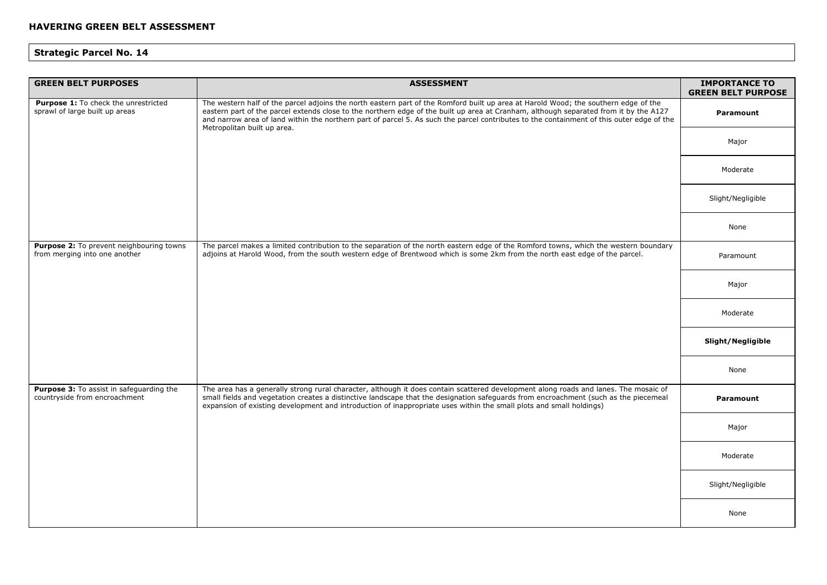| <b>GREEN BELT PURPOSES</b>                                                | <b>ASSESSMENT</b>                                                                                                                                                                                                                                                                                                                                                                                                                                        | <b>IMPORTANCE TO</b><br><b>GREEN BELT PURPOSE</b> |
|---------------------------------------------------------------------------|----------------------------------------------------------------------------------------------------------------------------------------------------------------------------------------------------------------------------------------------------------------------------------------------------------------------------------------------------------------------------------------------------------------------------------------------------------|---------------------------------------------------|
| Purpose 1: To check the unrestricted<br>sprawl of large built up areas    | The western half of the parcel adjoins the north eastern part of the Romford built up area at Harold Wood; the southern edge of the<br>eastern part of the parcel extends close to the northern edge of the built up area at Cranham, although separated from it by the A127<br>and narrow area of land within the northern part of parcel 5. As such the parcel contributes to the containment of this outer edge of the<br>Metropolitan built up area. | Paramount                                         |
|                                                                           |                                                                                                                                                                                                                                                                                                                                                                                                                                                          | Major                                             |
|                                                                           |                                                                                                                                                                                                                                                                                                                                                                                                                                                          | Moderate                                          |
|                                                                           |                                                                                                                                                                                                                                                                                                                                                                                                                                                          | Slight/Negligible                                 |
|                                                                           |                                                                                                                                                                                                                                                                                                                                                                                                                                                          | None                                              |
| Purpose 2: To prevent neighbouring towns<br>from merging into one another | The parcel makes a limited contribution to the separation of the north eastern edge of the Romford towns, which the western boundary<br>adjoins at Harold Wood, from the south western edge of Brentwood which is some 2km from the north east edge of the parcel.                                                                                                                                                                                       | Paramount                                         |
|                                                                           |                                                                                                                                                                                                                                                                                                                                                                                                                                                          | Major                                             |
|                                                                           |                                                                                                                                                                                                                                                                                                                                                                                                                                                          | Moderate                                          |
|                                                                           |                                                                                                                                                                                                                                                                                                                                                                                                                                                          | Slight/Negligible                                 |
|                                                                           |                                                                                                                                                                                                                                                                                                                                                                                                                                                          | None                                              |
| Purpose 3: To assist in safeguarding the<br>countryside from encroachment | The area has a generally strong rural character, although it does contain scattered development along roads and lanes. The mosaic of<br>small fields and vegetation creates a distinctive landscape that the designation safeguards from encroachment (such as the piecemeal<br>expansion of existing development and introduction of inappropriate uses within the small plots and small holdings)                                                      | Paramount                                         |
|                                                                           |                                                                                                                                                                                                                                                                                                                                                                                                                                                          | Major                                             |
|                                                                           |                                                                                                                                                                                                                                                                                                                                                                                                                                                          | Moderate                                          |
|                                                                           |                                                                                                                                                                                                                                                                                                                                                                                                                                                          | Slight/Negligible                                 |
|                                                                           |                                                                                                                                                                                                                                                                                                                                                                                                                                                          | None                                              |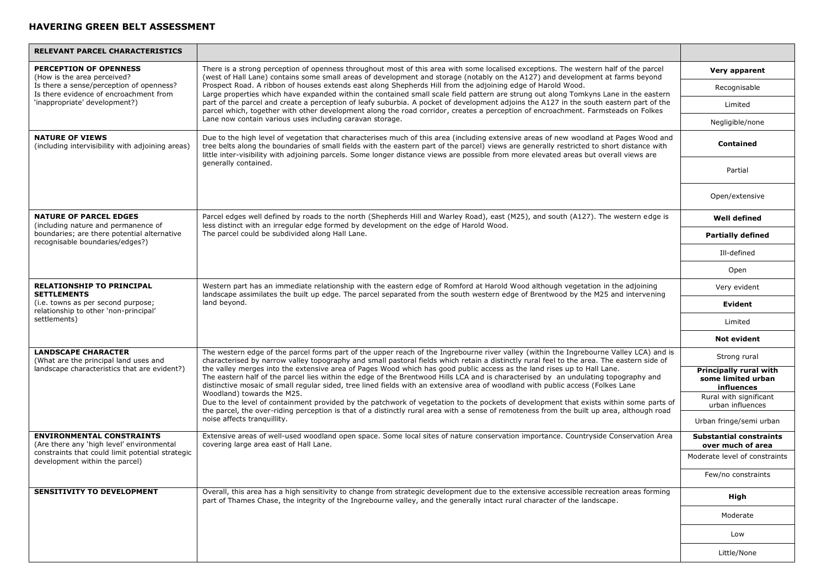| RELEVANT PARCEL CHARACTERISTICS                                                                                                                    |                                                                                                                                                                                                                                                                                                                                                                                                                                                                                                                                                                                                                                                                                                                                                                                                                                                                   |                                                            |
|----------------------------------------------------------------------------------------------------------------------------------------------------|-------------------------------------------------------------------------------------------------------------------------------------------------------------------------------------------------------------------------------------------------------------------------------------------------------------------------------------------------------------------------------------------------------------------------------------------------------------------------------------------------------------------------------------------------------------------------------------------------------------------------------------------------------------------------------------------------------------------------------------------------------------------------------------------------------------------------------------------------------------------|------------------------------------------------------------|
| <b>PERCEPTION OF OPENNESS</b><br>(How is the area perceived?<br>Is there a sense/perception of openness?<br>Is there evidence of encroachment from | There is a strong perception of openness throughout most of this area with some localised exceptions. The western half of the parcel<br>(west of Hall Lane) contains some small areas of development and storage (notably on the A127) and development at farms beyond<br>Prospect Road. A ribbon of houses extends east along Shepherds Hill from the adjoining edge of Harold Wood.<br>Large properties which have expanded within the contained small scale field pattern are strung out along Tomkyns Lane in the eastern                                                                                                                                                                                                                                                                                                                                     | Very apparent                                              |
|                                                                                                                                                    |                                                                                                                                                                                                                                                                                                                                                                                                                                                                                                                                                                                                                                                                                                                                                                                                                                                                   | Recognisable                                               |
| 'inappropriate' development?)                                                                                                                      | part of the parcel and create a perception of leafy suburbia. A pocket of development adjoins the A127 in the south eastern part of the<br>parcel which, together with other development along the road corridor, creates a perception of encroachment. Farmsteads on Folkes                                                                                                                                                                                                                                                                                                                                                                                                                                                                                                                                                                                      | Limited                                                    |
|                                                                                                                                                    | Lane now contain various uses including caravan storage.                                                                                                                                                                                                                                                                                                                                                                                                                                                                                                                                                                                                                                                                                                                                                                                                          | Negligible/none                                            |
| <b>NATURE OF VIEWS</b><br>(including intervisibility with adjoining areas)                                                                         | Due to the high level of vegetation that characterises much of this area (including extensive areas of new woodland at Pages Wood and<br>tree belts along the boundaries of small fields with the eastern part of the parcel) views are generally restricted to short distance with<br>little inter-visibility with adjoining parcels. Some longer distance views are possible from more elevated areas but overall views are                                                                                                                                                                                                                                                                                                                                                                                                                                     | <b>Contained</b>                                           |
|                                                                                                                                                    | generally contained.                                                                                                                                                                                                                                                                                                                                                                                                                                                                                                                                                                                                                                                                                                                                                                                                                                              | Partial                                                    |
|                                                                                                                                                    |                                                                                                                                                                                                                                                                                                                                                                                                                                                                                                                                                                                                                                                                                                                                                                                                                                                                   | Open/extensive                                             |
| <b>NATURE OF PARCEL EDGES</b><br>(including nature and permanence of                                                                               | Parcel edges well defined by roads to the north (Shepherds Hill and Warley Road), east (M25), and south (A127). The western edge is<br>less distinct with an irregular edge formed by development on the edge of Harold Wood.                                                                                                                                                                                                                                                                                                                                                                                                                                                                                                                                                                                                                                     | <b>Well defined</b>                                        |
| boundaries; are there potential alternative<br>recognisable boundaries/edges?)                                                                     | The parcel could be subdivided along Hall Lane.                                                                                                                                                                                                                                                                                                                                                                                                                                                                                                                                                                                                                                                                                                                                                                                                                   | <b>Partially defined</b>                                   |
|                                                                                                                                                    |                                                                                                                                                                                                                                                                                                                                                                                                                                                                                                                                                                                                                                                                                                                                                                                                                                                                   | Ill-defined                                                |
|                                                                                                                                                    |                                                                                                                                                                                                                                                                                                                                                                                                                                                                                                                                                                                                                                                                                                                                                                                                                                                                   | Open                                                       |
| <b>RELATIONSHIP TO PRINCIPAL</b><br><b>SETTLEMENTS</b>                                                                                             | Western part has an immediate relationship with the eastern edge of Romford at Harold Wood although vegetation in the adjoining<br>landscape assimilates the built up edge. The parcel separated from the south western edge of Brentwood by the M25 and intervening<br>land beyond.                                                                                                                                                                                                                                                                                                                                                                                                                                                                                                                                                                              | Very evident                                               |
| (i.e. towns as per second purpose;<br>relationship to other 'non-principal'                                                                        |                                                                                                                                                                                                                                                                                                                                                                                                                                                                                                                                                                                                                                                                                                                                                                                                                                                                   | Evident                                                    |
| settlements)                                                                                                                                       |                                                                                                                                                                                                                                                                                                                                                                                                                                                                                                                                                                                                                                                                                                                                                                                                                                                                   | Limited                                                    |
|                                                                                                                                                    |                                                                                                                                                                                                                                                                                                                                                                                                                                                                                                                                                                                                                                                                                                                                                                                                                                                                   | <b>Not evident</b>                                         |
| <b>LANDSCAPE CHARACTER</b><br>(What are the principal land uses and                                                                                | The western edge of the parcel forms part of the upper reach of the Ingrebourne river valley (within the Ingrebourne Valley LCA) and is<br>characterised by narrow valley topography and small pastoral fields which retain a distinctly rural feel to the area. The eastern side of<br>the valley merges into the extensive area of Pages Wood which has good public access as the land rises up to Hall Lane.<br>The eastern half of the parcel lies within the edge of the Brentwood Hills LCA and is characterised by an undulating topography and<br>distinctive mosaic of small regular sided, tree lined fields with an extensive area of woodland with public access (Folkes Lane<br>Woodland) towards the M25.<br>Due to the level of containment provided by the patchwork of vegetation to the pockets of development that exists within some parts of | Strong rural                                               |
| landscape characteristics that are evident?)                                                                                                       |                                                                                                                                                                                                                                                                                                                                                                                                                                                                                                                                                                                                                                                                                                                                                                                                                                                                   | Principally rural with<br>some limited urban<br>influences |
|                                                                                                                                                    |                                                                                                                                                                                                                                                                                                                                                                                                                                                                                                                                                                                                                                                                                                                                                                                                                                                                   | Rural with significant<br>urban influences                 |
|                                                                                                                                                    | the parcel, the over-riding perception is that of a distinctly rural area with a sense of remoteness from the built up area, although road<br>noise affects tranquillity.                                                                                                                                                                                                                                                                                                                                                                                                                                                                                                                                                                                                                                                                                         | Urban fringe/semi urban                                    |
| <b>ENVIRONMENTAL CONSTRAINTS</b><br>(Are there any 'high level' environmental                                                                      | Extensive areas of well-used woodland open space. Some local sites of nature conservation importance. Countryside Conservation Area<br>covering large area east of Hall Lane.                                                                                                                                                                                                                                                                                                                                                                                                                                                                                                                                                                                                                                                                                     | <b>Substantial constraints</b><br>over much of area        |
| constraints that could limit potential strategic<br>development within the parcel)                                                                 |                                                                                                                                                                                                                                                                                                                                                                                                                                                                                                                                                                                                                                                                                                                                                                                                                                                                   | Moderate level of constraints                              |
|                                                                                                                                                    |                                                                                                                                                                                                                                                                                                                                                                                                                                                                                                                                                                                                                                                                                                                                                                                                                                                                   | Few/no constraints                                         |
| <b>SENSITIVITY TO DEVELOPMENT</b>                                                                                                                  | Overall, this area has a high sensitivity to change from strategic development due to the extensive accessible recreation areas forming<br>part of Thames Chase, the integrity of the Ingrebourne valley, and the generally intact rural character of the landscape.                                                                                                                                                                                                                                                                                                                                                                                                                                                                                                                                                                                              | High                                                       |
|                                                                                                                                                    |                                                                                                                                                                                                                                                                                                                                                                                                                                                                                                                                                                                                                                                                                                                                                                                                                                                                   | Moderate                                                   |
|                                                                                                                                                    |                                                                                                                                                                                                                                                                                                                                                                                                                                                                                                                                                                                                                                                                                                                                                                                                                                                                   | Low                                                        |
|                                                                                                                                                    |                                                                                                                                                                                                                                                                                                                                                                                                                                                                                                                                                                                                                                                                                                                                                                                                                                                                   | Little/None                                                |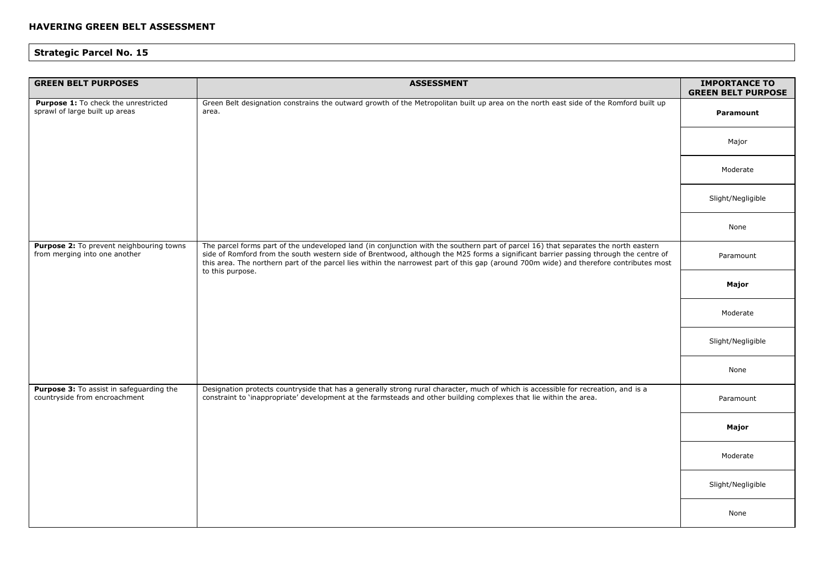| <b>GREEN BELT PURPOSES</b>                                                | <b>ASSESSMENT</b>                                                                                                                                                                                                                                                                                                                                                                                                                          | <b>IMPORTANCE TO</b><br><b>GREEN BELT PURPOSE</b> |
|---------------------------------------------------------------------------|--------------------------------------------------------------------------------------------------------------------------------------------------------------------------------------------------------------------------------------------------------------------------------------------------------------------------------------------------------------------------------------------------------------------------------------------|---------------------------------------------------|
| Purpose 1: To check the unrestricted<br>sprawl of large built up areas    | Green Belt designation constrains the outward growth of the Metropolitan built up area on the north east side of the Romford built up<br>area.                                                                                                                                                                                                                                                                                             | Paramount                                         |
|                                                                           |                                                                                                                                                                                                                                                                                                                                                                                                                                            | Major                                             |
|                                                                           |                                                                                                                                                                                                                                                                                                                                                                                                                                            | Moderate                                          |
|                                                                           |                                                                                                                                                                                                                                                                                                                                                                                                                                            | Slight/Negligible                                 |
|                                                                           |                                                                                                                                                                                                                                                                                                                                                                                                                                            | None                                              |
| Purpose 2: To prevent neighbouring towns<br>from merging into one another | The parcel forms part of the undeveloped land (in conjunction with the southern part of parcel 16) that separates the north eastern<br>side of Romford from the south western side of Brentwood, although the M25 forms a significant barrier passing through the centre of<br>this area. The northern part of the parcel lies within the narrowest part of this gap (around 700m wide) and therefore contributes most<br>to this purpose. | Paramount                                         |
|                                                                           |                                                                                                                                                                                                                                                                                                                                                                                                                                            | Major                                             |
|                                                                           |                                                                                                                                                                                                                                                                                                                                                                                                                                            | Moderate                                          |
|                                                                           |                                                                                                                                                                                                                                                                                                                                                                                                                                            | Slight/Negligible                                 |
|                                                                           |                                                                                                                                                                                                                                                                                                                                                                                                                                            | None                                              |
| Purpose 3: To assist in safeguarding the<br>countryside from encroachment | Designation protects countryside that has a generally strong rural character, much of which is accessible for recreation, and is a<br>constraint to 'inappropriate' development at the farmsteads and other building complexes that lie within the area.                                                                                                                                                                                   | Paramount                                         |
|                                                                           |                                                                                                                                                                                                                                                                                                                                                                                                                                            | Major                                             |
|                                                                           |                                                                                                                                                                                                                                                                                                                                                                                                                                            | Moderate                                          |
|                                                                           |                                                                                                                                                                                                                                                                                                                                                                                                                                            | Slight/Negligible                                 |
|                                                                           |                                                                                                                                                                                                                                                                                                                                                                                                                                            | None                                              |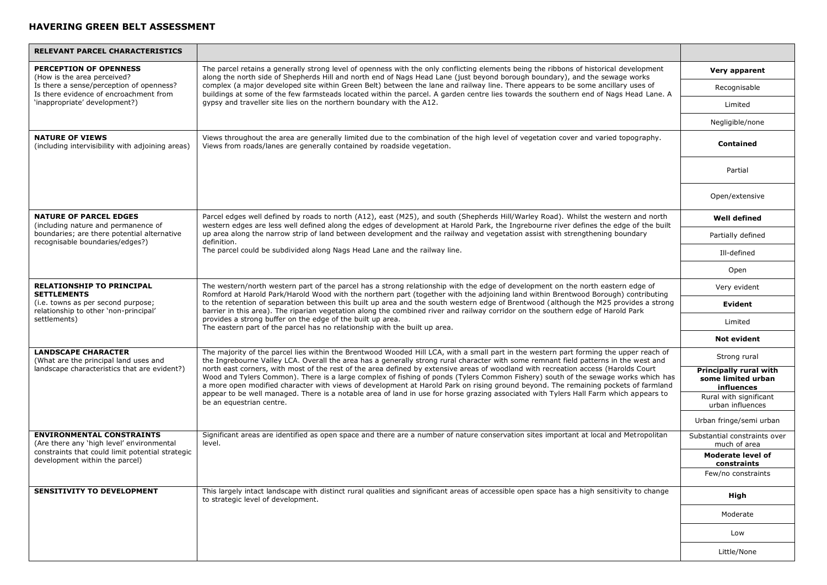| <b>RELEVANT PARCEL CHARACTERISTICS</b>                                             |                                                                                                                                                                                                                                                                                                                                                                                                                                                                                                                                                                                                                                                                                                                                                                                                                                                                      |                                                            |
|------------------------------------------------------------------------------------|----------------------------------------------------------------------------------------------------------------------------------------------------------------------------------------------------------------------------------------------------------------------------------------------------------------------------------------------------------------------------------------------------------------------------------------------------------------------------------------------------------------------------------------------------------------------------------------------------------------------------------------------------------------------------------------------------------------------------------------------------------------------------------------------------------------------------------------------------------------------|------------------------------------------------------------|
| PERCEPTION OF OPENNESS<br>(How is the area perceived?                              | The parcel retains a generally strong level of openness with the only conflicting elements being the ribbons of historical development<br>along the north side of Shepherds Hill and north end of Nags Head Lane (just beyond borough boundary), and the sewage works                                                                                                                                                                                                                                                                                                                                                                                                                                                                                                                                                                                                | Very apparent                                              |
| Is there a sense/perception of openness?<br>Is there evidence of encroachment from | complex (a major developed site within Green Belt) between the lane and railway line. There appears to be some ancillary uses of<br>buildings at some of the few farmsteads located within the parcel. A garden centre lies towards the southern end of Nags Head Lane. A                                                                                                                                                                                                                                                                                                                                                                                                                                                                                                                                                                                            | Recognisable                                               |
| 'inappropriate' development?)                                                      | gypsy and traveller site lies on the northern boundary with the A12.                                                                                                                                                                                                                                                                                                                                                                                                                                                                                                                                                                                                                                                                                                                                                                                                 | Limited                                                    |
|                                                                                    |                                                                                                                                                                                                                                                                                                                                                                                                                                                                                                                                                                                                                                                                                                                                                                                                                                                                      | Negligible/none                                            |
| <b>NATURE OF VIEWS</b><br>(including intervisibility with adjoining areas)         | Views throughout the area are generally limited due to the combination of the high level of vegetation cover and varied topography.<br>Views from roads/lanes are generally contained by roadside vegetation.                                                                                                                                                                                                                                                                                                                                                                                                                                                                                                                                                                                                                                                        | <b>Contained</b>                                           |
|                                                                                    |                                                                                                                                                                                                                                                                                                                                                                                                                                                                                                                                                                                                                                                                                                                                                                                                                                                                      | Partial                                                    |
|                                                                                    |                                                                                                                                                                                                                                                                                                                                                                                                                                                                                                                                                                                                                                                                                                                                                                                                                                                                      | Open/extensive                                             |
| <b>NATURE OF PARCEL EDGES</b><br>(including nature and permanence of               | Parcel edges well defined by roads to north (A12), east (M25), and south (Shepherds Hill/Warley Road). Whilst the western and north<br>western edges are less well defined along the edges of development at Harold Park, the Ingrebourne river defines the edge of the built                                                                                                                                                                                                                                                                                                                                                                                                                                                                                                                                                                                        | <b>Well defined</b>                                        |
| boundaries; are there potential alternative<br>recognisable boundaries/edges?)     | up area along the narrow strip of land between development and the railway and vegetation assist with strengthening boundary<br>definition.                                                                                                                                                                                                                                                                                                                                                                                                                                                                                                                                                                                                                                                                                                                          | Partially defined                                          |
|                                                                                    | The parcel could be subdivided along Nags Head Lane and the railway line.                                                                                                                                                                                                                                                                                                                                                                                                                                                                                                                                                                                                                                                                                                                                                                                            | Ill-defined                                                |
|                                                                                    |                                                                                                                                                                                                                                                                                                                                                                                                                                                                                                                                                                                                                                                                                                                                                                                                                                                                      | Open                                                       |
| <b>RELATIONSHIP TO PRINCIPAL</b><br><b>SETTLEMENTS</b>                             | The western/north western part of the parcel has a strong relationship with the edge of development on the north eastern edge of<br>Romford at Harold Park/Harold Wood with the northern part (together with the adjoining land within Brentwood Borough) contributing<br>to the retention of separation between this built up area and the south western edge of Brentwood (although the M25 provides a strong<br>barrier in this area). The riparian vegetation along the combined river and railway corridor on the southern edge of Harold Park<br>provides a strong buffer on the edge of the built up area.<br>The eastern part of the parcel has no relationship with the built up area.                                                                                                                                                                      | Very evident                                               |
| (i.e. towns as per second purpose;<br>relationship to other 'non-principal'        |                                                                                                                                                                                                                                                                                                                                                                                                                                                                                                                                                                                                                                                                                                                                                                                                                                                                      | <b>Evident</b>                                             |
| settlements)                                                                       |                                                                                                                                                                                                                                                                                                                                                                                                                                                                                                                                                                                                                                                                                                                                                                                                                                                                      | Limited                                                    |
|                                                                                    |                                                                                                                                                                                                                                                                                                                                                                                                                                                                                                                                                                                                                                                                                                                                                                                                                                                                      | <b>Not evident</b>                                         |
| <b>LANDSCAPE CHARACTER</b><br>(What are the principal land uses and                | The majority of the parcel lies within the Brentwood Wooded Hill LCA, with a small part in the western part forming the upper reach of<br>the Ingrebourne Valley LCA. Overall the area has a generally strong rural character with some remnant field patterns in the west and<br>north east corners, with most of the rest of the area defined by extensive areas of woodland with recreation access (Harolds Court<br>Wood and Tylers Common). There is a large complex of fishing of ponds (Tylers Common Fishery) south of the sewage works which has<br>a more open modified character with views of development at Harold Park on rising ground bevond. The remaining pockets of farmland<br>appear to be well managed. There is a notable area of land in use for horse grazing associated with Tylers Hall Farm which appears to<br>be an equestrian centre. | Strong rural                                               |
| landscape characteristics that are evident?)                                       |                                                                                                                                                                                                                                                                                                                                                                                                                                                                                                                                                                                                                                                                                                                                                                                                                                                                      | Principally rural with<br>some limited urban<br>influences |
|                                                                                    |                                                                                                                                                                                                                                                                                                                                                                                                                                                                                                                                                                                                                                                                                                                                                                                                                                                                      | Rural with significant<br>urban influences                 |
|                                                                                    |                                                                                                                                                                                                                                                                                                                                                                                                                                                                                                                                                                                                                                                                                                                                                                                                                                                                      | Urban fringe/semi urban                                    |
| <b>ENVIRONMENTAL CONSTRAINTS</b><br>(Are there any 'high level' environmental      | Significant areas are identified as open space and there are a number of nature conservation sites important at local and Metropolitan<br>level.                                                                                                                                                                                                                                                                                                                                                                                                                                                                                                                                                                                                                                                                                                                     | Substantial constraints over<br>much of area               |
| constraints that could limit potential strategic<br>development within the parcel) |                                                                                                                                                                                                                                                                                                                                                                                                                                                                                                                                                                                                                                                                                                                                                                                                                                                                      | <b>Moderate level of</b><br>constraints                    |
|                                                                                    |                                                                                                                                                                                                                                                                                                                                                                                                                                                                                                                                                                                                                                                                                                                                                                                                                                                                      | Few/no constraints                                         |
| <b>SENSITIVITY TO DEVELOPMENT</b>                                                  | This largely intact landscape with distinct rural qualities and significant areas of accessible open space has a high sensitivity to change<br>to strategic level of development.                                                                                                                                                                                                                                                                                                                                                                                                                                                                                                                                                                                                                                                                                    | High                                                       |
|                                                                                    |                                                                                                                                                                                                                                                                                                                                                                                                                                                                                                                                                                                                                                                                                                                                                                                                                                                                      | Moderate                                                   |
|                                                                                    |                                                                                                                                                                                                                                                                                                                                                                                                                                                                                                                                                                                                                                                                                                                                                                                                                                                                      | Low                                                        |
|                                                                                    |                                                                                                                                                                                                                                                                                                                                                                                                                                                                                                                                                                                                                                                                                                                                                                                                                                                                      | Little/None                                                |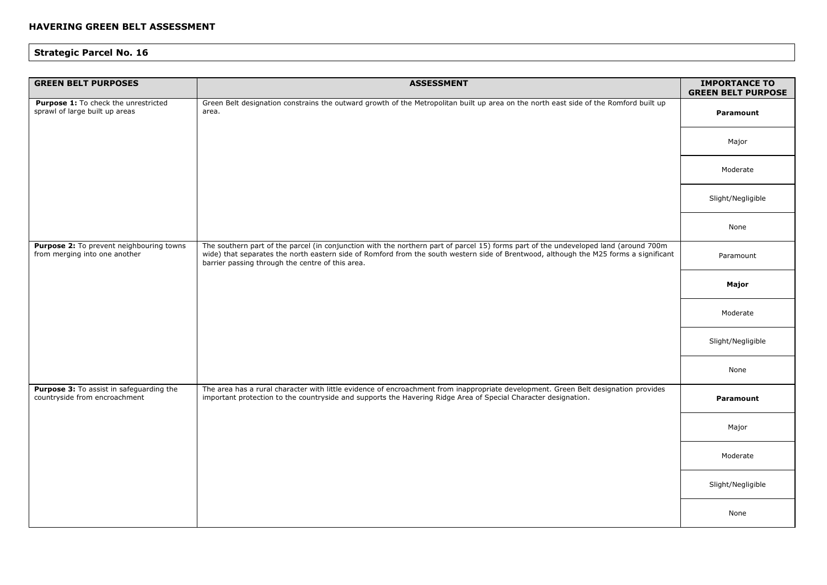| <b>GREEN BELT PURPOSES</b>                                                | <b>ASSESSMENT</b>                                                                                                                                                                                                                                                                                                                 | <b>IMPORTANCE TO</b><br><b>GREEN BELT PURPOSE</b> |
|---------------------------------------------------------------------------|-----------------------------------------------------------------------------------------------------------------------------------------------------------------------------------------------------------------------------------------------------------------------------------------------------------------------------------|---------------------------------------------------|
| Purpose 1: To check the unrestricted<br>sprawl of large built up areas    | Green Belt designation constrains the outward growth of the Metropolitan built up area on the north east side of the Romford built up<br>area.                                                                                                                                                                                    | <b>Paramount</b>                                  |
|                                                                           |                                                                                                                                                                                                                                                                                                                                   | Major                                             |
|                                                                           |                                                                                                                                                                                                                                                                                                                                   | Moderate                                          |
|                                                                           |                                                                                                                                                                                                                                                                                                                                   | Slight/Negligible                                 |
|                                                                           |                                                                                                                                                                                                                                                                                                                                   | None                                              |
| Purpose 2: To prevent neighbouring towns<br>from merging into one another | The southern part of the parcel (in conjunction with the northern part of parcel 15) forms part of the undeveloped land (around 700m<br>wide) that separates the north eastern side of Romford from the south western side of Brentwood, although the M25 forms a significant<br>barrier passing through the centre of this area. | Paramount                                         |
|                                                                           |                                                                                                                                                                                                                                                                                                                                   | Major                                             |
|                                                                           |                                                                                                                                                                                                                                                                                                                                   | Moderate                                          |
|                                                                           |                                                                                                                                                                                                                                                                                                                                   | Slight/Negligible                                 |
|                                                                           |                                                                                                                                                                                                                                                                                                                                   | None                                              |
| Purpose 3: To assist in safeguarding the<br>countryside from encroachment | The area has a rural character with little evidence of encroachment from inappropriate development. Green Belt designation provides<br>important protection to the countryside and supports the Havering Ridge Area of Special Character designation.                                                                             | <b>Paramount</b>                                  |
|                                                                           |                                                                                                                                                                                                                                                                                                                                   | Major                                             |
|                                                                           |                                                                                                                                                                                                                                                                                                                                   | Moderate                                          |
|                                                                           |                                                                                                                                                                                                                                                                                                                                   | Slight/Negligible                                 |
|                                                                           |                                                                                                                                                                                                                                                                                                                                   | None                                              |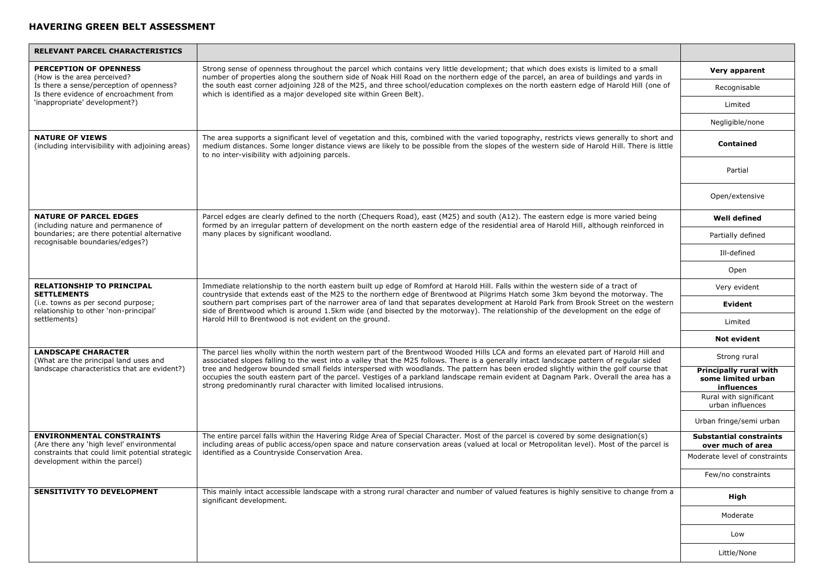| <b>RELEVANT PARCEL CHARACTERISTICS</b>                                                                              |                                                                                                                                                                                                                                                                                                                                                                                                                                                                                                                                                                                                                                              |                                                            |
|---------------------------------------------------------------------------------------------------------------------|----------------------------------------------------------------------------------------------------------------------------------------------------------------------------------------------------------------------------------------------------------------------------------------------------------------------------------------------------------------------------------------------------------------------------------------------------------------------------------------------------------------------------------------------------------------------------------------------------------------------------------------------|------------------------------------------------------------|
| <b>PERCEPTION OF OPENNESS</b><br>(How is the area perceived?                                                        | Strong sense of openness throughout the parcel which contains very little development; that which does exists is limited to a small<br>number of properties along the southern side of Noak Hill Road on the northern edge of the parcel, an area of buildings and yards in                                                                                                                                                                                                                                                                                                                                                                  | Very apparent                                              |
| Is there a sense/perception of openness?<br>Is there evidence of encroachment from                                  | the south east corner adjoining J28 of the M25, and three school/education complexes on the north eastern edge of Harold Hill (one of<br>which is identified as a major developed site within Green Belt).                                                                                                                                                                                                                                                                                                                                                                                                                                   | Recognisable                                               |
| 'inappropriate' development?)                                                                                       |                                                                                                                                                                                                                                                                                                                                                                                                                                                                                                                                                                                                                                              | Limited                                                    |
|                                                                                                                     |                                                                                                                                                                                                                                                                                                                                                                                                                                                                                                                                                                                                                                              | Negligible/none                                            |
| <b>NATURE OF VIEWS</b><br>(including intervisibility with adjoining areas)                                          | The area supports a significant level of vegetation and this, combined with the varied topography, restricts views generally to short and<br>medium distances. Some longer distance views are likely to be possible from the slopes of the western side of Harold Hill. There is little<br>to no inter-visibility with adjoining parcels.                                                                                                                                                                                                                                                                                                    | Contained                                                  |
|                                                                                                                     |                                                                                                                                                                                                                                                                                                                                                                                                                                                                                                                                                                                                                                              | Partial                                                    |
|                                                                                                                     |                                                                                                                                                                                                                                                                                                                                                                                                                                                                                                                                                                                                                                              | Open/extensive                                             |
| <b>NATURE OF PARCEL EDGES</b><br>(including nature and permanence of                                                | Parcel edges are clearly defined to the north (Chequers Road), east (M25) and south (A12). The eastern edge is more varied being<br>formed by an irregular pattern of development on the north eastern edge of the residential area of Harold Hill, although reinforced in                                                                                                                                                                                                                                                                                                                                                                   | <b>Well defined</b>                                        |
| boundaries; are there potential alternative<br>recognisable boundaries/edges?)                                      | many places by significant woodland.                                                                                                                                                                                                                                                                                                                                                                                                                                                                                                                                                                                                         | Partially defined                                          |
|                                                                                                                     |                                                                                                                                                                                                                                                                                                                                                                                                                                                                                                                                                                                                                                              | Ill-defined                                                |
|                                                                                                                     |                                                                                                                                                                                                                                                                                                                                                                                                                                                                                                                                                                                                                                              | Open                                                       |
| <b>RELATIONSHIP TO PRINCIPAL</b><br><b>SETTLEMENTS</b>                                                              | Immediate relationship to the north eastern built up edge of Romford at Harold Hill. Falls within the western side of a tract of<br>countryside that extends east of the M25 to the northern edge of Brentwood at Pilgrims Hatch some 3km beyond the motorway. The<br>southern part comprises part of the narrower area of land that separates development at Harold Park from Brook Street on the western<br>side of Brentwood which is around 1.5km wide (and bisected by the motorway). The relationship of the development on the edge of<br>Harold Hill to Brentwood is not evident on the ground.                                      | Very evident                                               |
| (i.e. towns as per second purpose;<br>relationship to other 'non-principal'<br>settlements)                         |                                                                                                                                                                                                                                                                                                                                                                                                                                                                                                                                                                                                                                              | Evident                                                    |
|                                                                                                                     |                                                                                                                                                                                                                                                                                                                                                                                                                                                                                                                                                                                                                                              | Limited                                                    |
|                                                                                                                     |                                                                                                                                                                                                                                                                                                                                                                                                                                                                                                                                                                                                                                              | <b>Not evident</b>                                         |
| <b>LANDSCAPE CHARACTER</b><br>(What are the principal land uses and<br>landscape characteristics that are evident?) | The parcel lies wholly within the north western part of the Brentwood Wooded Hills LCA and forms an elevated part of Harold Hill and<br>associated slopes falling to the west into a valley that the M25 follows. There is a generally intact landscape pattern of regular sided<br>tree and hedgerow bounded small fields interspersed with woodlands. The pattern has been eroded slightly within the golf course that<br>occupies the south eastern part of the parcel. Vestiges of a parkland landscape remain evident at Dagnam Park. Overall the area has a<br>strong predominantly rural character with limited localised intrusions. | Strong rural                                               |
|                                                                                                                     |                                                                                                                                                                                                                                                                                                                                                                                                                                                                                                                                                                                                                                              | Principally rural with<br>some limited urban<br>influences |
|                                                                                                                     |                                                                                                                                                                                                                                                                                                                                                                                                                                                                                                                                                                                                                                              | Rural with significant<br>urban influences                 |
|                                                                                                                     |                                                                                                                                                                                                                                                                                                                                                                                                                                                                                                                                                                                                                                              | Urban fringe/semi urban                                    |
| <b>ENVIRONMENTAL CONSTRAINTS</b><br>(Are there any 'high level' environmental                                       | The entire parcel falls within the Havering Ridge Area of Special Character. Most of the parcel is covered by some designation(s)<br>including areas of public access/open space and nature conservation areas (valued at local or Metropolitan level). Most of the parcel is                                                                                                                                                                                                                                                                                                                                                                | <b>Substantial constraints</b><br>over much of area        |
| constraints that could limit potential strategic<br>development within the parcel)                                  | identified as a Countryside Conservation Area.                                                                                                                                                                                                                                                                                                                                                                                                                                                                                                                                                                                               | Moderate level of constraints                              |
|                                                                                                                     |                                                                                                                                                                                                                                                                                                                                                                                                                                                                                                                                                                                                                                              | Few/no constraints                                         |
| <b>SENSITIVITY TO DEVELOPMENT</b>                                                                                   | This mainly intact accessible landscape with a strong rural character and number of valued features is highly sensitive to change from a<br>significant development.                                                                                                                                                                                                                                                                                                                                                                                                                                                                         | High                                                       |
|                                                                                                                     |                                                                                                                                                                                                                                                                                                                                                                                                                                                                                                                                                                                                                                              | Moderate                                                   |
|                                                                                                                     |                                                                                                                                                                                                                                                                                                                                                                                                                                                                                                                                                                                                                                              | Low                                                        |
|                                                                                                                     |                                                                                                                                                                                                                                                                                                                                                                                                                                                                                                                                                                                                                                              | Little/None                                                |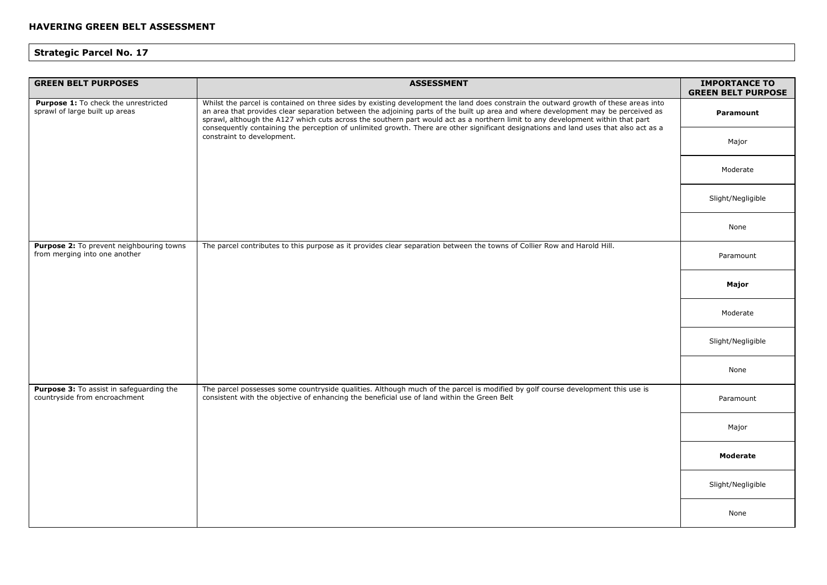| <b>GREEN BELT PURPOSES</b>                                                | <b>ASSESSMENT</b>                                                                                                                                                                                                                                                                                                                                                                                                                                                                                                                                                                   | <b>IMPORTANCE TO</b><br><b>GREEN BELT PURPOSE</b> |
|---------------------------------------------------------------------------|-------------------------------------------------------------------------------------------------------------------------------------------------------------------------------------------------------------------------------------------------------------------------------------------------------------------------------------------------------------------------------------------------------------------------------------------------------------------------------------------------------------------------------------------------------------------------------------|---------------------------------------------------|
| Purpose 1: To check the unrestricted<br>sprawl of large built up areas    | Whilst the parcel is contained on three sides by existing development the land does constrain the outward growth of these areas into<br>an area that provides clear separation between the adjoining parts of the built up area and where development may be perceived as<br>sprawl, although the A127 which cuts across the southern part would act as a northern limit to any development within that part<br>consequently containing the perception of unlimited growth. There are other significant designations and land uses that also act as a<br>constraint to development. | Paramount                                         |
|                                                                           |                                                                                                                                                                                                                                                                                                                                                                                                                                                                                                                                                                                     | Major                                             |
|                                                                           |                                                                                                                                                                                                                                                                                                                                                                                                                                                                                                                                                                                     | Moderate                                          |
|                                                                           |                                                                                                                                                                                                                                                                                                                                                                                                                                                                                                                                                                                     | Slight/Negligible                                 |
|                                                                           |                                                                                                                                                                                                                                                                                                                                                                                                                                                                                                                                                                                     | None                                              |
| Purpose 2: To prevent neighbouring towns<br>from merging into one another | The parcel contributes to this purpose as it provides clear separation between the towns of Collier Row and Harold Hill.                                                                                                                                                                                                                                                                                                                                                                                                                                                            | Paramount                                         |
|                                                                           |                                                                                                                                                                                                                                                                                                                                                                                                                                                                                                                                                                                     | Major                                             |
|                                                                           |                                                                                                                                                                                                                                                                                                                                                                                                                                                                                                                                                                                     | Moderate                                          |
|                                                                           |                                                                                                                                                                                                                                                                                                                                                                                                                                                                                                                                                                                     | Slight/Negligible                                 |
|                                                                           |                                                                                                                                                                                                                                                                                                                                                                                                                                                                                                                                                                                     | None                                              |
| Purpose 3: To assist in safeguarding the<br>countryside from encroachment | The parcel possesses some countryside qualities. Although much of the parcel is modified by golf course development this use is<br>consistent with the objective of enhancing the beneficial use of land within the Green Belt                                                                                                                                                                                                                                                                                                                                                      | Paramount                                         |
|                                                                           |                                                                                                                                                                                                                                                                                                                                                                                                                                                                                                                                                                                     | Major                                             |
|                                                                           |                                                                                                                                                                                                                                                                                                                                                                                                                                                                                                                                                                                     | <b>Moderate</b>                                   |
|                                                                           |                                                                                                                                                                                                                                                                                                                                                                                                                                                                                                                                                                                     | Slight/Negligible                                 |
|                                                                           |                                                                                                                                                                                                                                                                                                                                                                                                                                                                                                                                                                                     | None                                              |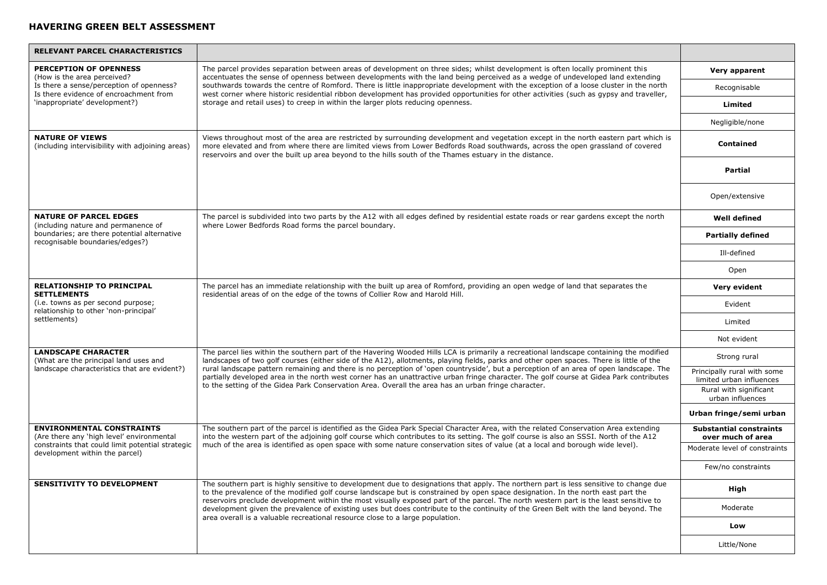| RELEVANT PARCEL CHARACTERISTICS                                                    |                                                                                                                                                                                                                                                                                                                                                                                                                                                                                                                                                                                                                                                                                 |                                                         |
|------------------------------------------------------------------------------------|---------------------------------------------------------------------------------------------------------------------------------------------------------------------------------------------------------------------------------------------------------------------------------------------------------------------------------------------------------------------------------------------------------------------------------------------------------------------------------------------------------------------------------------------------------------------------------------------------------------------------------------------------------------------------------|---------------------------------------------------------|
| <b>PERCEPTION OF OPENNESS</b><br>(How is the area perceived?                       | The parcel provides separation between areas of development on three sides; whilst development is often locally prominent this<br>accentuates the sense of openness between developments with the land being perceived as a wedge of undeveloped land extending<br>southwards towards the centre of Romford. There is little inappropriate development with the exception of a loose cluster in the north<br>west corner where historic residential ribbon development has provided opportunities for other activities (such as gypsy and traveller,                                                                                                                            | Very apparent                                           |
| Is there a sense/perception of openness?<br>Is there evidence of encroachment from |                                                                                                                                                                                                                                                                                                                                                                                                                                                                                                                                                                                                                                                                                 | Recognisable                                            |
| 'inappropriate' development?)                                                      | storage and retail uses) to creep in within the larger plots reducing openness.                                                                                                                                                                                                                                                                                                                                                                                                                                                                                                                                                                                                 | Limited                                                 |
|                                                                                    |                                                                                                                                                                                                                                                                                                                                                                                                                                                                                                                                                                                                                                                                                 | Negligible/none                                         |
| <b>NATURE OF VIEWS</b><br>(including intervisibility with adjoining areas)         | Views throughout most of the area are restricted by surrounding development and vegetation except in the north eastern part which is<br>more elevated and from where there are limited views from Lower Bedfords Road southwards, across the open grassland of covered<br>reservoirs and over the built up area beyond to the hills south of the Thames estuary in the distance.                                                                                                                                                                                                                                                                                                | <b>Contained</b>                                        |
|                                                                                    |                                                                                                                                                                                                                                                                                                                                                                                                                                                                                                                                                                                                                                                                                 | <b>Partial</b>                                          |
|                                                                                    |                                                                                                                                                                                                                                                                                                                                                                                                                                                                                                                                                                                                                                                                                 | Open/extensive                                          |
| <b>NATURE OF PARCEL EDGES</b><br>(including nature and permanence of               | The parcel is subdivided into two parts by the A12 with all edges defined by residential estate roads or rear gardens except the north<br>where Lower Bedfords Road forms the parcel boundary.                                                                                                                                                                                                                                                                                                                                                                                                                                                                                  | <b>Well defined</b>                                     |
| boundaries; are there potential alternative<br>recognisable boundaries/edges?)     |                                                                                                                                                                                                                                                                                                                                                                                                                                                                                                                                                                                                                                                                                 | <b>Partially defined</b>                                |
|                                                                                    |                                                                                                                                                                                                                                                                                                                                                                                                                                                                                                                                                                                                                                                                                 | Ill-defined                                             |
|                                                                                    |                                                                                                                                                                                                                                                                                                                                                                                                                                                                                                                                                                                                                                                                                 | Open                                                    |
| RELATIONSHIP TO PRINCIPAL<br><b>SETTLEMENTS</b>                                    | The parcel has an immediate relationship with the built up area of Romford, providing an open wedge of land that separates the<br>residential areas of on the edge of the towns of Collier Row and Harold Hill.                                                                                                                                                                                                                                                                                                                                                                                                                                                                 | Very evident                                            |
| (i.e. towns as per second purpose;<br>relationship to other 'non-principal'        |                                                                                                                                                                                                                                                                                                                                                                                                                                                                                                                                                                                                                                                                                 | Evident                                                 |
| settlements)                                                                       |                                                                                                                                                                                                                                                                                                                                                                                                                                                                                                                                                                                                                                                                                 | Limited                                                 |
|                                                                                    |                                                                                                                                                                                                                                                                                                                                                                                                                                                                                                                                                                                                                                                                                 | Not evident                                             |
| <b>LANDSCAPE CHARACTER</b><br>(What are the principal land uses and                | The parcel lies within the southern part of the Havering Wooded Hills LCA is primarily a recreational landscape containing the modified<br>landscapes of two golf courses (either side of the A12), allotments, playing fields, parks and other open spaces. There is little of the<br>rural landscape pattern remaining and there is no perception of 'open countryside', but a perception of an area of open landscape. The<br>partially developed area in the north west corner has an unattractive urban fringe character. The golf course at Gidea Park contributes<br>to the setting of the Gidea Park Conservation Area. Overall the area has an urban fringe character. | Strong rural                                            |
| landscape characteristics that are evident?)                                       |                                                                                                                                                                                                                                                                                                                                                                                                                                                                                                                                                                                                                                                                                 | Principally rural with some<br>limited urban influences |
|                                                                                    |                                                                                                                                                                                                                                                                                                                                                                                                                                                                                                                                                                                                                                                                                 | Rural with significant<br>urban influences              |
|                                                                                    |                                                                                                                                                                                                                                                                                                                                                                                                                                                                                                                                                                                                                                                                                 | Urban fringe/semi urban                                 |
| <b>ENVIRONMENTAL CONSTRAINTS</b><br>(Are there any 'high level' environmental      | The southern part of the parcel is identified as the Gidea Park Special Character Area, with the related Conservation Area extending<br>into the western part of the adjoining golf course which contributes to its setting. The golf course is also an SSSI. North of the A12                                                                                                                                                                                                                                                                                                                                                                                                  | <b>Substantial constraints</b><br>over much of area     |
| constraints that could limit potential strategic<br>development within the parcel) | much of the area is identified as open space with some nature conservation sites of value (at a local and borough wide level).                                                                                                                                                                                                                                                                                                                                                                                                                                                                                                                                                  | Moderate level of constraints                           |
|                                                                                    |                                                                                                                                                                                                                                                                                                                                                                                                                                                                                                                                                                                                                                                                                 | Few/no constraints                                      |
| <b>SENSITIVITY TO DEVELOPMENT</b>                                                  | The southern part is highly sensitive to development due to designations that apply. The northern part is less sensitive to change due<br>to the prevalence of the modified golf course landscape but is constrained by open space designation. In the north east part the<br>reservoirs preclude development within the most visually exposed part of the parcel. The north western part is the least sensitive to<br>development given the prevalence of existing uses but does contribute to the continuity of the Green Belt with the land beyond. The<br>area overall is a valuable recreational resource close to a large population.                                     | High                                                    |
|                                                                                    |                                                                                                                                                                                                                                                                                                                                                                                                                                                                                                                                                                                                                                                                                 | Moderate                                                |
|                                                                                    |                                                                                                                                                                                                                                                                                                                                                                                                                                                                                                                                                                                                                                                                                 | Low                                                     |
|                                                                                    |                                                                                                                                                                                                                                                                                                                                                                                                                                                                                                                                                                                                                                                                                 | Little/None                                             |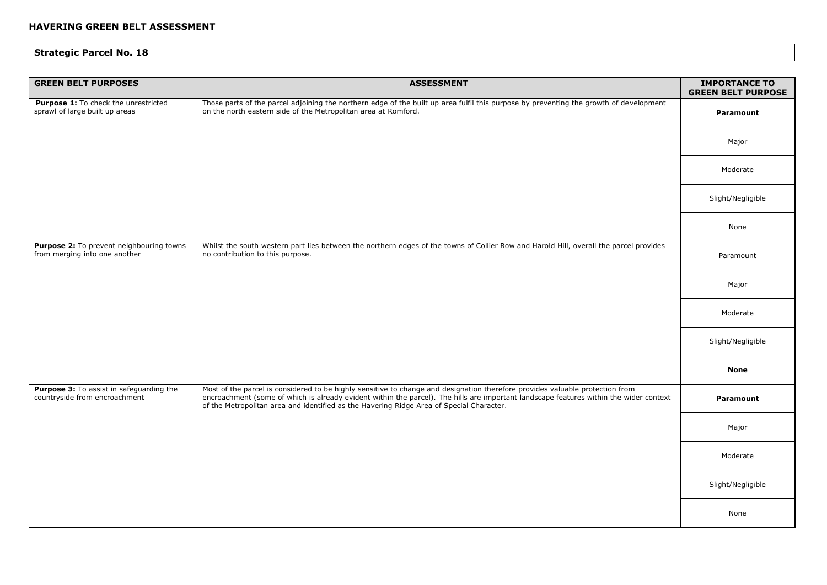| <b>GREEN BELT PURPOSES</b>                                                | <b>ASSESSMENT</b>                                                                                                                                                                                                                                                                                                                                                   | <b>IMPORTANCE TO</b><br><b>GREEN BELT PURPOSE</b> |
|---------------------------------------------------------------------------|---------------------------------------------------------------------------------------------------------------------------------------------------------------------------------------------------------------------------------------------------------------------------------------------------------------------------------------------------------------------|---------------------------------------------------|
| Purpose 1: To check the unrestricted<br>sprawl of large built up areas    | Those parts of the parcel adjoining the northern edge of the built up area fulfil this purpose by preventing the growth of development<br>on the north eastern side of the Metropolitan area at Romford.                                                                                                                                                            | <b>Paramount</b>                                  |
|                                                                           |                                                                                                                                                                                                                                                                                                                                                                     | Major                                             |
|                                                                           |                                                                                                                                                                                                                                                                                                                                                                     | Moderate                                          |
|                                                                           |                                                                                                                                                                                                                                                                                                                                                                     | Slight/Negligible                                 |
|                                                                           |                                                                                                                                                                                                                                                                                                                                                                     | None                                              |
| Purpose 2: To prevent neighbouring towns<br>from merging into one another | Whilst the south western part lies between the northern edges of the towns of Collier Row and Harold Hill, overall the parcel provides<br>no contribution to this purpose.                                                                                                                                                                                          | Paramount                                         |
|                                                                           |                                                                                                                                                                                                                                                                                                                                                                     | Major                                             |
|                                                                           |                                                                                                                                                                                                                                                                                                                                                                     | Moderate                                          |
|                                                                           |                                                                                                                                                                                                                                                                                                                                                                     | Slight/Negligible                                 |
|                                                                           |                                                                                                                                                                                                                                                                                                                                                                     | <b>None</b>                                       |
| Purpose 3: To assist in safeguarding the<br>countryside from encroachment | Most of the parcel is considered to be highly sensitive to change and designation therefore provides valuable protection from<br>encroachment (some of which is already evident within the parcel). The hills are important landscape features within the wider context<br>of the Metropolitan area and identified as the Havering Ridge Area of Special Character. | Paramount                                         |
|                                                                           |                                                                                                                                                                                                                                                                                                                                                                     | Major                                             |
|                                                                           |                                                                                                                                                                                                                                                                                                                                                                     | Moderate                                          |
|                                                                           |                                                                                                                                                                                                                                                                                                                                                                     | Slight/Negligible                                 |
|                                                                           |                                                                                                                                                                                                                                                                                                                                                                     | None                                              |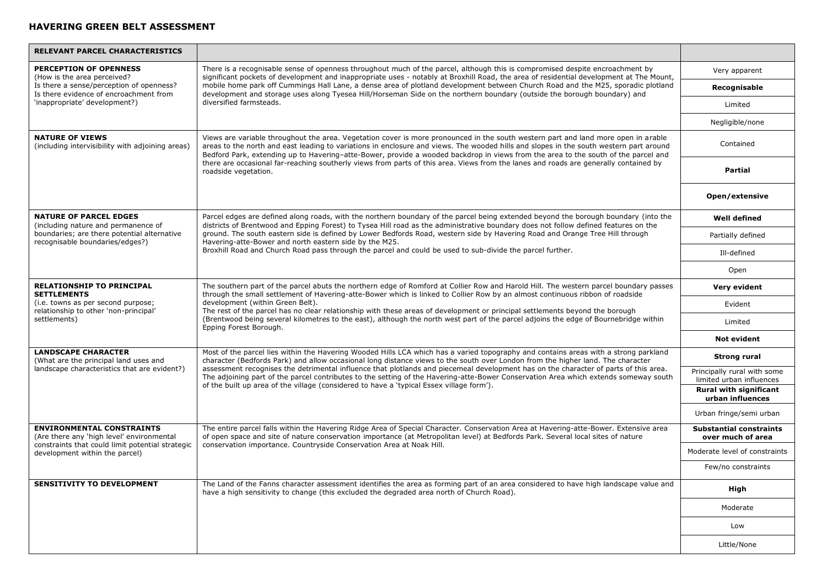| <b>RELEVANT PARCEL CHARACTERISTICS</b>                                                                                            |                                                                                                                                                                                                                                                                                                                                                                                                                                                                                                                                                                                                                                                     |                                                         |
|-----------------------------------------------------------------------------------------------------------------------------------|-----------------------------------------------------------------------------------------------------------------------------------------------------------------------------------------------------------------------------------------------------------------------------------------------------------------------------------------------------------------------------------------------------------------------------------------------------------------------------------------------------------------------------------------------------------------------------------------------------------------------------------------------------|---------------------------------------------------------|
| <b>PERCEPTION OF OPENNESS</b><br>(How is the area perceived?                                                                      | There is a recognisable sense of openness throughout much of the parcel, although this is compromised despite encroachment by<br>significant pockets of development and inappropriate uses - notably at Broxhill Road, the area of residential development at The Mount,                                                                                                                                                                                                                                                                                                                                                                            | Very apparent                                           |
| Is there a sense/perception of openness?<br>Is there evidence of encroachment from                                                | mobile home park off Cummings Hall Lane, a dense area of plotland development between Church Road and the M25, sporadic plotland<br>development and storage uses along Tyesea Hill/Horseman Side on the northern boundary (outside the borough boundary) and                                                                                                                                                                                                                                                                                                                                                                                        | Recognisable                                            |
| 'inappropriate' development?)                                                                                                     | diversified farmsteads.                                                                                                                                                                                                                                                                                                                                                                                                                                                                                                                                                                                                                             | Limited                                                 |
|                                                                                                                                   |                                                                                                                                                                                                                                                                                                                                                                                                                                                                                                                                                                                                                                                     | Negligible/none                                         |
| <b>NATURE OF VIEWS</b><br>(including intervisibility with adjoining areas)                                                        | Views are variable throughout the area. Vegetation cover is more pronounced in the south western part and land more open in arable<br>areas to the north and east leading to variations in enclosure and views. The wooded hills and slopes in the south western part around<br>Bedford Park, extending up to Havering-atte-Bower, provide a wooded backdrop in views from the area to the south of the parcel and                                                                                                                                                                                                                                  | Contained                                               |
|                                                                                                                                   | there are occasional far-reaching southerly views from parts of this area. Views from the lanes and roads are generally contained by<br>roadside vegetation.                                                                                                                                                                                                                                                                                                                                                                                                                                                                                        | <b>Partial</b>                                          |
|                                                                                                                                   |                                                                                                                                                                                                                                                                                                                                                                                                                                                                                                                                                                                                                                                     | Open/extensive                                          |
| <b>NATURE OF PARCEL EDGES</b><br>(including nature and permanence of                                                              | Parcel edges are defined along roads, with the northern boundary of the parcel being extended beyond the borough boundary (into the<br>districts of Brentwood and Epping Forest) to Tysea Hill road as the administrative boundary does not follow defined features on the                                                                                                                                                                                                                                                                                                                                                                          | <b>Well defined</b>                                     |
| boundaries; are there potential alternative<br>recognisable boundaries/edges?)                                                    | ground. The south eastern side is defined by Lower Bedfords Road, western side by Havering Road and Orange Tree Hill through<br>Havering-atte-Bower and north eastern side by the M25.                                                                                                                                                                                                                                                                                                                                                                                                                                                              | Partially defined                                       |
|                                                                                                                                   | Broxhill Road and Church Road pass through the parcel and could be used to sub-divide the parcel further.                                                                                                                                                                                                                                                                                                                                                                                                                                                                                                                                           | Ill-defined                                             |
|                                                                                                                                   |                                                                                                                                                                                                                                                                                                                                                                                                                                                                                                                                                                                                                                                     | Open                                                    |
| <b>RELATIONSHIP TO PRINCIPAL</b><br><b>SETTLEMENTS</b>                                                                            | The southern part of the parcel abuts the northern edge of Romford at Collier Row and Harold Hill. The western parcel boundary passes<br>through the small settlement of Havering-atte-Bower which is linked to Collier Row by an almost continuous ribbon of roadside<br>development (within Green Belt).<br>The rest of the parcel has no clear relationship with these areas of development or principal settlements beyond the borough<br>(Brentwood being several kilometres to the east), although the north west part of the parcel adjoins the edge of Bournebridge within<br>Epping Forest Borough.                                        | Very evident                                            |
| (i.e. towns as per second purpose;<br>relationship to other 'non-principal'<br>settlements)                                       |                                                                                                                                                                                                                                                                                                                                                                                                                                                                                                                                                                                                                                                     | Evident                                                 |
|                                                                                                                                   |                                                                                                                                                                                                                                                                                                                                                                                                                                                                                                                                                                                                                                                     | Limited                                                 |
|                                                                                                                                   |                                                                                                                                                                                                                                                                                                                                                                                                                                                                                                                                                                                                                                                     | <b>Not evident</b>                                      |
| <b>LANDSCAPE CHARACTER</b><br>(What are the principal land uses and                                                               | Most of the parcel lies within the Havering Wooded Hills LCA which has a varied topography and contains areas with a strong parkland<br>character (Bedfords Park) and allow occasional long distance views to the south over London from the higher land. The character<br>assessment recognises the detrimental influence that plotlands and piecemeal development has on the character of parts of this area.<br>The adjoining part of the parcel contributes to the setting of the Havering-atte-Bower Conservation Area which extends someway south<br>of the built up area of the village (considered to have a 'typical Essex village form'). | Strong rural                                            |
| landscape characteristics that are evident?)                                                                                      |                                                                                                                                                                                                                                                                                                                                                                                                                                                                                                                                                                                                                                                     | Principally rural with some<br>limited urban influences |
|                                                                                                                                   |                                                                                                                                                                                                                                                                                                                                                                                                                                                                                                                                                                                                                                                     | <b>Rural with significant</b><br>urban influences       |
|                                                                                                                                   |                                                                                                                                                                                                                                                                                                                                                                                                                                                                                                                                                                                                                                                     | Urban fringe/semi urban                                 |
| <b>ENVIRONMENTAL CONSTRAINTS</b><br>(Are there any 'high level' environmental<br>constraints that could limit potential strategic | The entire parcel falls within the Havering Ridge Area of Special Character. Conservation Area at Havering-atte-Bower. Extensive area<br>of open space and site of nature conservation importance (at Metropolitan level) at Bedfords Park. Several local sites of nature<br>conservation importance. Countryside Conservation Area at Noak Hill.                                                                                                                                                                                                                                                                                                   | <b>Substantial constraints</b><br>over much of area     |
| development within the parcel)                                                                                                    |                                                                                                                                                                                                                                                                                                                                                                                                                                                                                                                                                                                                                                                     | Moderate level of constraints                           |
|                                                                                                                                   |                                                                                                                                                                                                                                                                                                                                                                                                                                                                                                                                                                                                                                                     | Few/no constraints                                      |
| <b>SENSITIVITY TO DEVELOPMENT</b>                                                                                                 | The Land of the Fanns character assessment identifies the area as forming part of an area considered to have high landscape value and<br>have a high sensitivity to change (this excluded the degraded area north of Church Road).                                                                                                                                                                                                                                                                                                                                                                                                                  | High                                                    |
|                                                                                                                                   |                                                                                                                                                                                                                                                                                                                                                                                                                                                                                                                                                                                                                                                     | Moderate                                                |
|                                                                                                                                   |                                                                                                                                                                                                                                                                                                                                                                                                                                                                                                                                                                                                                                                     | Low                                                     |
|                                                                                                                                   |                                                                                                                                                                                                                                                                                                                                                                                                                                                                                                                                                                                                                                                     | Little/None                                             |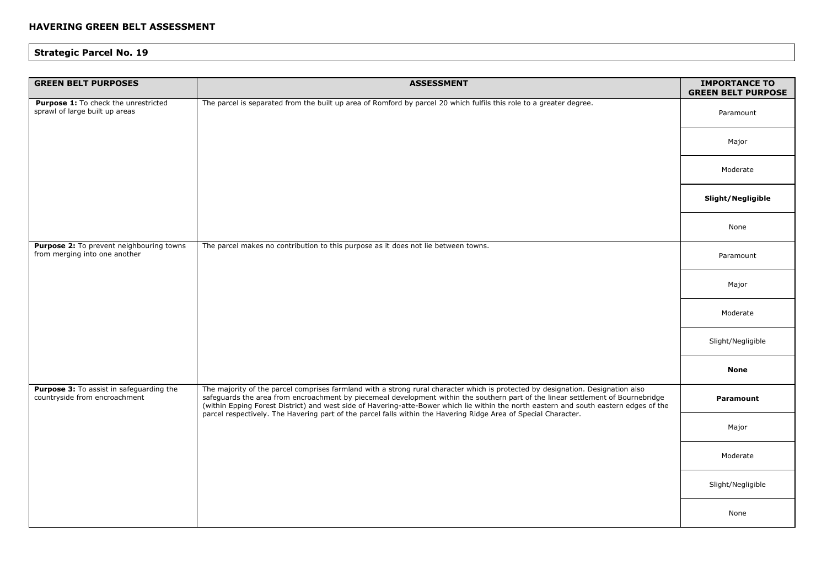| <b>GREEN BELT PURPOSES</b>                                                | <b>ASSESSMENT</b>                                                                                                                                                                                                                                                                                                                                                                                                                                                                                                                | <b>IMPORTANCE TO</b><br><b>GREEN BELT PURPOSE</b> |
|---------------------------------------------------------------------------|----------------------------------------------------------------------------------------------------------------------------------------------------------------------------------------------------------------------------------------------------------------------------------------------------------------------------------------------------------------------------------------------------------------------------------------------------------------------------------------------------------------------------------|---------------------------------------------------|
| Purpose 1: To check the unrestricted<br>sprawl of large built up areas    | The parcel is separated from the built up area of Romford by parcel 20 which fulfils this role to a greater degree.                                                                                                                                                                                                                                                                                                                                                                                                              | Paramount                                         |
|                                                                           |                                                                                                                                                                                                                                                                                                                                                                                                                                                                                                                                  | Major                                             |
|                                                                           |                                                                                                                                                                                                                                                                                                                                                                                                                                                                                                                                  | Moderate                                          |
|                                                                           |                                                                                                                                                                                                                                                                                                                                                                                                                                                                                                                                  | Slight/Negligible                                 |
|                                                                           |                                                                                                                                                                                                                                                                                                                                                                                                                                                                                                                                  | None                                              |
| Purpose 2: To prevent neighbouring towns<br>from merging into one another | The parcel makes no contribution to this purpose as it does not lie between towns.                                                                                                                                                                                                                                                                                                                                                                                                                                               | Paramount                                         |
|                                                                           |                                                                                                                                                                                                                                                                                                                                                                                                                                                                                                                                  | Major                                             |
|                                                                           |                                                                                                                                                                                                                                                                                                                                                                                                                                                                                                                                  | Moderate                                          |
|                                                                           |                                                                                                                                                                                                                                                                                                                                                                                                                                                                                                                                  | Slight/Negligible                                 |
|                                                                           |                                                                                                                                                                                                                                                                                                                                                                                                                                                                                                                                  | <b>None</b>                                       |
| Purpose 3: To assist in safeguarding the<br>countryside from encroachment | The majority of the parcel comprises farmland with a strong rural character which is protected by designation. Designation also<br>safeguards the area from encroachment by piecemeal development within the southern part of the linear settlement of Bournebridge<br>(within Epping Forest District) and west side of Havering-atte-Bower which lie within the north eastern and south eastern edges of the<br>parcel respectively. The Havering part of the parcel falls within the Havering Ridge Area of Special Character. | <b>Paramount</b>                                  |
|                                                                           |                                                                                                                                                                                                                                                                                                                                                                                                                                                                                                                                  | Major                                             |
|                                                                           |                                                                                                                                                                                                                                                                                                                                                                                                                                                                                                                                  | Moderate                                          |
|                                                                           |                                                                                                                                                                                                                                                                                                                                                                                                                                                                                                                                  | Slight/Negligible                                 |
|                                                                           |                                                                                                                                                                                                                                                                                                                                                                                                                                                                                                                                  | None                                              |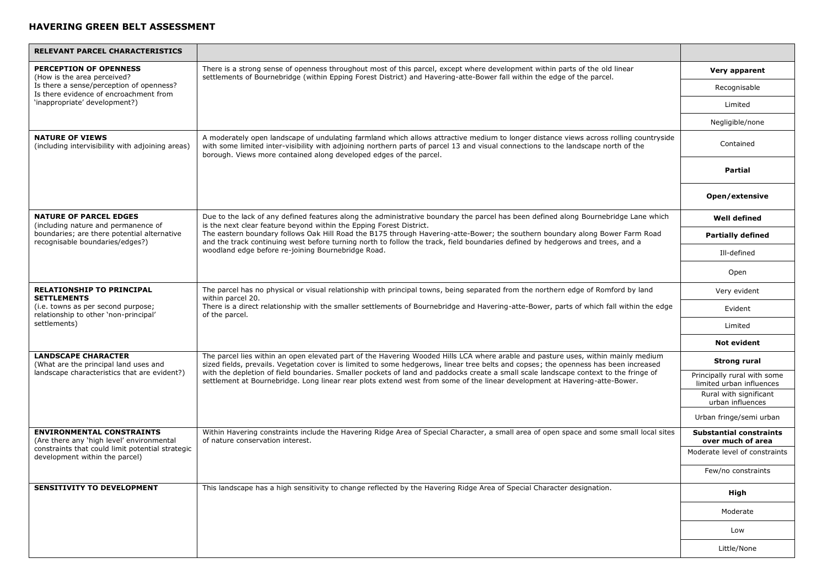| <b>RELEVANT PARCEL CHARACTERISTICS</b>                                             |                                                                                                                                                                                                                                                                                                                                                                                                                                                                                                                                                 |                                                         |
|------------------------------------------------------------------------------------|-------------------------------------------------------------------------------------------------------------------------------------------------------------------------------------------------------------------------------------------------------------------------------------------------------------------------------------------------------------------------------------------------------------------------------------------------------------------------------------------------------------------------------------------------|---------------------------------------------------------|
| <b>PERCEPTION OF OPENNESS</b><br>(How is the area perceived?                       | There is a strong sense of openness throughout most of this parcel, except where development within parts of the old linear<br>settlements of Bournebridge (within Epping Forest District) and Havering-atte-Bower fall within the edge of the parcel.                                                                                                                                                                                                                                                                                          | Very apparent                                           |
| Is there a sense/perception of openness?<br>Is there evidence of encroachment from |                                                                                                                                                                                                                                                                                                                                                                                                                                                                                                                                                 | Recognisable                                            |
| 'inappropriate' development?)                                                      |                                                                                                                                                                                                                                                                                                                                                                                                                                                                                                                                                 | Limited                                                 |
|                                                                                    |                                                                                                                                                                                                                                                                                                                                                                                                                                                                                                                                                 | Negligible/none                                         |
| <b>NATURE OF VIEWS</b><br>(including intervisibility with adjoining areas)         | A moderately open landscape of undulating farmland which allows attractive medium to longer distance views across rolling countryside<br>with some limited inter-visibility with adjoining northern parts of parcel 13 and visual connections to the landscape north of the<br>borough. Views more contained along developed edges of the parcel.                                                                                                                                                                                               | Contained                                               |
|                                                                                    |                                                                                                                                                                                                                                                                                                                                                                                                                                                                                                                                                 | <b>Partial</b>                                          |
|                                                                                    |                                                                                                                                                                                                                                                                                                                                                                                                                                                                                                                                                 | Open/extensive                                          |
| <b>NATURE OF PARCEL EDGES</b><br>(including nature and permanence of               | Due to the lack of any defined features along the administrative boundary the parcel has been defined along Bournebridge Lane which<br>is the next clear feature beyond within the Epping Forest District.                                                                                                                                                                                                                                                                                                                                      | <b>Well defined</b>                                     |
| boundaries; are there potential alternative<br>recognisable boundaries/edges?)     | The eastern boundary follows Oak Hill Road the B175 through Havering-atte-Bower; the southern boundary along Bower Farm Road<br>and the track continuing west before turning north to follow the track, field boundaries defined by hedgerows and trees, and a                                                                                                                                                                                                                                                                                  | <b>Partially defined</b>                                |
|                                                                                    | woodland edge before re-joining Bournebridge Road.                                                                                                                                                                                                                                                                                                                                                                                                                                                                                              | Ill-defined                                             |
|                                                                                    |                                                                                                                                                                                                                                                                                                                                                                                                                                                                                                                                                 | Open                                                    |
| RELATIONSHIP TO PRINCIPAL<br><b>SETTLEMENTS</b>                                    | The parcel has no physical or visual relationship with principal towns, being separated from the northern edge of Romford by land<br>within parcel 20.<br>There is a direct relationship with the smaller settlements of Bournebridge and Havering-atte-Bower, parts of which fall within the edge<br>of the parcel.                                                                                                                                                                                                                            | Very evident                                            |
| (i.e. towns as per second purpose;<br>relationship to other 'non-principal'        |                                                                                                                                                                                                                                                                                                                                                                                                                                                                                                                                                 | Evident                                                 |
| settlements)                                                                       |                                                                                                                                                                                                                                                                                                                                                                                                                                                                                                                                                 | Limited                                                 |
|                                                                                    |                                                                                                                                                                                                                                                                                                                                                                                                                                                                                                                                                 | <b>Not evident</b>                                      |
| <b>LANDSCAPE CHARACTER</b><br>(What are the principal land uses and                | The parcel lies within an open elevated part of the Havering Wooded Hills LCA where arable and pasture uses, within mainly medium<br>sized fields, prevails. Vegetation cover is limited to some hedgerows, linear tree belts and copses; the openness has been increased<br>with the depletion of field boundaries. Smaller pockets of land and paddocks create a small scale landscape context to the fringe of<br>settlement at Bournebridge. Long linear rear plots extend west from some of the linear development at Havering-atte-Bower. | <b>Strong rural</b>                                     |
| landscape characteristics that are evident?)                                       |                                                                                                                                                                                                                                                                                                                                                                                                                                                                                                                                                 | Principally rural with some<br>limited urban influences |
|                                                                                    |                                                                                                                                                                                                                                                                                                                                                                                                                                                                                                                                                 | Rural with significant<br>urban influences              |
|                                                                                    |                                                                                                                                                                                                                                                                                                                                                                                                                                                                                                                                                 | Urban fringe/semi urban                                 |
| <b>ENVIRONMENTAL CONSTRAINTS</b><br>(Are there any 'high level' environmental      | Within Havering constraints include the Havering Ridge Area of Special Character, a small area of open space and some small local sites<br>of nature conservation interest.                                                                                                                                                                                                                                                                                                                                                                     | <b>Substantial constraints</b><br>over much of area     |
| constraints that could limit potential strategic<br>development within the parcel) |                                                                                                                                                                                                                                                                                                                                                                                                                                                                                                                                                 | Moderate level of constraints                           |
|                                                                                    |                                                                                                                                                                                                                                                                                                                                                                                                                                                                                                                                                 | Few/no constraints                                      |
| SENSITIVITY TO DEVELOPMENT                                                         | This landscape has a high sensitivity to change reflected by the Havering Ridge Area of Special Character designation.                                                                                                                                                                                                                                                                                                                                                                                                                          | High                                                    |
|                                                                                    |                                                                                                                                                                                                                                                                                                                                                                                                                                                                                                                                                 | Moderate                                                |
|                                                                                    |                                                                                                                                                                                                                                                                                                                                                                                                                                                                                                                                                 | Low                                                     |
|                                                                                    |                                                                                                                                                                                                                                                                                                                                                                                                                                                                                                                                                 | Little/None                                             |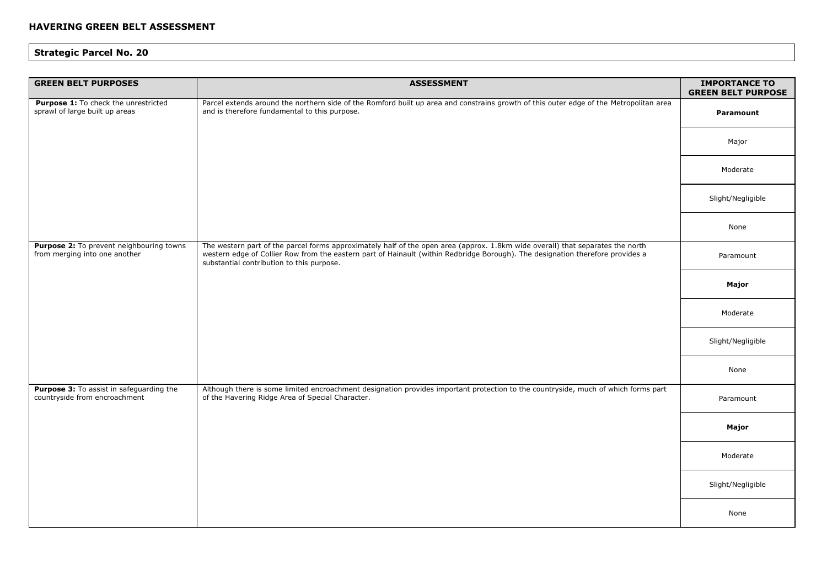| <b>GREEN BELT PURPOSES</b>                                                | <b>ASSESSMENT</b>                                                                                                                                                                                                                                                                                             | <b>IMPORTANCE TO</b><br><b>GREEN BELT PURPOSE</b> |
|---------------------------------------------------------------------------|---------------------------------------------------------------------------------------------------------------------------------------------------------------------------------------------------------------------------------------------------------------------------------------------------------------|---------------------------------------------------|
| Purpose 1: To check the unrestricted<br>sprawl of large built up areas    | Parcel extends around the northern side of the Romford built up area and constrains growth of this outer edge of the Metropolitan area<br>and is therefore fundamental to this purpose.                                                                                                                       | Paramount                                         |
|                                                                           |                                                                                                                                                                                                                                                                                                               | Major                                             |
|                                                                           |                                                                                                                                                                                                                                                                                                               | Moderate                                          |
|                                                                           |                                                                                                                                                                                                                                                                                                               | Slight/Negligible                                 |
|                                                                           |                                                                                                                                                                                                                                                                                                               | None                                              |
| Purpose 2: To prevent neighbouring towns<br>from merging into one another | The western part of the parcel forms approximately half of the open area (approx. 1.8km wide overall) that separates the north<br>western edge of Collier Row from the eastern part of Hainault (within Redbridge Borough). The designation therefore provides a<br>substantial contribution to this purpose. | Paramount                                         |
|                                                                           |                                                                                                                                                                                                                                                                                                               | Major                                             |
|                                                                           |                                                                                                                                                                                                                                                                                                               | Moderate                                          |
|                                                                           |                                                                                                                                                                                                                                                                                                               | Slight/Negligible                                 |
|                                                                           |                                                                                                                                                                                                                                                                                                               | None                                              |
| Purpose 3: To assist in safeguarding the<br>countryside from encroachment | Although there is some limited encroachment designation provides important protection to the countryside, much of which forms part<br>of the Havering Ridge Area of Special Character.                                                                                                                        | Paramount                                         |
|                                                                           |                                                                                                                                                                                                                                                                                                               | Major                                             |
|                                                                           |                                                                                                                                                                                                                                                                                                               | Moderate                                          |
|                                                                           |                                                                                                                                                                                                                                                                                                               | Slight/Negligible                                 |
|                                                                           |                                                                                                                                                                                                                                                                                                               | None                                              |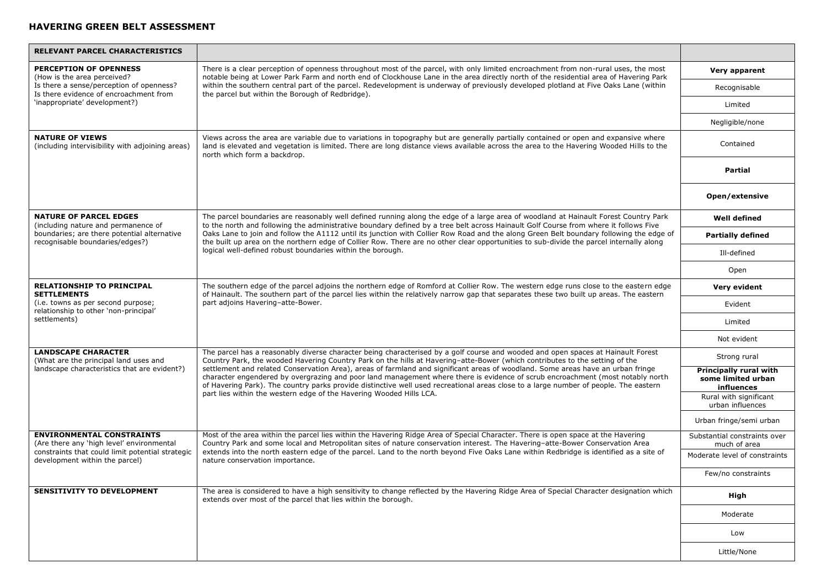| <b>RELEVANT PARCEL CHARACTERISTICS</b>                                             |                                                                                                                                                                                                                                                                                                                                                                                                                                                                                                                                                                                                                                                                                                                                                     |                                                            |
|------------------------------------------------------------------------------------|-----------------------------------------------------------------------------------------------------------------------------------------------------------------------------------------------------------------------------------------------------------------------------------------------------------------------------------------------------------------------------------------------------------------------------------------------------------------------------------------------------------------------------------------------------------------------------------------------------------------------------------------------------------------------------------------------------------------------------------------------------|------------------------------------------------------------|
| PERCEPTION OF OPENNESS<br>(How is the area perceived?                              | There is a clear perception of openness throughout most of the parcel, with only limited encroachment from non-rural uses, the most<br>notable being at Lower Park Farm and north end of Clockhouse Lane in the area directly north of the residential area of Havering Park                                                                                                                                                                                                                                                                                                                                                                                                                                                                        | Very apparent                                              |
| Is there a sense/perception of openness?<br>Is there evidence of encroachment from | within the southern central part of the parcel. Redevelopment is underway of previously developed plotland at Five Oaks Lane (within<br>the parcel but within the Borough of Redbridge).                                                                                                                                                                                                                                                                                                                                                                                                                                                                                                                                                            | Recognisable                                               |
| 'inappropriate' development?)                                                      |                                                                                                                                                                                                                                                                                                                                                                                                                                                                                                                                                                                                                                                                                                                                                     | Limited                                                    |
|                                                                                    |                                                                                                                                                                                                                                                                                                                                                                                                                                                                                                                                                                                                                                                                                                                                                     | Negligible/none                                            |
| <b>NATURE OF VIEWS</b><br>(including intervisibility with adjoining areas)         | Views across the area are variable due to variations in topography but are generally partially contained or open and expansive where<br>land is elevated and vegetation is limited. There are long distance views available across the area to the Havering Wooded Hills to the<br>north which form a backdrop.                                                                                                                                                                                                                                                                                                                                                                                                                                     | Contained                                                  |
|                                                                                    |                                                                                                                                                                                                                                                                                                                                                                                                                                                                                                                                                                                                                                                                                                                                                     | Partial                                                    |
|                                                                                    |                                                                                                                                                                                                                                                                                                                                                                                                                                                                                                                                                                                                                                                                                                                                                     | Open/extensive                                             |
| <b>NATURE OF PARCEL EDGES</b><br>(including nature and permanence of               | The parcel boundaries are reasonably well defined running along the edge of a large area of woodland at Hainault Forest Country Park<br>to the north and following the administrative boundary defined by a tree belt across Hainault Golf Course from where it follows Five                                                                                                                                                                                                                                                                                                                                                                                                                                                                        | <b>Well defined</b>                                        |
| boundaries; are there potential alternative<br>recognisable boundaries/edges?)     | Oaks Lane to join and follow the A1112 until its junction with Collier Row Road and the along Green Belt boundary following the edge of<br>the built up area on the northern edge of Collier Row. There are no other clear opportunities to sub-divide the parcel internally along                                                                                                                                                                                                                                                                                                                                                                                                                                                                  | <b>Partially defined</b>                                   |
|                                                                                    | logical well-defined robust boundaries within the borough.                                                                                                                                                                                                                                                                                                                                                                                                                                                                                                                                                                                                                                                                                          | Ill-defined                                                |
|                                                                                    |                                                                                                                                                                                                                                                                                                                                                                                                                                                                                                                                                                                                                                                                                                                                                     | Open                                                       |
| <b>RELATIONSHIP TO PRINCIPAL</b><br><b>SETTLEMENTS</b>                             | The southern edge of the parcel adjoins the northern edge of Romford at Collier Row. The western edge runs close to the eastern edge<br>of Hainault. The southern part of the parcel lies within the relatively narrow gap that separates these two built up areas. The eastern<br>part adjoins Havering-atte-Bower.                                                                                                                                                                                                                                                                                                                                                                                                                                | Very evident                                               |
| (i.e. towns as per second purpose;<br>relationship to other 'non-principal'        |                                                                                                                                                                                                                                                                                                                                                                                                                                                                                                                                                                                                                                                                                                                                                     | Evident                                                    |
| settlements)                                                                       |                                                                                                                                                                                                                                                                                                                                                                                                                                                                                                                                                                                                                                                                                                                                                     | Limited                                                    |
|                                                                                    |                                                                                                                                                                                                                                                                                                                                                                                                                                                                                                                                                                                                                                                                                                                                                     | Not evident                                                |
| <b>LANDSCAPE CHARACTER</b><br>(What are the principal land uses and                | The parcel has a reasonably diverse character being characterised by a golf course and wooded and open spaces at Hainault Forest<br>Country Park, the wooded Havering Country Park on the hills at Havering-atte-Bower (which contributes to the setting of the<br>settlement and related Conservation Area), areas of farmland and significant areas of woodland. Some areas have an urban fringe<br>character engendered by overgrazing and poor land management where there is evidence of scrub encroachment (most notably north<br>of Havering Park). The country parks provide distinctive well used recreational areas close to a large number of people. The eastern<br>part lies within the western edge of the Havering Wooded Hills LCA. | Strong rural                                               |
| landscape characteristics that are evident?)                                       |                                                                                                                                                                                                                                                                                                                                                                                                                                                                                                                                                                                                                                                                                                                                                     | Principally rural with<br>some limited urban<br>influences |
|                                                                                    |                                                                                                                                                                                                                                                                                                                                                                                                                                                                                                                                                                                                                                                                                                                                                     | Rural with significant<br>urban influences                 |
|                                                                                    |                                                                                                                                                                                                                                                                                                                                                                                                                                                                                                                                                                                                                                                                                                                                                     | Urban fringe/semi urban                                    |
| <b>ENVIRONMENTAL CONSTRAINTS</b><br>(Are there any 'high level' environmental      | Most of the area within the parcel lies within the Havering Ridge Area of Special Character. There is open space at the Havering<br>Country Park and some local and Metropolitan sites of nature conservation interest. The Havering-atte-Bower Conservation Area                                                                                                                                                                                                                                                                                                                                                                                                                                                                                   | Substantial constraints over<br>much of area               |
| constraints that could limit potential strategic<br>development within the parcel) | extends into the north eastern edge of the parcel. Land to the north beyond Five Oaks Lane within Redbridge is identified as a site of<br>nature conservation importance.                                                                                                                                                                                                                                                                                                                                                                                                                                                                                                                                                                           | Moderate level of constraints                              |
|                                                                                    |                                                                                                                                                                                                                                                                                                                                                                                                                                                                                                                                                                                                                                                                                                                                                     | Few/no constraints                                         |
| <b>SENSITIVITY TO DEVELOPMENT</b>                                                  | The area is considered to have a high sensitivity to change reflected by the Havering Ridge Area of Special Character designation which<br>extends over most of the parcel that lies within the borough.                                                                                                                                                                                                                                                                                                                                                                                                                                                                                                                                            | High                                                       |
|                                                                                    |                                                                                                                                                                                                                                                                                                                                                                                                                                                                                                                                                                                                                                                                                                                                                     | Moderate                                                   |
|                                                                                    |                                                                                                                                                                                                                                                                                                                                                                                                                                                                                                                                                                                                                                                                                                                                                     | Low                                                        |
|                                                                                    |                                                                                                                                                                                                                                                                                                                                                                                                                                                                                                                                                                                                                                                                                                                                                     | Little/None                                                |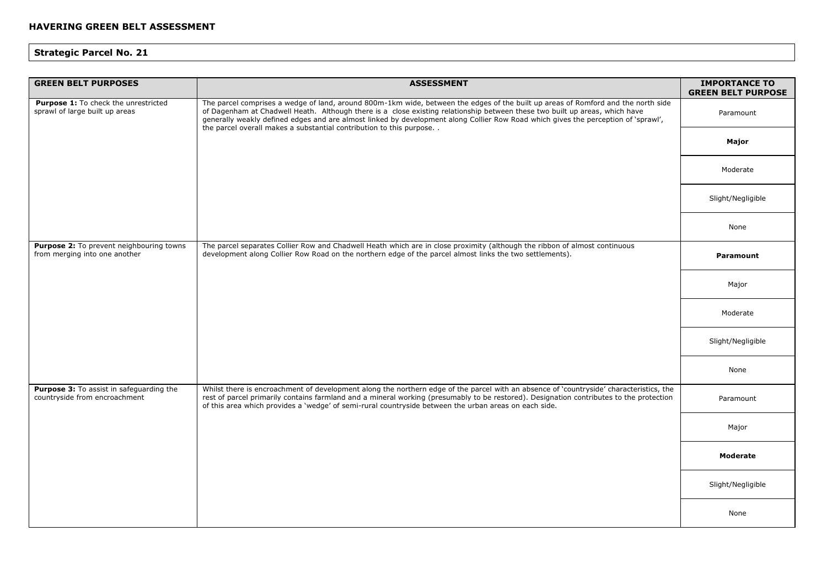| <b>GREEN BELT PURPOSES</b>                                                | <b>ASSESSMENT</b>                                                                                                                                                                                                                                                                                                                                                                                                                                                             | <b>IMPORTANCE TO</b><br><b>GREEN BELT PURPOSE</b> |
|---------------------------------------------------------------------------|-------------------------------------------------------------------------------------------------------------------------------------------------------------------------------------------------------------------------------------------------------------------------------------------------------------------------------------------------------------------------------------------------------------------------------------------------------------------------------|---------------------------------------------------|
| Purpose 1: To check the unrestricted<br>sprawl of large built up areas    | The parcel comprises a wedge of land, around 800m-1km wide, between the edges of the built up areas of Romford and the north side<br>of Dagenham at Chadwell Heath. Although there is a close existing relationship between these two built up areas, which have<br>generally weakly defined edges and are almost linked by development along Collier Row Road which gives the perception of 'sprawl',<br>the parcel overall makes a substantial contribution to this purpose | Paramount                                         |
|                                                                           |                                                                                                                                                                                                                                                                                                                                                                                                                                                                               | Major                                             |
|                                                                           |                                                                                                                                                                                                                                                                                                                                                                                                                                                                               | Moderate                                          |
|                                                                           |                                                                                                                                                                                                                                                                                                                                                                                                                                                                               | Slight/Negligible                                 |
|                                                                           |                                                                                                                                                                                                                                                                                                                                                                                                                                                                               | None                                              |
| Purpose 2: To prevent neighbouring towns<br>from merging into one another | The parcel separates Collier Row and Chadwell Heath which are in close proximity (although the ribbon of almost continuous<br>development along Collier Row Road on the northern edge of the parcel almost links the two settlements).                                                                                                                                                                                                                                        | Paramount                                         |
|                                                                           |                                                                                                                                                                                                                                                                                                                                                                                                                                                                               | Major                                             |
|                                                                           |                                                                                                                                                                                                                                                                                                                                                                                                                                                                               | Moderate                                          |
|                                                                           |                                                                                                                                                                                                                                                                                                                                                                                                                                                                               | Slight/Negligible                                 |
|                                                                           |                                                                                                                                                                                                                                                                                                                                                                                                                                                                               | None                                              |
| Purpose 3: To assist in safeguarding the<br>countryside from encroachment | Whilst there is encroachment of development along the northern edge of the parcel with an absence of 'countryside' characteristics, the<br>rest of parcel primarily contains farmland and a mineral working (presumably to be restored). Designation contributes to the protection<br>of this area which provides a 'wedge' of semi-rural countryside between the urban areas on each side.                                                                                   | Paramount                                         |
|                                                                           |                                                                                                                                                                                                                                                                                                                                                                                                                                                                               | Major                                             |
|                                                                           |                                                                                                                                                                                                                                                                                                                                                                                                                                                                               | <b>Moderate</b>                                   |
|                                                                           |                                                                                                                                                                                                                                                                                                                                                                                                                                                                               | Slight/Negligible                                 |
|                                                                           |                                                                                                                                                                                                                                                                                                                                                                                                                                                                               | None                                              |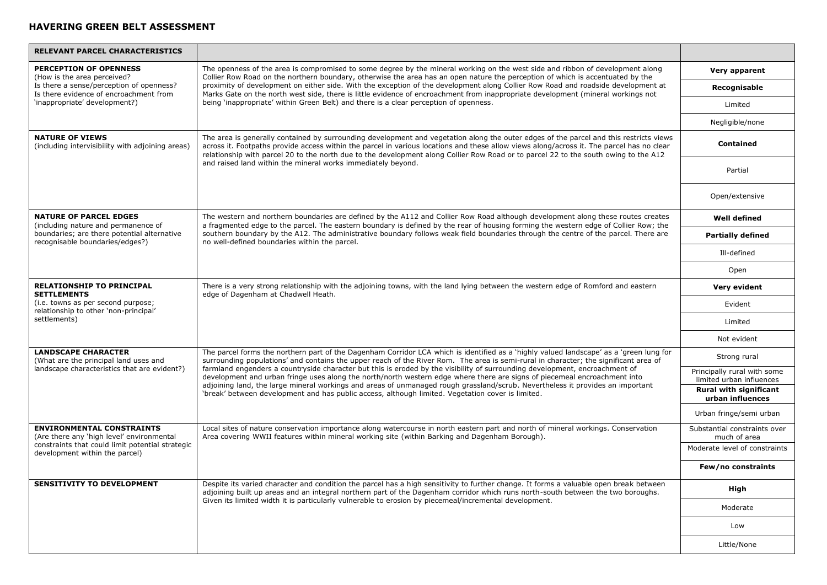| <b>RELEVANT PARCEL CHARACTERISTICS</b>                                                                                            |                                                                                                                                                                                                                                                                                                                                                                                                                                                                                                                                                                                                                                                                                                                                                                                    |                                                         |
|-----------------------------------------------------------------------------------------------------------------------------------|------------------------------------------------------------------------------------------------------------------------------------------------------------------------------------------------------------------------------------------------------------------------------------------------------------------------------------------------------------------------------------------------------------------------------------------------------------------------------------------------------------------------------------------------------------------------------------------------------------------------------------------------------------------------------------------------------------------------------------------------------------------------------------|---------------------------------------------------------|
| <b>PERCEPTION OF OPENNESS</b><br>(How is the area perceived?                                                                      | The openness of the area is compromised to some degree by the mineral working on the west side and ribbon of development along<br>Collier Row Road on the northern boundary, otherwise the area has an open nature the perception of which is accentuated by the                                                                                                                                                                                                                                                                                                                                                                                                                                                                                                                   | Very apparent                                           |
| Is there a sense/perception of openness?<br>Is there evidence of encroachment from                                                | proximity of development on either side. With the exception of the development along Collier Row Road and roadside development at<br>Marks Gate on the north west side, there is little evidence of encroachment from inappropriate development (mineral workings not                                                                                                                                                                                                                                                                                                                                                                                                                                                                                                              | Recognisable                                            |
| 'inappropriate' development?)                                                                                                     | being 'inappropriate' within Green Belt) and there is a clear perception of openness.                                                                                                                                                                                                                                                                                                                                                                                                                                                                                                                                                                                                                                                                                              | Limited                                                 |
|                                                                                                                                   |                                                                                                                                                                                                                                                                                                                                                                                                                                                                                                                                                                                                                                                                                                                                                                                    | Negligible/none                                         |
| <b>NATURE OF VIEWS</b><br>(including intervisibility with adjoining areas)                                                        | The area is generally contained by surrounding development and vegetation along the outer edges of the parcel and this restricts views<br>across it. Footpaths provide access within the parcel in various locations and these allow views along/across it. The parcel has no clear<br>relationship with parcel 20 to the north due to the development along Collier Row Road or to parcel 22 to the south owing to the A12                                                                                                                                                                                                                                                                                                                                                        | <b>Contained</b>                                        |
|                                                                                                                                   | and raised land within the mineral works immediately beyond.                                                                                                                                                                                                                                                                                                                                                                                                                                                                                                                                                                                                                                                                                                                       | Partial                                                 |
|                                                                                                                                   |                                                                                                                                                                                                                                                                                                                                                                                                                                                                                                                                                                                                                                                                                                                                                                                    | Open/extensive                                          |
| <b>NATURE OF PARCEL EDGES</b><br>(including nature and permanence of                                                              | The western and northern boundaries are defined by the A112 and Collier Row Road although development along these routes creates<br>a fragmented edge to the parcel. The eastern boundary is defined by the rear of housing forming the western edge of Collier Row; the                                                                                                                                                                                                                                                                                                                                                                                                                                                                                                           | <b>Well defined</b>                                     |
| boundaries; are there potential alternative<br>recognisable boundaries/edges?)                                                    | southern boundary by the A12. The administrative boundary follows weak field boundaries through the centre of the parcel. There are<br>no well-defined boundaries within the parcel.                                                                                                                                                                                                                                                                                                                                                                                                                                                                                                                                                                                               | <b>Partially defined</b>                                |
|                                                                                                                                   |                                                                                                                                                                                                                                                                                                                                                                                                                                                                                                                                                                                                                                                                                                                                                                                    | Ill-defined                                             |
|                                                                                                                                   |                                                                                                                                                                                                                                                                                                                                                                                                                                                                                                                                                                                                                                                                                                                                                                                    | Open                                                    |
| <b>RELATIONSHIP TO PRINCIPAL</b><br><b>SETTLEMENTS</b>                                                                            | There is a very strong relationship with the adjoining towns, with the land lying between the western edge of Romford and eastern<br>edge of Dagenham at Chadwell Heath.                                                                                                                                                                                                                                                                                                                                                                                                                                                                                                                                                                                                           | Very evident                                            |
| (i.e. towns as per second purpose;<br>relationship to other 'non-principal'                                                       |                                                                                                                                                                                                                                                                                                                                                                                                                                                                                                                                                                                                                                                                                                                                                                                    | Evident                                                 |
| settlements)                                                                                                                      |                                                                                                                                                                                                                                                                                                                                                                                                                                                                                                                                                                                                                                                                                                                                                                                    | Limited                                                 |
|                                                                                                                                   |                                                                                                                                                                                                                                                                                                                                                                                                                                                                                                                                                                                                                                                                                                                                                                                    | Not evident                                             |
| <b>LANDSCAPE CHARACTER</b><br>(What are the principal land uses and                                                               | The parcel forms the northern part of the Dagenham Corridor LCA which is identified as a 'highly valued landscape' as a 'green lung for<br>surrounding populations' and contains the upper reach of the River Rom. The area is semi-rural in character; the significant area of<br>farmland engenders a countryside character but this is eroded by the visibility of surrounding development, encroachment of<br>development and urban fringe uses along the north/north western edge where there are signs of piecemeal encroachment into<br>adjoining land, the large mineral workings and areas of unmanaged rough grassland/scrub. Nevertheless it provides an important<br>'break' between development and has public access, although limited. Vegetation cover is limited. | Strong rural                                            |
| landscape characteristics that are evident?)                                                                                      |                                                                                                                                                                                                                                                                                                                                                                                                                                                                                                                                                                                                                                                                                                                                                                                    | Principally rural with some<br>limited urban influences |
|                                                                                                                                   |                                                                                                                                                                                                                                                                                                                                                                                                                                                                                                                                                                                                                                                                                                                                                                                    | Rural with significant<br>urban influences              |
|                                                                                                                                   |                                                                                                                                                                                                                                                                                                                                                                                                                                                                                                                                                                                                                                                                                                                                                                                    | Urban fringe/semi urban                                 |
| <b>ENVIRONMENTAL CONSTRAINTS</b><br>(Are there any 'high level' environmental<br>constraints that could limit potential strategic | Local sites of nature conservation importance along watercourse in north eastern part and north of mineral workings. Conservation<br>Area covering WWII features within mineral working site (within Barking and Dagenham Borough).                                                                                                                                                                                                                                                                                                                                                                                                                                                                                                                                                | Substantial constraints over<br>much of area            |
| development within the parcel)                                                                                                    |                                                                                                                                                                                                                                                                                                                                                                                                                                                                                                                                                                                                                                                                                                                                                                                    | Moderate level of constraints                           |
|                                                                                                                                   |                                                                                                                                                                                                                                                                                                                                                                                                                                                                                                                                                                                                                                                                                                                                                                                    | Few/no constraints                                      |
| <b>SENSITIVITY TO DEVELOPMENT</b>                                                                                                 | Despite its varied character and condition the parcel has a high sensitivity to further change. It forms a valuable open break between<br>adjoining built up areas and an integral northern part of the Dagenham corridor which runs north-south between the two boroughs.<br>Given its limited width it is particularly vulnerable to erosion by piecemeal/incremental development.                                                                                                                                                                                                                                                                                                                                                                                               | High                                                    |
|                                                                                                                                   |                                                                                                                                                                                                                                                                                                                                                                                                                                                                                                                                                                                                                                                                                                                                                                                    | Moderate                                                |
|                                                                                                                                   |                                                                                                                                                                                                                                                                                                                                                                                                                                                                                                                                                                                                                                                                                                                                                                                    | Low                                                     |
|                                                                                                                                   |                                                                                                                                                                                                                                                                                                                                                                                                                                                                                                                                                                                                                                                                                                                                                                                    | Little/None                                             |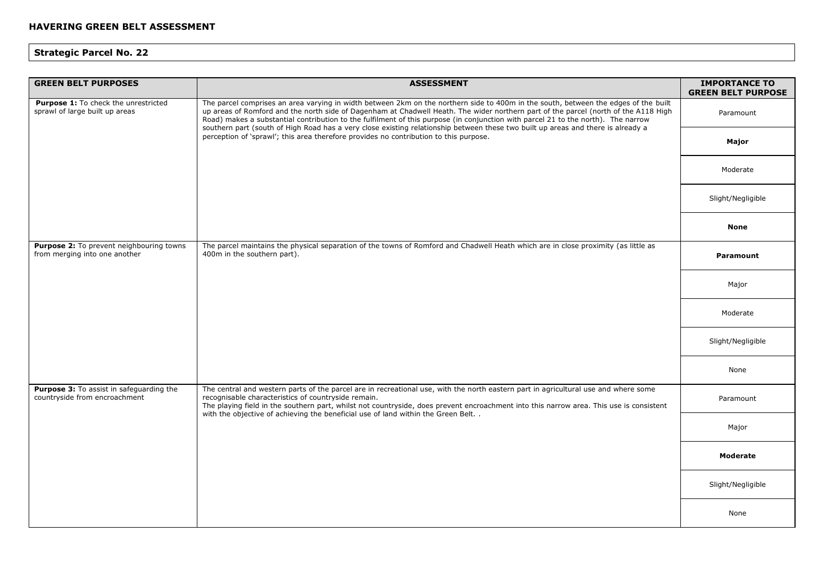| <b>GREEN BELT PURPOSES</b>                                                | <b>ASSESSMENT</b>                                                                                                                                                                                                                                                                                                                                                                                                            | <b>IMPORTANCE TO</b><br><b>GREEN BELT PURPOSE</b> |
|---------------------------------------------------------------------------|------------------------------------------------------------------------------------------------------------------------------------------------------------------------------------------------------------------------------------------------------------------------------------------------------------------------------------------------------------------------------------------------------------------------------|---------------------------------------------------|
| Purpose 1: To check the unrestricted<br>sprawl of large built up areas    | The parcel comprises an area varying in width between 2km on the northern side to 400m in the south, between the edges of the built<br>up areas of Romford and the north side of Dagenham at Chadwell Heath. The wider northern part of the parcel (north of the A118 High<br>Road) makes a substantial contribution to the fulfilment of this purpose (in conjunction with parcel 21 to the north). The narrow              | Paramount                                         |
|                                                                           | southern part (south of High Road has a very close existing relationship between these two built up areas and there is already a<br>perception of 'sprawl'; this area therefore provides no contribution to this purpose.                                                                                                                                                                                                    | Major                                             |
|                                                                           |                                                                                                                                                                                                                                                                                                                                                                                                                              | Moderate                                          |
|                                                                           |                                                                                                                                                                                                                                                                                                                                                                                                                              | Slight/Negligible                                 |
|                                                                           |                                                                                                                                                                                                                                                                                                                                                                                                                              | <b>None</b>                                       |
| Purpose 2: To prevent neighbouring towns<br>from merging into one another | The parcel maintains the physical separation of the towns of Romford and Chadwell Heath which are in close proximity (as little as<br>400m in the southern part).                                                                                                                                                                                                                                                            | Paramount                                         |
|                                                                           |                                                                                                                                                                                                                                                                                                                                                                                                                              | Major                                             |
|                                                                           |                                                                                                                                                                                                                                                                                                                                                                                                                              | Moderate                                          |
|                                                                           |                                                                                                                                                                                                                                                                                                                                                                                                                              | Slight/Negligible                                 |
|                                                                           |                                                                                                                                                                                                                                                                                                                                                                                                                              | None                                              |
| Purpose 3: To assist in safeguarding the<br>countryside from encroachment | The central and western parts of the parcel are in recreational use, with the north eastern part in agricultural use and where some<br>recognisable characteristics of countryside remain.<br>The playing field in the southern part, whilst not countryside, does prevent encroachment into this narrow area. This use is consistent<br>with the objective of achieving the beneficial use of land within the Green Belt. . | Paramount                                         |
|                                                                           |                                                                                                                                                                                                                                                                                                                                                                                                                              | Major                                             |
|                                                                           |                                                                                                                                                                                                                                                                                                                                                                                                                              | <b>Moderate</b>                                   |
|                                                                           |                                                                                                                                                                                                                                                                                                                                                                                                                              | Slight/Negligible                                 |
|                                                                           |                                                                                                                                                                                                                                                                                                                                                                                                                              | None                                              |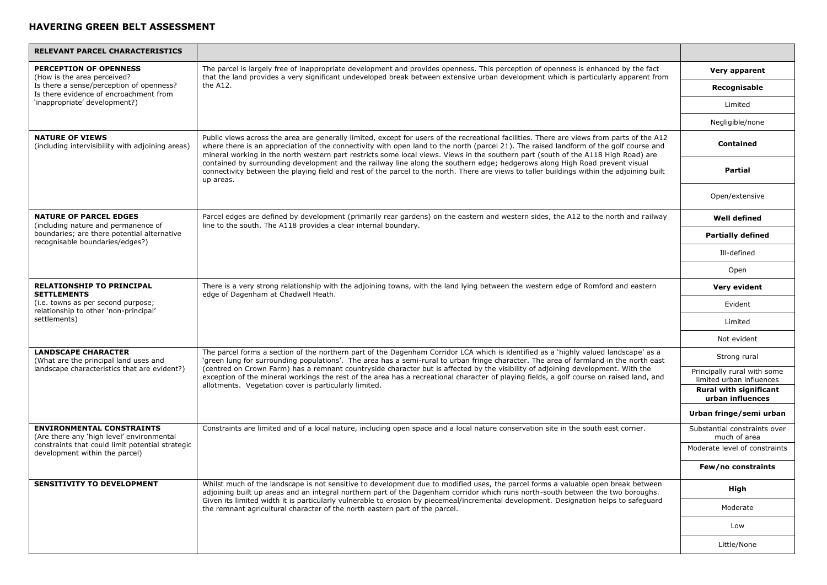| RELEVANT PARCEL CHARACTERISTICS                                                    |                                                                                                                                                                                                                                                                                                                                                                                                                                                                                                                                                               |                                                         |
|------------------------------------------------------------------------------------|---------------------------------------------------------------------------------------------------------------------------------------------------------------------------------------------------------------------------------------------------------------------------------------------------------------------------------------------------------------------------------------------------------------------------------------------------------------------------------------------------------------------------------------------------------------|---------------------------------------------------------|
| <b>PERCEPTION OF OPENNESS</b><br>(How is the area perceived?                       | The parcel is largely free of inappropriate development and provides openness. This perception of openness is enhanced by the fact<br>that the land provides a very significant undeveloped break between extensive urban development which is particularly apparent from                                                                                                                                                                                                                                                                                     | Very apparent                                           |
| Is there a sense/perception of openness?<br>Is there evidence of encroachment from | the A12.                                                                                                                                                                                                                                                                                                                                                                                                                                                                                                                                                      | Recognisable                                            |
| 'inappropriate' development?)                                                      |                                                                                                                                                                                                                                                                                                                                                                                                                                                                                                                                                               | Limited                                                 |
|                                                                                    |                                                                                                                                                                                                                                                                                                                                                                                                                                                                                                                                                               | Negligible/none                                         |
| <b>NATURE OF VIEWS</b><br>(including intervisibility with adjoining areas)         | Public views across the area are generally limited, except for users of the recreational facilities. There are views from parts of the A12<br>where there is an appreciation of the connectivity with open land to the north (parcel 21). The raised landform of the golf course and<br>mineral working in the north western part restricts some local views. Views in the southern part (south of the A118 High Road) are                                                                                                                                    | <b>Contained</b>                                        |
|                                                                                    | contained by surrounding development and the railway line along the southern edge; hedgerows along High Road prevent visual<br>connectivity between the playing field and rest of the parcel to the north. There are views to taller buildings within the adjoining built<br>up areas.                                                                                                                                                                                                                                                                        | Partial                                                 |
|                                                                                    |                                                                                                                                                                                                                                                                                                                                                                                                                                                                                                                                                               | Open/extensive                                          |
| <b>NATURE OF PARCEL EDGES</b><br>(including nature and permanence of               | Parcel edges are defined by development (primarily rear gardens) on the eastern and western sides, the A12 to the north and railway<br>line to the south. The A118 provides a clear internal boundary.                                                                                                                                                                                                                                                                                                                                                        | <b>Well defined</b>                                     |
| boundaries; are there potential alternative<br>recognisable boundaries/edges?)     |                                                                                                                                                                                                                                                                                                                                                                                                                                                                                                                                                               | <b>Partially defined</b>                                |
|                                                                                    |                                                                                                                                                                                                                                                                                                                                                                                                                                                                                                                                                               | Ill-defined                                             |
|                                                                                    |                                                                                                                                                                                                                                                                                                                                                                                                                                                                                                                                                               | Open                                                    |
| <b>RELATIONSHIP TO PRINCIPAL</b><br><b>SETTLEMENTS</b>                             | There is a very strong relationship with the adjoining towns, with the land lying between the western edge of Romford and eastern<br>edge of Dagenham at Chadwell Heath.                                                                                                                                                                                                                                                                                                                                                                                      | Very evident                                            |
| (i.e. towns as per second purpose;<br>relationship to other 'non-principal'        |                                                                                                                                                                                                                                                                                                                                                                                                                                                                                                                                                               | Evident                                                 |
| settlements)                                                                       |                                                                                                                                                                                                                                                                                                                                                                                                                                                                                                                                                               | Limited                                                 |
|                                                                                    |                                                                                                                                                                                                                                                                                                                                                                                                                                                                                                                                                               | Not evident                                             |
| <b>LANDSCAPE CHARACTER</b><br>(What are the principal land uses and                | The parcel forms a section of the northern part of the Dagenham Corridor LCA which is identified as a 'highly valued landscape' as a<br>'green lung for surrounding populations'. The area has a semi-rural to urban fringe character. The area of farmland in the north east<br>(centred on Crown Farm) has a remnant countryside character but is affected by the visibility of adjoining development. With the<br>exception of the mineral workings the rest of the area has a recreational character of playing fields, a golf course on raised land, and | Strong rural                                            |
| landscape characteristics that are evident?)                                       |                                                                                                                                                                                                                                                                                                                                                                                                                                                                                                                                                               | Principally rural with some<br>limited urban influences |
|                                                                                    | allotments. Vegetation cover is particularly limited.                                                                                                                                                                                                                                                                                                                                                                                                                                                                                                         | <b>Rural with significant</b><br>urban influences       |
|                                                                                    |                                                                                                                                                                                                                                                                                                                                                                                                                                                                                                                                                               | Urban fringe/semi urban                                 |
| <b>ENVIRONMENTAL CONSTRAINTS</b><br>(Are there any 'high level' environmental      | Constraints are limited and of a local nature, including open space and a local nature conservation site in the south east corner.                                                                                                                                                                                                                                                                                                                                                                                                                            | Substantial constraints over<br>much of area            |
| constraints that could limit potential strategic<br>development within the parcel) |                                                                                                                                                                                                                                                                                                                                                                                                                                                                                                                                                               | Moderate level of constraints                           |
|                                                                                    |                                                                                                                                                                                                                                                                                                                                                                                                                                                                                                                                                               | Few/no constraints                                      |
| <b>SENSITIVITY TO DEVELOPMENT</b>                                                  | Whilst much of the landscape is not sensitive to development due to modified uses, the parcel forms a valuable open break between<br>adjoining built up areas and an integral northern part of the Dagenham corridor which runs north-south between the two boroughs.<br>Given its limited width it is particularly vulnerable to erosion by piecemeal/incremental development. Designation helps to safequard<br>the remnant agricultural character of the north eastern part of the parcel.                                                                 | High                                                    |
|                                                                                    |                                                                                                                                                                                                                                                                                                                                                                                                                                                                                                                                                               | Moderate                                                |
|                                                                                    |                                                                                                                                                                                                                                                                                                                                                                                                                                                                                                                                                               | Low                                                     |
|                                                                                    |                                                                                                                                                                                                                                                                                                                                                                                                                                                                                                                                                               | Little/None                                             |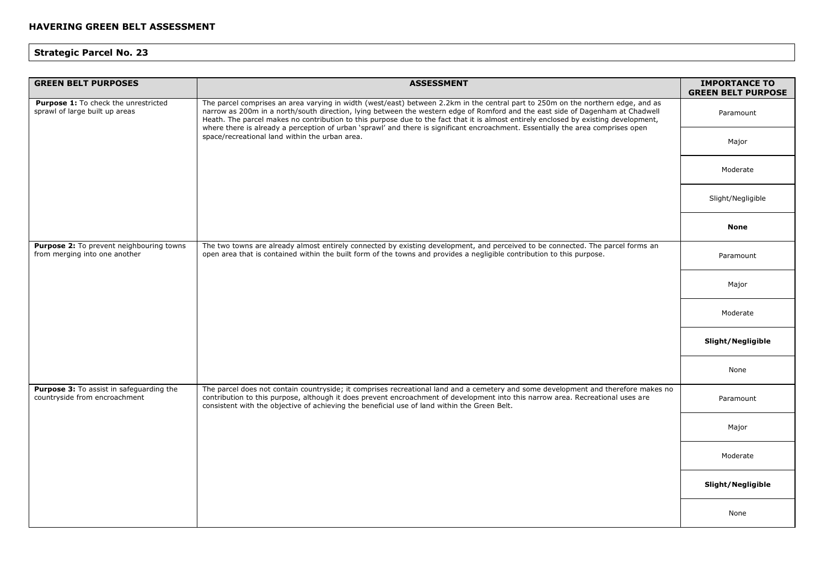| <b>GREEN BELT PURPOSES</b>                                                | <b>ASSESSMENT</b>                                                                                                                                                                                                                                                                                                                                                                                                                                                                                                                                                                                | <b>IMPORTANCE TO</b><br><b>GREEN BELT PURPOSE</b> |
|---------------------------------------------------------------------------|--------------------------------------------------------------------------------------------------------------------------------------------------------------------------------------------------------------------------------------------------------------------------------------------------------------------------------------------------------------------------------------------------------------------------------------------------------------------------------------------------------------------------------------------------------------------------------------------------|---------------------------------------------------|
| Purpose 1: To check the unrestricted<br>sprawl of large built up areas    | The parcel comprises an area varying in width (west/east) between 2.2km in the central part to 250m on the northern edge, and as<br>narrow as 200m in a north/south direction, lying between the western edge of Romford and the east side of Dagenham at Chadwell<br>Heath. The parcel makes no contribution to this purpose due to the fact that it is almost entirely enclosed by existing development,<br>where there is already a perception of urban 'sprawl' and there is significant encroachment. Essentially the area comprises open<br>space/recreational land within the urban area. | Paramount                                         |
|                                                                           |                                                                                                                                                                                                                                                                                                                                                                                                                                                                                                                                                                                                  | Major                                             |
|                                                                           |                                                                                                                                                                                                                                                                                                                                                                                                                                                                                                                                                                                                  | Moderate                                          |
|                                                                           |                                                                                                                                                                                                                                                                                                                                                                                                                                                                                                                                                                                                  | Slight/Negligible                                 |
|                                                                           |                                                                                                                                                                                                                                                                                                                                                                                                                                                                                                                                                                                                  | <b>None</b>                                       |
| Purpose 2: To prevent neighbouring towns<br>from merging into one another | The two towns are already almost entirely connected by existing development, and perceived to be connected. The parcel forms an<br>open area that is contained within the built form of the towns and provides a negligible contribution to this purpose.                                                                                                                                                                                                                                                                                                                                        | Paramount                                         |
|                                                                           |                                                                                                                                                                                                                                                                                                                                                                                                                                                                                                                                                                                                  | Major                                             |
|                                                                           |                                                                                                                                                                                                                                                                                                                                                                                                                                                                                                                                                                                                  | Moderate                                          |
|                                                                           |                                                                                                                                                                                                                                                                                                                                                                                                                                                                                                                                                                                                  | Slight/Negligible                                 |
|                                                                           |                                                                                                                                                                                                                                                                                                                                                                                                                                                                                                                                                                                                  | None                                              |
| Purpose 3: To assist in safeguarding the<br>countryside from encroachment | The parcel does not contain countryside; it comprises recreational land and a cemetery and some development and therefore makes no<br>contribution to this purpose, although it does prevent encroachment of development into this narrow area. Recreational uses are<br>consistent with the objective of achieving the beneficial use of land within the Green Belt.                                                                                                                                                                                                                            | Paramount                                         |
|                                                                           |                                                                                                                                                                                                                                                                                                                                                                                                                                                                                                                                                                                                  | Major                                             |
|                                                                           |                                                                                                                                                                                                                                                                                                                                                                                                                                                                                                                                                                                                  | Moderate                                          |
|                                                                           |                                                                                                                                                                                                                                                                                                                                                                                                                                                                                                                                                                                                  | Slight/Negligible                                 |
|                                                                           |                                                                                                                                                                                                                                                                                                                                                                                                                                                                                                                                                                                                  | None                                              |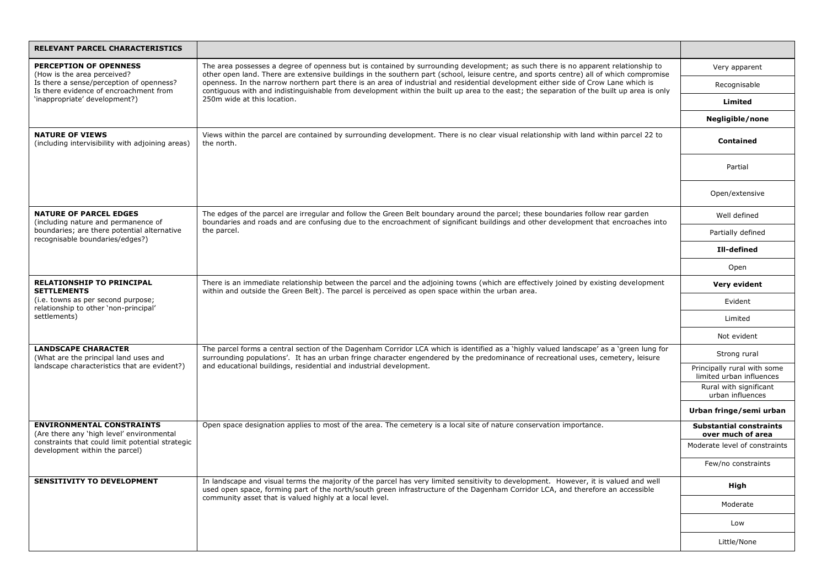| RELEVANT PARCEL CHARACTERISTICS                                                             |                                                                                                                                                                                                                                                                                                                                                    |                                                         |
|---------------------------------------------------------------------------------------------|----------------------------------------------------------------------------------------------------------------------------------------------------------------------------------------------------------------------------------------------------------------------------------------------------------------------------------------------------|---------------------------------------------------------|
| <b>PERCEPTION OF OPENNESS</b><br>(How is the area perceived?                                | The area possesses a degree of openness but is contained by surrounding development; as such there is no apparent relationship to<br>other open land. There are extensive buildings in the southern part (school, leisure centre, and sports centre) all of which compromise                                                                       | Very apparent                                           |
| Is there a sense/perception of openness?<br>Is there evidence of encroachment from          | openness. In the narrow northern part there is an area of industrial and residential development either side of Crow Lane which is<br>contiguous with and indistinguishable from development within the built up area to the east; the separation of the built up area is only                                                                     | Recognisable                                            |
| 'inappropriate' development?)                                                               | 250m wide at this location.                                                                                                                                                                                                                                                                                                                        | Limited                                                 |
|                                                                                             |                                                                                                                                                                                                                                                                                                                                                    | Negligible/none                                         |
| <b>NATURE OF VIEWS</b><br>(including intervisibility with adjoining areas)                  | Views within the parcel are contained by surrounding development. There is no clear visual relationship with land within parcel 22 to<br>the north.                                                                                                                                                                                                | Contained                                               |
|                                                                                             |                                                                                                                                                                                                                                                                                                                                                    | Partial                                                 |
|                                                                                             |                                                                                                                                                                                                                                                                                                                                                    | Open/extensive                                          |
| <b>NATURE OF PARCEL EDGES</b><br>(including nature and permanence of                        | The edges of the parcel are irregular and follow the Green Belt boundary around the parcel; these boundaries follow rear garden<br>boundaries and roads and are confusing due to the encroachment of significant buildings and other development that encroaches into                                                                              | Well defined                                            |
| boundaries; are there potential alternative<br>recognisable boundaries/edges?)              | the parcel.                                                                                                                                                                                                                                                                                                                                        | Partially defined                                       |
|                                                                                             |                                                                                                                                                                                                                                                                                                                                                    | Ill-defined                                             |
|                                                                                             |                                                                                                                                                                                                                                                                                                                                                    | Open                                                    |
| <b>RELATIONSHIP TO PRINCIPAL</b><br><b>SETTLEMENTS</b>                                      | There is an immediate relationship between the parcel and the adjoining towns (which are effectively joined by existing development<br>within and outside the Green Belt). The parcel is perceived as open space within the urban area.                                                                                                            | Very evident                                            |
| (i.e. towns as per second purpose;<br>relationship to other 'non-principal'<br>settlements) |                                                                                                                                                                                                                                                                                                                                                    | Evident                                                 |
|                                                                                             |                                                                                                                                                                                                                                                                                                                                                    | Limited                                                 |
|                                                                                             |                                                                                                                                                                                                                                                                                                                                                    | Not evident                                             |
| <b>LANDSCAPE CHARACTER</b><br>(What are the principal land uses and                         | The parcel forms a central section of the Dagenham Corridor LCA which is identified as a `highly valued landscape' as a `green lung for<br>surrounding populations'. It has an urban fringe character engendered by the predominance of recreational uses, cemetery, leisure<br>and educational buildings, residential and industrial development. | Strong rural                                            |
| landscape characteristics that are evident?)                                                |                                                                                                                                                                                                                                                                                                                                                    | Principally rural with some<br>limited urban influences |
|                                                                                             |                                                                                                                                                                                                                                                                                                                                                    | Rural with significant<br>urban influences              |
|                                                                                             |                                                                                                                                                                                                                                                                                                                                                    | Urban fringe/semi urban                                 |
| <b>ENVIRONMENTAL CONSTRAINTS</b><br>(Are there any 'high level' environmental               | Open space designation applies to most of the area. The cemetery is a local site of nature conservation importance.                                                                                                                                                                                                                                | <b>Substantial constraints</b><br>over much of area     |
| constraints that could limit potential strategic<br>development within the parcel)          |                                                                                                                                                                                                                                                                                                                                                    | Moderate level of constraints                           |
|                                                                                             |                                                                                                                                                                                                                                                                                                                                                    | Few/no constraints                                      |
| <b>SENSITIVITY TO DEVELOPMENT</b>                                                           | In landscape and visual terms the majority of the parcel has very limited sensitivity to development. However, it is valued and well<br>used open space, forming part of the north/south green infrastructure of the Dagenham Corridor LCA, and therefore an accessible<br>community asset that is valued highly at a local level.                 | High                                                    |
|                                                                                             |                                                                                                                                                                                                                                                                                                                                                    | Moderate                                                |
|                                                                                             |                                                                                                                                                                                                                                                                                                                                                    | Low                                                     |
|                                                                                             |                                                                                                                                                                                                                                                                                                                                                    | Little/None                                             |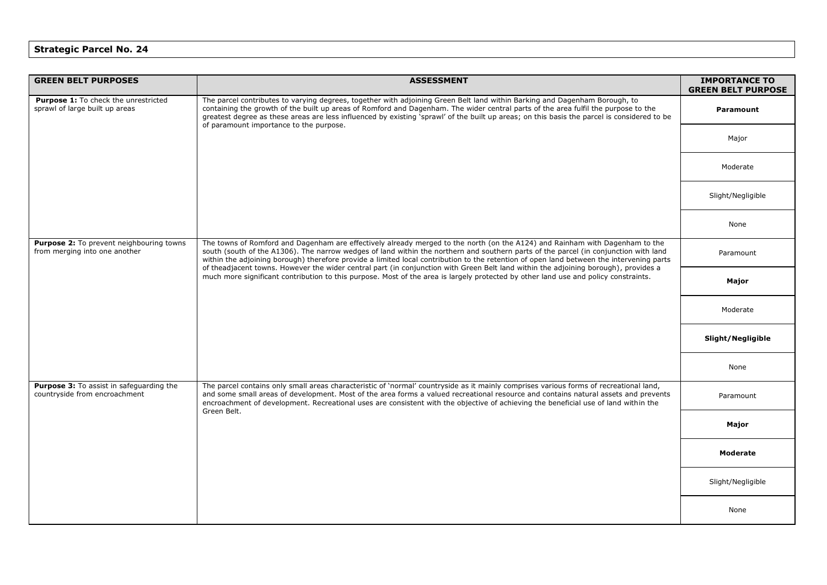| <b>GREEN BELT PURPOSES</b>                                                       | <b>ASSESSMENT</b>                                                                                                                                                                                                                                                                                                                                                                                                                                                                                                                                                                                                                                                                              | <b>IMPORTANCE TO</b><br><b>GREEN BELT PURPOSE</b> |
|----------------------------------------------------------------------------------|------------------------------------------------------------------------------------------------------------------------------------------------------------------------------------------------------------------------------------------------------------------------------------------------------------------------------------------------------------------------------------------------------------------------------------------------------------------------------------------------------------------------------------------------------------------------------------------------------------------------------------------------------------------------------------------------|---------------------------------------------------|
| Purpose 1: To check the unrestricted<br>sprawl of large built up areas           | The parcel contributes to varying degrees, together with adjoining Green Belt land within Barking and Dagenham Borough, to<br>containing the growth of the built up areas of Romford and Dagenham. The wider central parts of the area fulfil the purpose to the<br>greatest degree as these areas are less influenced by existing sprawl' of the built up areas; on this basis the parcel is considered to be<br>of paramount importance to the purpose.                                                                                                                                                                                                                                      | Paramount                                         |
|                                                                                  |                                                                                                                                                                                                                                                                                                                                                                                                                                                                                                                                                                                                                                                                                                | Major                                             |
|                                                                                  |                                                                                                                                                                                                                                                                                                                                                                                                                                                                                                                                                                                                                                                                                                | Moderate                                          |
|                                                                                  |                                                                                                                                                                                                                                                                                                                                                                                                                                                                                                                                                                                                                                                                                                | Slight/Negligible                                 |
|                                                                                  |                                                                                                                                                                                                                                                                                                                                                                                                                                                                                                                                                                                                                                                                                                | None                                              |
| Purpose 2: To prevent neighbouring towns<br>from merging into one another        | The towns of Romford and Dagenham are effectively already merged to the north (on the A124) and Rainham with Dagenham to the<br>south (south of the A1306). The narrow wedges of land within the northern and southern parts of the parcel (in conjunction with land<br>within the adjoining borough) therefore provide a limited local contribution to the retention of open land between the intervening parts<br>of theadjacent towns. However the wider central part (in conjunction with Green Belt land within the adjoining borough), provides a<br>much more significant contribution to this purpose. Most of the area is largely protected by other land use and policy constraints. | Paramount                                         |
|                                                                                  |                                                                                                                                                                                                                                                                                                                                                                                                                                                                                                                                                                                                                                                                                                | Major                                             |
|                                                                                  |                                                                                                                                                                                                                                                                                                                                                                                                                                                                                                                                                                                                                                                                                                | Moderate                                          |
|                                                                                  |                                                                                                                                                                                                                                                                                                                                                                                                                                                                                                                                                                                                                                                                                                | Slight/Negligible                                 |
|                                                                                  |                                                                                                                                                                                                                                                                                                                                                                                                                                                                                                                                                                                                                                                                                                | None                                              |
| <b>Purpose 3:</b> To assist in safequarding the<br>countryside from encroachment | The parcel contains only small areas characteristic of 'normal' countryside as it mainly comprises various forms of recreational land,<br>and some small areas of development. Most of the area forms a valued recreational resource and contains natural assets and prevents<br>encroachment of development. Recreational uses are consistent with the objective of achieving the beneficial use of land within the<br>Green Belt.                                                                                                                                                                                                                                                            | Paramount                                         |
|                                                                                  |                                                                                                                                                                                                                                                                                                                                                                                                                                                                                                                                                                                                                                                                                                | Major                                             |
|                                                                                  |                                                                                                                                                                                                                                                                                                                                                                                                                                                                                                                                                                                                                                                                                                | <b>Moderate</b>                                   |
|                                                                                  |                                                                                                                                                                                                                                                                                                                                                                                                                                                                                                                                                                                                                                                                                                | Slight/Negligible                                 |
|                                                                                  |                                                                                                                                                                                                                                                                                                                                                                                                                                                                                                                                                                                                                                                                                                | None                                              |